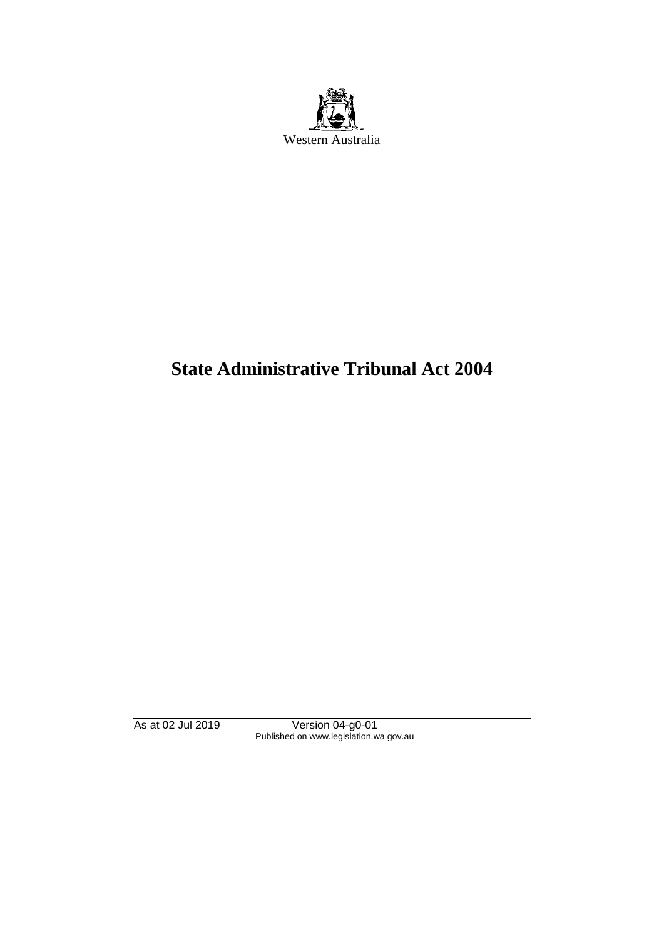

# **State Administrative Tribunal Act 2004**

As at 02 Jul 2019 Version 04-g0-01 Published on www.legislation.wa.gov.au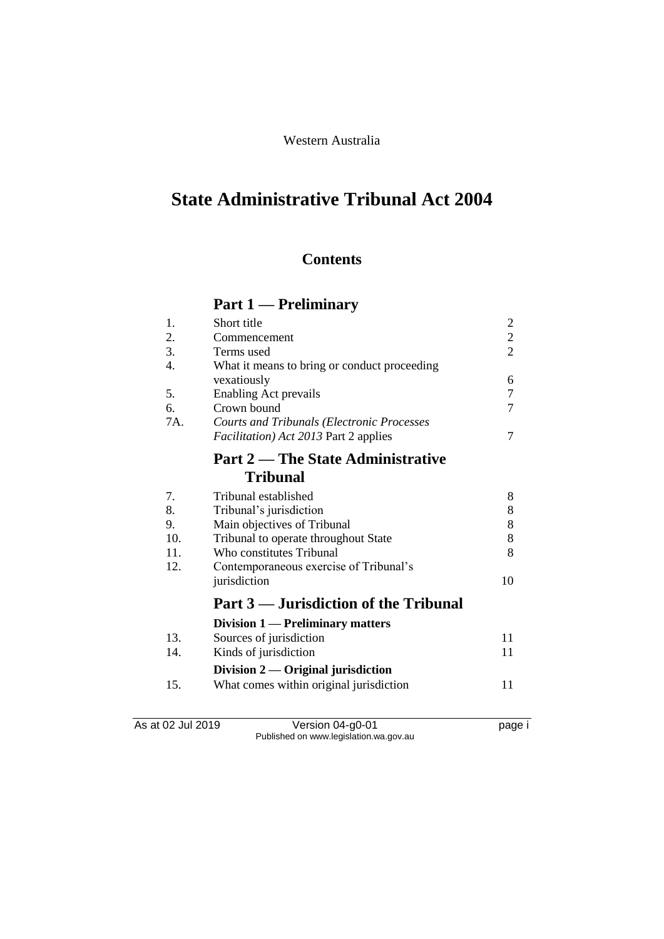### Western Australia

# **State Administrative Tribunal Act 2004**

### **Contents**

## **Part 1 — Preliminary**

| 1.  | Short title                                       | $\overline{2}$ |
|-----|---------------------------------------------------|----------------|
| 2.  | Commencement                                      | $\overline{2}$ |
| 3.  | Terms used                                        | $\overline{2}$ |
| 4.  | What it means to bring or conduct proceeding      |                |
|     | vexatiously                                       | 6              |
| 5.  | <b>Enabling Act prevails</b>                      | 7              |
| 6.  | Crown bound                                       | 7              |
| 7A. | <b>Courts and Tribunals (Electronic Processes</b> |                |
|     | <i>Facilitation</i> ) Act 2013 Part 2 applies     | 7              |
|     | <b>Part 2 — The State Administrative</b>          |                |
|     | <b>Tribunal</b>                                   |                |
| 7.  | Tribunal established                              | 8              |
| 8.  | Tribunal's jurisdiction                           | 8              |
| 9.  | Main objectives of Tribunal                       | 8              |
| 10. | Tribunal to operate throughout State              | 8              |
| 11. | Who constitutes Tribunal                          | 8              |
| 12. | Contemporaneous exercise of Tribunal's            |                |
|     | jurisdiction                                      | 10             |
|     | Part 3 — Jurisdiction of the Tribunal             |                |
|     | Division 1 — Preliminary matters                  |                |
| 13. | Sources of jurisdiction                           | 11             |
| 14. | Kinds of jurisdiction                             | 11             |
|     | Division $2$ — Original jurisdiction              |                |
| 15. | What comes within original jurisdiction           | 11             |
|     |                                                   |                |
|     |                                                   |                |

As at 02 Jul 2019 Version 04-g0-01 page i Published on www.legislation.wa.gov.au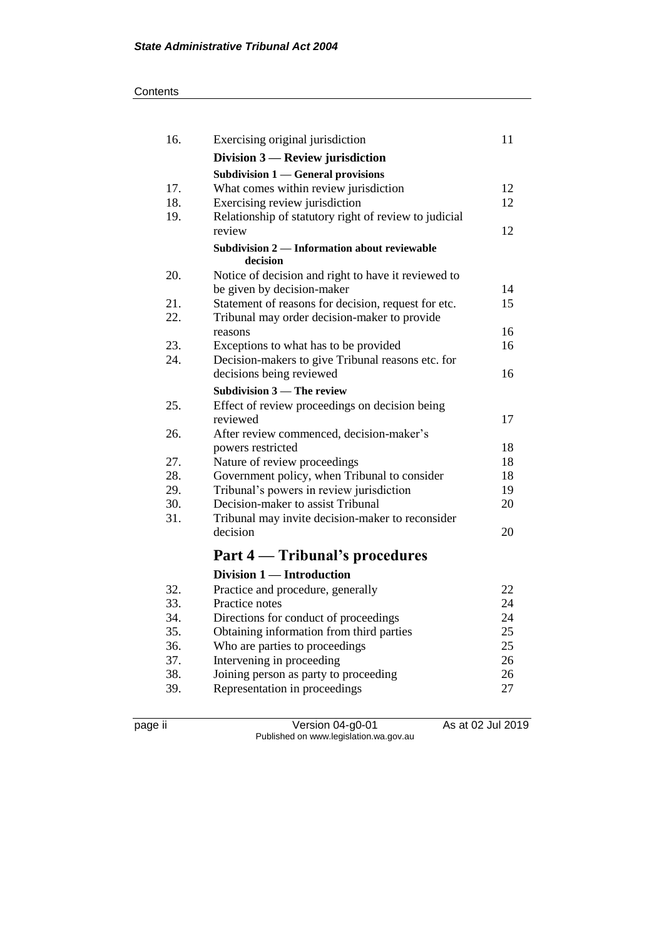| 16.        | Exercising original jurisdiction                                                         | 11       |
|------------|------------------------------------------------------------------------------------------|----------|
|            | Division $3$ — Review jurisdiction                                                       |          |
|            | Subdivision 1 — General provisions                                                       |          |
| 17.        | What comes within review jurisdiction                                                    | 12       |
| 18.        | Exercising review jurisdiction                                                           | 12       |
| 19.        | Relationship of statutory right of review to judicial                                    |          |
|            | review                                                                                   | 12       |
|            | Subdivision 2 — Information about reviewable<br>decision                                 |          |
| 20.        | Notice of decision and right to have it reviewed to                                      |          |
|            | be given by decision-maker                                                               | 14       |
| 21.        | Statement of reasons for decision, request for etc.                                      | 15       |
| 22.        | Tribunal may order decision-maker to provide                                             |          |
|            | reasons                                                                                  | 16       |
| 23.        | Exceptions to what has to be provided                                                    | 16       |
| 24.        | Decision-makers to give Tribunal reasons etc. for                                        |          |
|            | decisions being reviewed                                                                 | 16       |
|            | <b>Subdivision 3 – The review</b>                                                        |          |
| 25.        | Effect of review proceedings on decision being                                           |          |
|            | reviewed                                                                                 | 17       |
| 26.        | After review commenced, decision-maker's                                                 |          |
|            | powers restricted                                                                        | 18       |
| 27.<br>28. | Nature of review proceedings                                                             | 18<br>18 |
| 29.        | Government policy, when Tribunal to consider<br>Tribunal's powers in review jurisdiction | 19       |
| 30.        | Decision-maker to assist Tribunal                                                        | 20       |
| 31.        | Tribunal may invite decision-maker to reconsider                                         |          |
|            | decision                                                                                 | 20       |
|            |                                                                                          |          |
|            | Part 4 — Tribunal's procedures                                                           |          |
|            | Division 1 - Introduction                                                                |          |
| 32.        | Practice and procedure, generally                                                        | 22       |
| 33.        | Practice notes                                                                           | 24       |
| 34.        | Directions for conduct of proceedings                                                    | 24       |
| 35.        | Obtaining information from third parties                                                 | 25       |
| 36.        | Who are parties to proceedings                                                           | 25       |
| 37.        | Intervening in proceeding                                                                | 26       |
| 38.        | Joining person as party to proceeding                                                    | 26       |
| 39.        | Representation in proceedings                                                            | 27       |
|            |                                                                                          |          |

page ii Version 04-g0-01 As at 02 Jul 2019 Published on www.legislation.wa.gov.au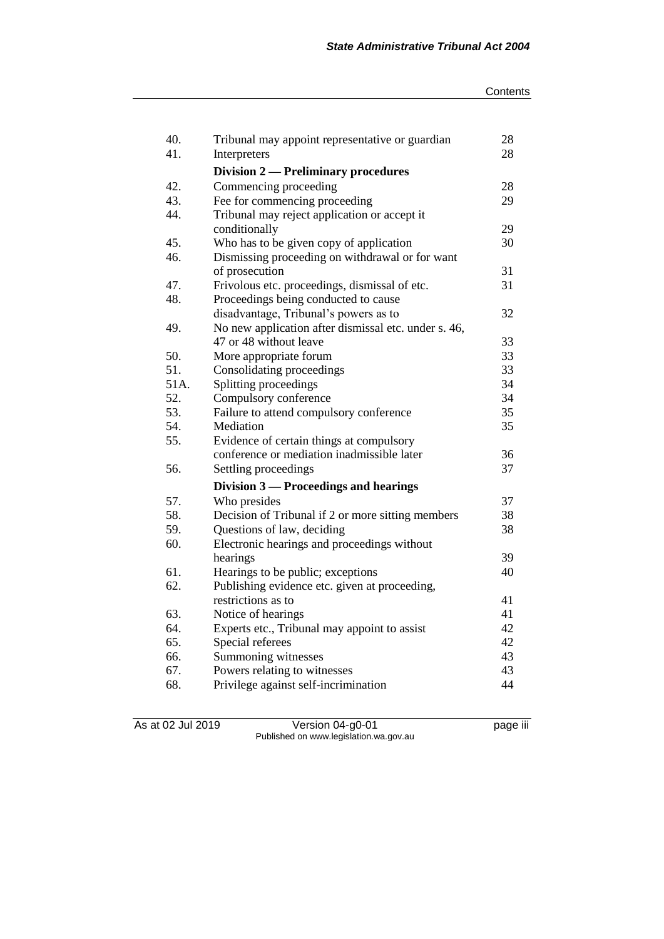| 40.  | Tribunal may appoint representative or guardian      | 28 |
|------|------------------------------------------------------|----|
| 41.  | Interpreters                                         | 28 |
|      | <b>Division 2 — Preliminary procedures</b>           |    |
| 42.  | Commencing proceeding                                | 28 |
| 43.  | Fee for commencing proceeding                        | 29 |
| 44.  | Tribunal may reject application or accept it         |    |
|      | conditionally                                        | 29 |
| 45.  | Who has to be given copy of application              | 30 |
| 46.  | Dismissing proceeding on withdrawal or for want      |    |
|      | of prosecution                                       | 31 |
| 47.  | Frivolous etc. proceedings, dismissal of etc.        | 31 |
| 48.  | Proceedings being conducted to cause                 |    |
|      | disadvantage, Tribunal's powers as to                | 32 |
| 49.  | No new application after dismissal etc. under s. 46, |    |
|      | 47 or 48 without leave                               | 33 |
| 50.  | More appropriate forum                               | 33 |
| 51.  | Consolidating proceedings                            | 33 |
| 51A. | Splitting proceedings                                | 34 |
| 52.  | Compulsory conference                                | 34 |
| 53.  | Failure to attend compulsory conference              | 35 |
| 54.  | Mediation                                            | 35 |
| 55.  | Evidence of certain things at compulsory             |    |
|      | conference or mediation inadmissible later           | 36 |
| 56.  | Settling proceedings                                 | 37 |
|      | Division 3 — Proceedings and hearings                |    |
| 57.  | Who presides                                         | 37 |
| 58.  | Decision of Tribunal if 2 or more sitting members    | 38 |
| 59.  | Questions of law, deciding                           | 38 |
| 60.  | Electronic hearings and proceedings without          |    |
|      | hearings                                             | 39 |
| 61.  | Hearings to be public; exceptions                    | 40 |
| 62.  | Publishing evidence etc. given at proceeding,        |    |
|      | restrictions as to                                   | 41 |
| 63.  | Notice of hearings                                   | 41 |
| 64.  | Experts etc., Tribunal may appoint to assist         | 42 |
| 65.  | Special referees                                     | 42 |
| 66.  | Summoning witnesses                                  | 43 |
| 67.  | Powers relating to witnesses                         | 43 |
| 68.  | Privilege against self-incrimination                 | 44 |

As at 02 Jul 2019 Version 04-g0-01 page iii Published on www.legislation.wa.gov.au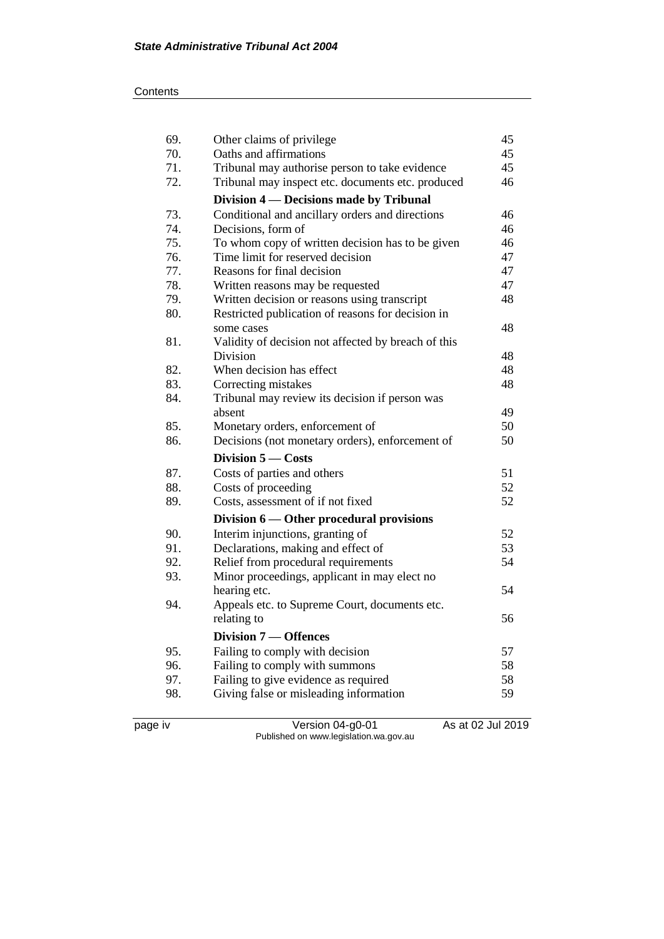| 69. | Other claims of privilege                           | 45 |
|-----|-----------------------------------------------------|----|
| 70. | Oaths and affirmations                              | 45 |
| 71. | Tribunal may authorise person to take evidence      | 45 |
| 72. | Tribunal may inspect etc. documents etc. produced   | 46 |
|     | Division 4 — Decisions made by Tribunal             |    |
| 73. | Conditional and ancillary orders and directions     | 46 |
| 74. | Decisions, form of                                  | 46 |
| 75. | To whom copy of written decision has to be given    | 46 |
| 76. | Time limit for reserved decision                    | 47 |
| 77. | Reasons for final decision                          | 47 |
| 78. | Written reasons may be requested                    | 47 |
| 79. | Written decision or reasons using transcript        | 48 |
| 80. | Restricted publication of reasons for decision in   |    |
|     | some cases                                          | 48 |
| 81. | Validity of decision not affected by breach of this |    |
|     | Division                                            | 48 |
| 82. | When decision has effect                            | 48 |
| 83. | Correcting mistakes                                 | 48 |
| 84. | Tribunal may review its decision if person was      |    |
|     | absent                                              | 49 |
| 85. | Monetary orders, enforcement of                     | 50 |
| 86. | Decisions (not monetary orders), enforcement of     | 50 |
|     | Division 5 - Costs                                  |    |
| 87. | Costs of parties and others                         | 51 |
|     |                                                     |    |
| 88. | Costs of proceeding                                 | 52 |
| 89. | Costs, assessment of if not fixed                   | 52 |
|     | Division 6 — Other procedural provisions            |    |
| 90. | Interim injunctions, granting of                    | 52 |
| 91. | Declarations, making and effect of                  | 53 |
| 92. | Relief from procedural requirements                 | 54 |
| 93. | Minor proceedings, applicant in may elect no        |    |
|     | hearing etc.                                        | 54 |
| 94. | Appeals etc. to Supreme Court, documents etc.       |    |
|     | relating to                                         | 56 |
|     | <b>Division 7 – Offences</b>                        |    |
| 95. | Failing to comply with decision                     | 57 |
| 96. | Failing to comply with summons                      | 58 |
| 97. | Failing to give evidence as required                | 58 |
| 98. | Giving false or misleading information              | 59 |

page iv Version 04-g0-01 As at 02 Jul 2019 Published on www.legislation.wa.gov.au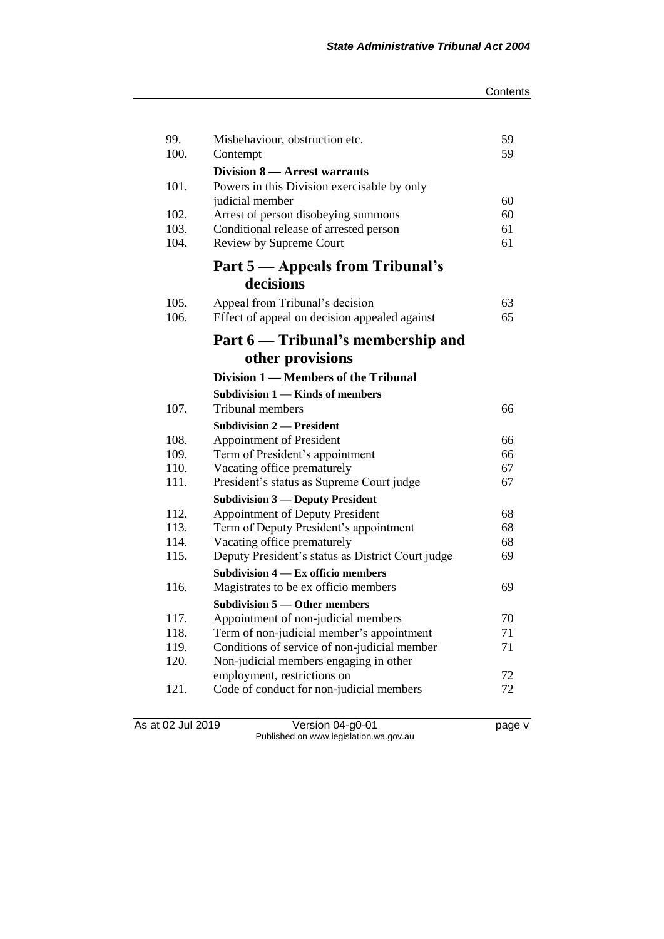| 99.<br>100.  | Misbehaviour, obstruction etc.<br>Contempt                              | 59<br>59 |
|--------------|-------------------------------------------------------------------------|----------|
|              | <b>Division 8 – Arrest warrants</b>                                     |          |
| 101.         | Powers in this Division exercisable by only                             |          |
|              | judicial member                                                         | 60       |
| 102.         | Arrest of person disobeying summons                                     | 60       |
| 103.<br>104. | Conditional release of arrested person                                  | 61       |
|              | Review by Supreme Court                                                 | 61       |
|              | <b>Part 5 — Appeals from Tribunal's</b>                                 |          |
|              | decisions                                                               |          |
| 105.         | Appeal from Tribunal's decision                                         | 63       |
| 106.         | Effect of appeal on decision appealed against                           | 65       |
|              | Part 6 - Tribunal's membership and                                      |          |
|              | other provisions                                                        |          |
|              | Division 1 — Members of the Tribunal                                    |          |
|              | Subdivision 1 — Kinds of members                                        |          |
| 107.         | Tribunal members                                                        | 66       |
|              | <b>Subdivision 2 – President</b>                                        |          |
| 108.         | <b>Appointment of President</b>                                         | 66       |
| 109.         | Term of President's appointment                                         | 66       |
| 110.         | Vacating office prematurely                                             | 67       |
| 111.         | President's status as Supreme Court judge                               | 67       |
|              | <b>Subdivision 3 — Deputy President</b>                                 |          |
| 112.         | <b>Appointment of Deputy President</b>                                  | 68       |
| 113.         | Term of Deputy President's appointment                                  | 68       |
| 114.         | Vacating office prematurely                                             | 68       |
| 115.         | Deputy President's status as District Court judge                       | 69       |
|              | Subdivision 4 – Ex officio members                                      |          |
| 116.         | Magistrates to be ex officio members                                    | 69       |
|              | <b>Subdivision 5 — Other members</b>                                    |          |
| 117.         | Appointment of non-judicial members                                     | 70       |
| 118.         | Term of non-judicial member's appointment                               | 71       |
| 119.         | Conditions of service of non-judicial member                            | 71       |
| 120.         | Non-judicial members engaging in other                                  | 72       |
| 121.         | employment, restrictions on<br>Code of conduct for non-judicial members | 72       |
|              |                                                                         |          |

As at 02 Jul 2019 Version 04-g0-01 page v Published on www.legislation.wa.gov.au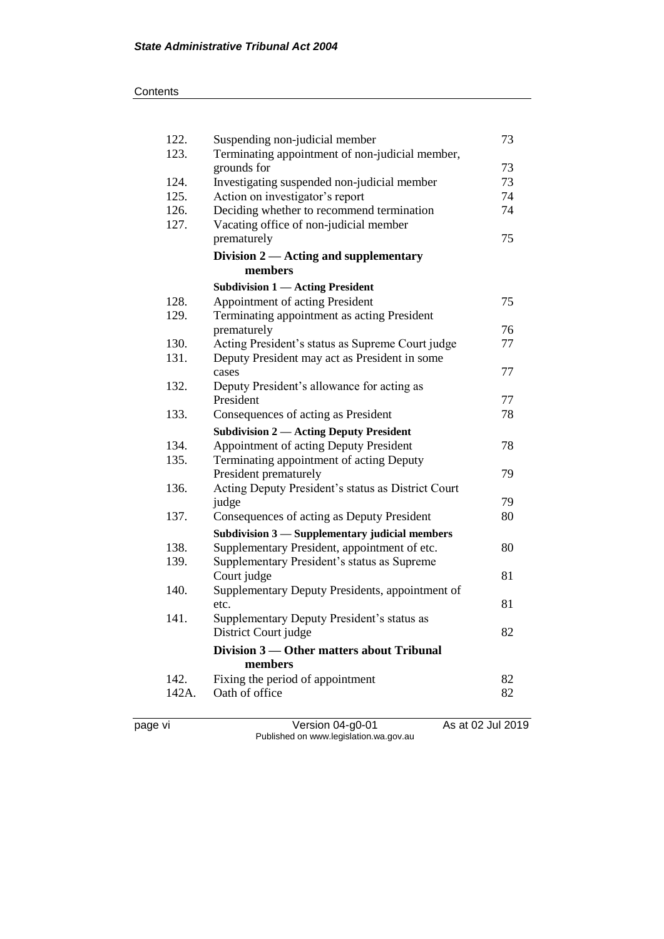| 122.  | Suspending non-judicial member                     | 73 |
|-------|----------------------------------------------------|----|
| 123.  | Terminating appointment of non-judicial member,    |    |
|       | grounds for                                        | 73 |
| 124.  | Investigating suspended non-judicial member        | 73 |
| 125.  | Action on investigator's report                    | 74 |
| 126.  | Deciding whether to recommend termination          | 74 |
| 127.  | Vacating office of non-judicial member             |    |
|       | prematurely                                        | 75 |
|       | Division $2$ — Acting and supplementary            |    |
|       | members                                            |    |
|       | <b>Subdivision 1 — Acting President</b>            |    |
| 128.  | Appointment of acting President                    | 75 |
| 129.  | Terminating appointment as acting President        |    |
|       | prematurely                                        | 76 |
| 130.  | Acting President's status as Supreme Court judge   | 77 |
| 131.  | Deputy President may act as President in some      |    |
|       | cases                                              | 77 |
| 132.  | Deputy President's allowance for acting as         |    |
|       | President                                          | 77 |
| 133.  | Consequences of acting as President                | 78 |
|       | <b>Subdivision 2 — Acting Deputy President</b>     |    |
| 134.  | Appointment of acting Deputy President             | 78 |
|       |                                                    |    |
| 135.  | Terminating appointment of acting Deputy           |    |
|       | President prematurely                              | 79 |
| 136.  | Acting Deputy President's status as District Court |    |
|       | judge                                              | 79 |
| 137.  | Consequences of acting as Deputy President         | 80 |
|       | Subdivision 3 - Supplementary judicial members     |    |
| 138.  | Supplementary President, appointment of etc.       | 80 |
| 139.  | Supplementary President's status as Supreme        |    |
|       | Court judge                                        | 81 |
| 140.  | Supplementary Deputy Presidents, appointment of    |    |
|       | etc.                                               | 81 |
| 141.  | Supplementary Deputy President's status as         |    |
|       | District Court judge                               | 82 |
|       | Division 3 — Other matters about Tribunal          |    |
|       | members                                            |    |
| 142.  | Fixing the period of appointment                   | 82 |
| 142A. | Oath of office                                     | 82 |

page vi Version 04-g0-01 As at 02 Jul 2019 Published on www.legislation.wa.gov.au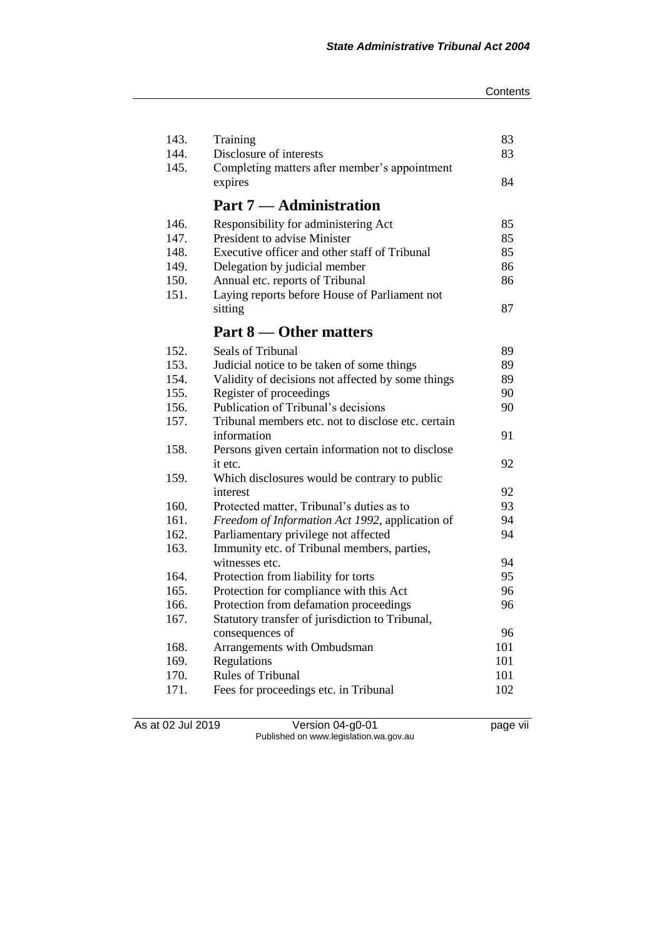| 143.         | Training                                                                            | 83  |
|--------------|-------------------------------------------------------------------------------------|-----|
| 144.         | Disclosure of interests                                                             | 83  |
| 145.         | Completing matters after member's appointment                                       |     |
|              | expires                                                                             | 84  |
|              | <b>Part 7 — Administration</b>                                                      |     |
| 146.         | Responsibility for administering Act                                                | 85  |
| 147.         | President to advise Minister                                                        | 85  |
| 148.         | Executive officer and other staff of Tribunal                                       | 85  |
| 149.         | Delegation by judicial member                                                       | 86  |
| 150.         | Annual etc. reports of Tribunal                                                     | 86  |
| 151.         | Laying reports before House of Parliament not                                       |     |
|              | sitting                                                                             | 87  |
|              | Part 8 — Other matters                                                              |     |
| 152.         | Seals of Tribunal                                                                   | 89  |
| 153.         | Judicial notice to be taken of some things                                          | 89  |
| 154.         | Validity of decisions not affected by some things                                   | 89  |
| 155.         | Register of proceedings                                                             | 90  |
| 156.         | Publication of Tribunal's decisions                                                 | 90  |
| 157.         | Tribunal members etc. not to disclose etc. certain                                  |     |
|              | information                                                                         | 91  |
| 158.         | Persons given certain information not to disclose                                   |     |
|              | it etc.                                                                             | 92  |
| 159.         | Which disclosures would be contrary to public                                       |     |
|              | interest                                                                            | 92  |
| 160.         | Protected matter, Tribunal's duties as to                                           | 93  |
| 161.         | Freedom of Information Act 1992, application of                                     | 94  |
| 162.<br>163. | Parliamentary privilege not affected<br>Immunity etc. of Tribunal members, parties, | 94  |
|              | witnesses etc.                                                                      | 94  |
| 164.         | Protection from liability for torts                                                 | 95  |
| 165.         | Protection for compliance with this Act                                             | 96  |
| 166.         | Protection from defamation proceedings                                              | 96  |
| 167.         | Statutory transfer of jurisdiction to Tribunal,                                     |     |
|              | consequences of                                                                     | 96  |
| 168.         | Arrangements with Ombudsman                                                         | 101 |
| 169.         | Regulations                                                                         | 101 |
| 170.         | Rules of Tribunal                                                                   | 101 |
| 171.         | Fees for proceedings etc. in Tribunal                                               | 102 |
|              |                                                                                     |     |

As at 02 Jul 2019 Version 04-g0-01 page vii Published on www.legislation.wa.gov.au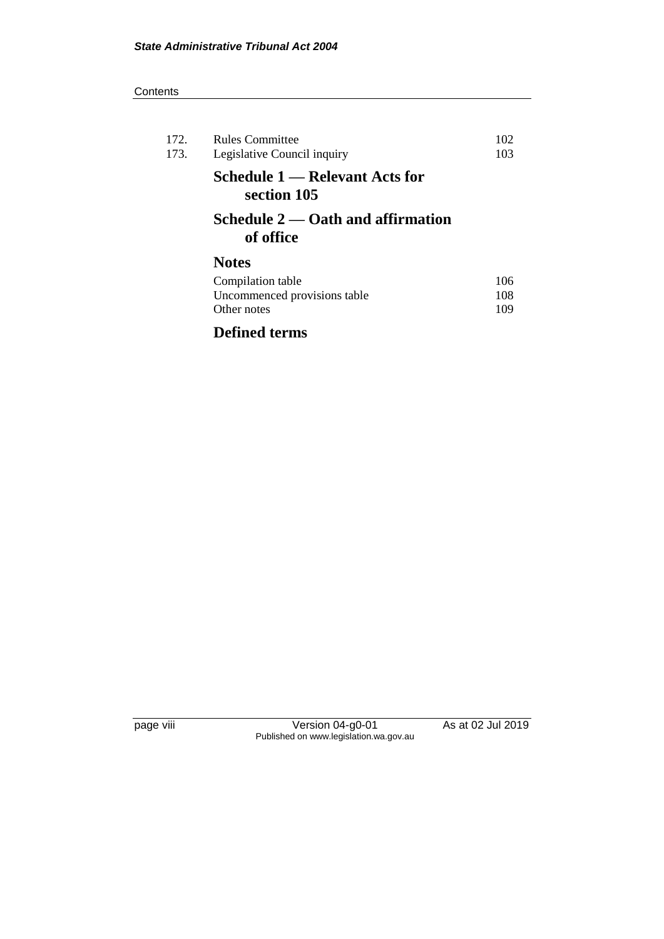| 172.<br>173. | <b>Rules Committee</b><br>Legislative Council inquiry | 102<br>103 |
|--------------|-------------------------------------------------------|------------|
|              | Schedule 1 — Relevant Acts for<br>section 105         |            |
|              | Schedule $2$ — Oath and affirmation<br>of office      |            |
|              | <b>Notes</b>                                          |            |
|              | Compilation table                                     | 106        |
|              | Uncommenced provisions table                          | 108        |
|              | Other notes                                           | 109        |
|              |                                                       |            |

### **Defined terms**

page viii Version 04-g0-01 As at 02 Jul 2019 Published on www.legislation.wa.gov.au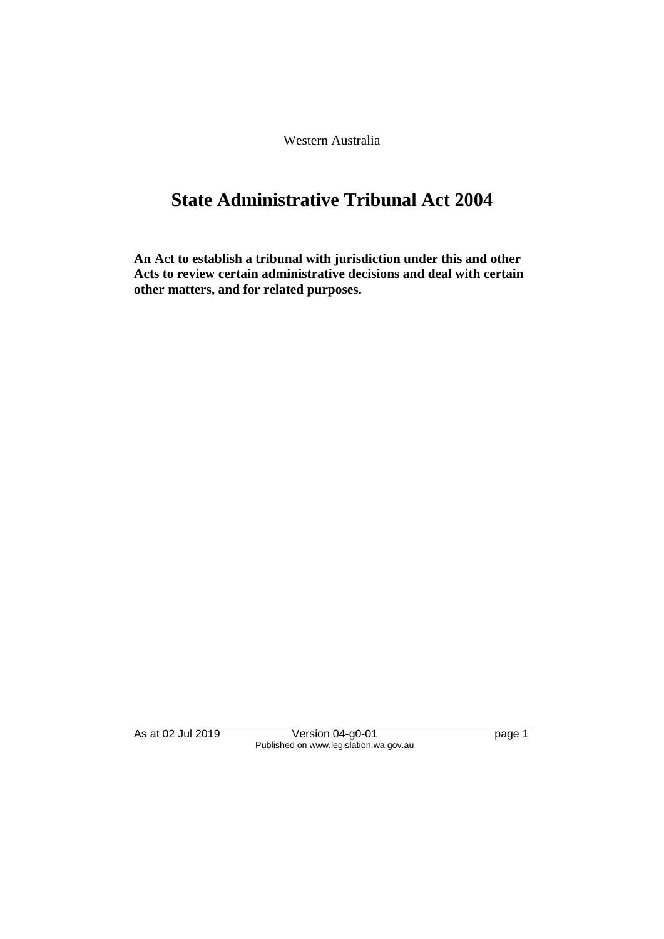Western Australia

# **State Administrative Tribunal Act 2004**

**An Act to establish a tribunal with jurisdiction under this and other Acts to review certain administrative decisions and deal with certain other matters, and for related purposes.**

As at 02 Jul 2019 Version 04-g0-01 page 1 Published on www.legislation.wa.gov.au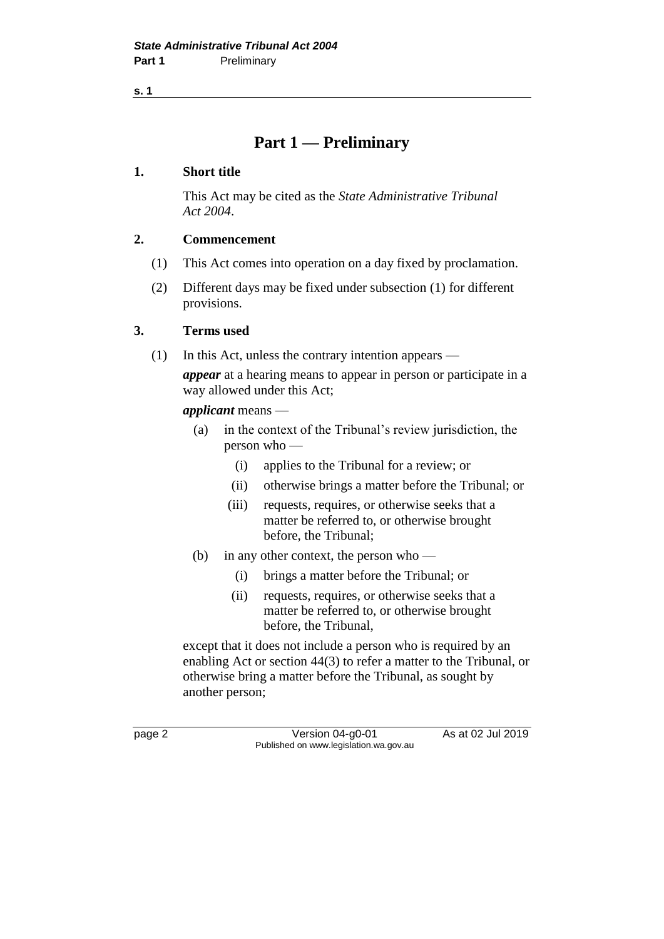**s. 1**

### **Part 1 — Preliminary**

### **1. Short title**

This Act may be cited as the *State Administrative Tribunal Act 2004*.

### **2. Commencement**

- (1) This Act comes into operation on a day fixed by proclamation.
- (2) Different days may be fixed under subsection (1) for different provisions.

### **3. Terms used**

(1) In this Act, unless the contrary intention appears —

*appear* at a hearing means to appear in person or participate in a way allowed under this Act;

*applicant* means —

- (a) in the context of the Tribunal's review jurisdiction, the person who —
	- (i) applies to the Tribunal for a review; or
	- (ii) otherwise brings a matter before the Tribunal; or
	- (iii) requests, requires, or otherwise seeks that a matter be referred to, or otherwise brought before, the Tribunal;
- (b) in any other context, the person who
	- (i) brings a matter before the Tribunal; or
	- (ii) requests, requires, or otherwise seeks that a matter be referred to, or otherwise brought before, the Tribunal,

except that it does not include a person who is required by an enabling Act or section 44(3) to refer a matter to the Tribunal, or otherwise bring a matter before the Tribunal, as sought by another person;

page 2 Version 04-g0-01 As at 02 Jul 2019 Published on www.legislation.wa.gov.au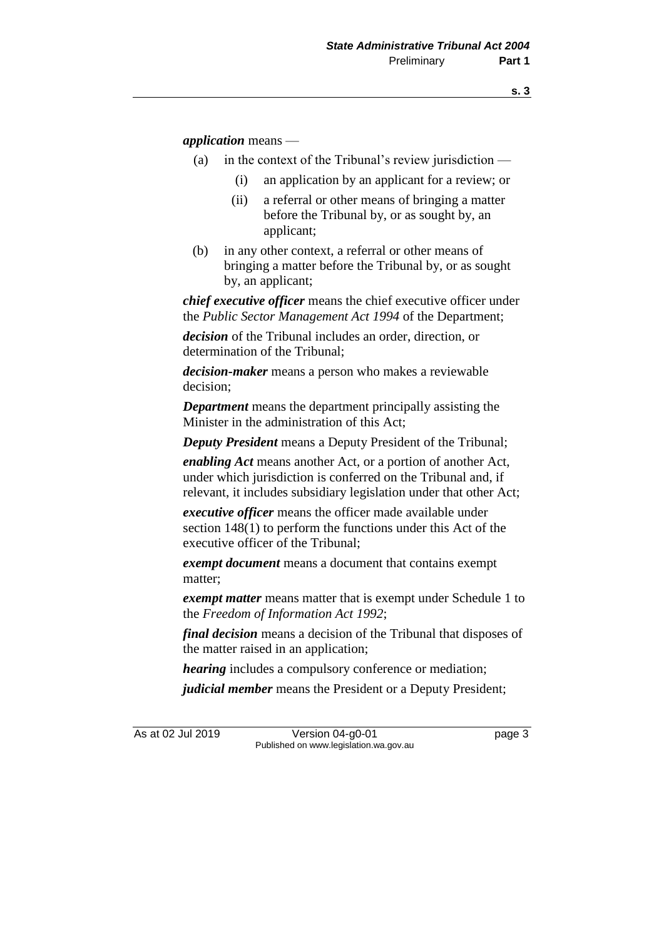*application* means —

- (a) in the context of the Tribunal's review jurisdiction
	- (i) an application by an applicant for a review; or
	- (ii) a referral or other means of bringing a matter before the Tribunal by, or as sought by, an applicant;
- (b) in any other context, a referral or other means of bringing a matter before the Tribunal by, or as sought by, an applicant;

*chief executive officer* means the chief executive officer under the *Public Sector Management Act 1994* of the Department;

*decision* of the Tribunal includes an order, direction, or determination of the Tribunal;

*decision-maker* means a person who makes a reviewable decision;

*Department* means the department principally assisting the Minister in the administration of this Act;

*Deputy President* means a Deputy President of the Tribunal;

*enabling Act* means another Act, or a portion of another Act, under which jurisdiction is conferred on the Tribunal and, if relevant, it includes subsidiary legislation under that other Act;

*executive officer* means the officer made available under section 148(1) to perform the functions under this Act of the executive officer of the Tribunal;

*exempt document* means a document that contains exempt matter;

*exempt matter* means matter that is exempt under Schedule 1 to the *Freedom of Information Act 1992*;

*final decision* means a decision of the Tribunal that disposes of the matter raised in an application;

*hearing* includes a compulsory conference or mediation;

*judicial member* means the President or a Deputy President;

As at 02 Jul 2019 Version 04-g0-01 page 3 Published on www.legislation.wa.gov.au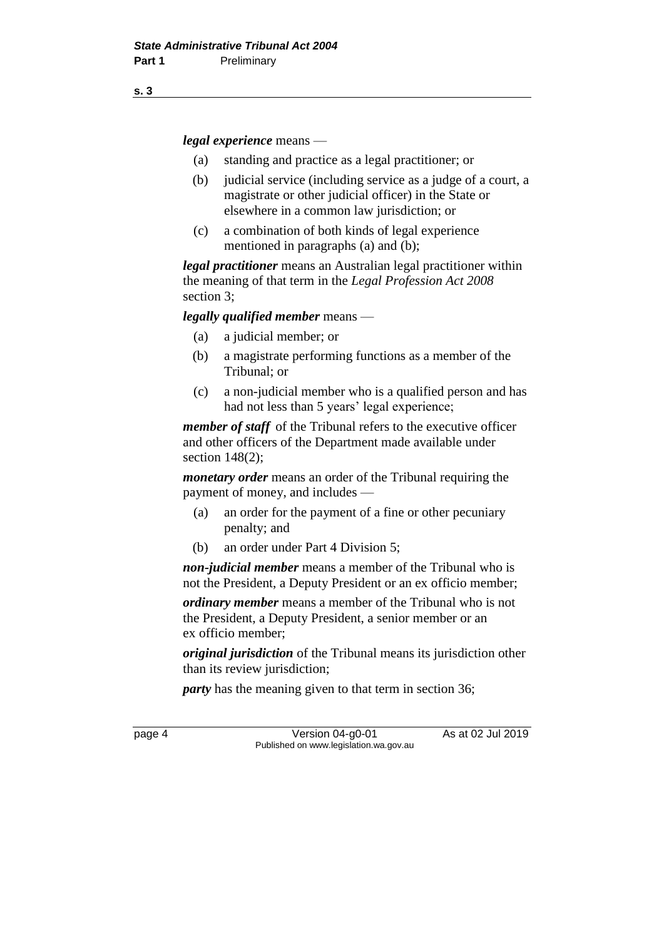*legal experience* means —

- (a) standing and practice as a legal practitioner; or
- (b) judicial service (including service as a judge of a court, a magistrate or other judicial officer) in the State or elsewhere in a common law jurisdiction; or
- (c) a combination of both kinds of legal experience mentioned in paragraphs (a) and (b);

*legal practitioner* means an Australian legal practitioner within the meaning of that term in the *Legal Profession Act 2008* section 3;

*legally qualified member* means —

- (a) a judicial member; or
- (b) a magistrate performing functions as a member of the Tribunal; or
- (c) a non-judicial member who is a qualified person and has had not less than 5 years' legal experience;

*member of staff* of the Tribunal refers to the executive officer and other officers of the Department made available under section 148(2);

*monetary order* means an order of the Tribunal requiring the payment of money, and includes —

- (a) an order for the payment of a fine or other pecuniary penalty; and
- (b) an order under Part 4 Division 5;

*non-judicial member* means a member of the Tribunal who is not the President, a Deputy President or an ex officio member;

*ordinary member* means a member of the Tribunal who is not the President, a Deputy President, a senior member or an ex officio member;

*original jurisdiction* of the Tribunal means its jurisdiction other than its review jurisdiction;

*party* has the meaning given to that term in section 36;

page 4 Version 04-g0-01 As at 02 Jul 2019 Published on www.legislation.wa.gov.au

**s. 3**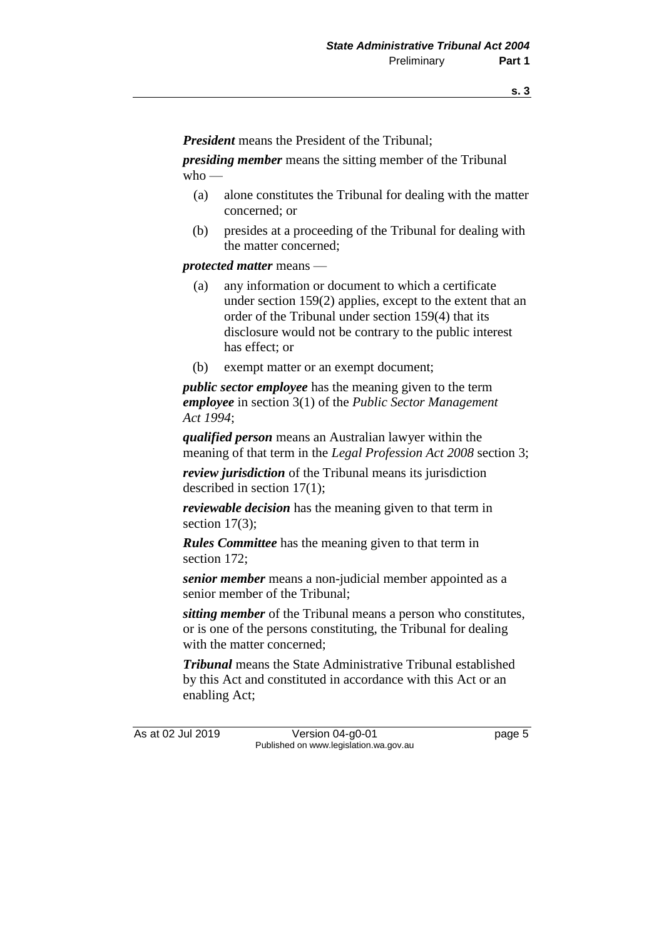*President* means the President of the Tribunal;

*presiding member* means the sitting member of the Tribunal  $w$ ho —

- (a) alone constitutes the Tribunal for dealing with the matter concerned; or
- (b) presides at a proceeding of the Tribunal for dealing with the matter concerned;

*protected matter* means —

- (a) any information or document to which a certificate under section 159(2) applies, except to the extent that an order of the Tribunal under section 159(4) that its disclosure would not be contrary to the public interest has effect; or
- (b) exempt matter or an exempt document;

*public sector employee* has the meaning given to the term *employee* in section 3(1) of the *Public Sector Management Act 1994*;

*qualified person* means an Australian lawyer within the meaning of that term in the *Legal Profession Act 2008* section 3;

*review jurisdiction* of the Tribunal means its jurisdiction described in section 17(1);

*reviewable decision* has the meaning given to that term in section  $17(3)$ ;

*Rules Committee* has the meaning given to that term in section 172;

*senior member* means a non-judicial member appointed as a senior member of the Tribunal;

*sitting member* of the Tribunal means a person who constitutes, or is one of the persons constituting, the Tribunal for dealing with the matter concerned:

*Tribunal* means the State Administrative Tribunal established by this Act and constituted in accordance with this Act or an enabling Act;

As at 02 Jul 2019 Version 04-g0-01 page 5 Published on www.legislation.wa.gov.au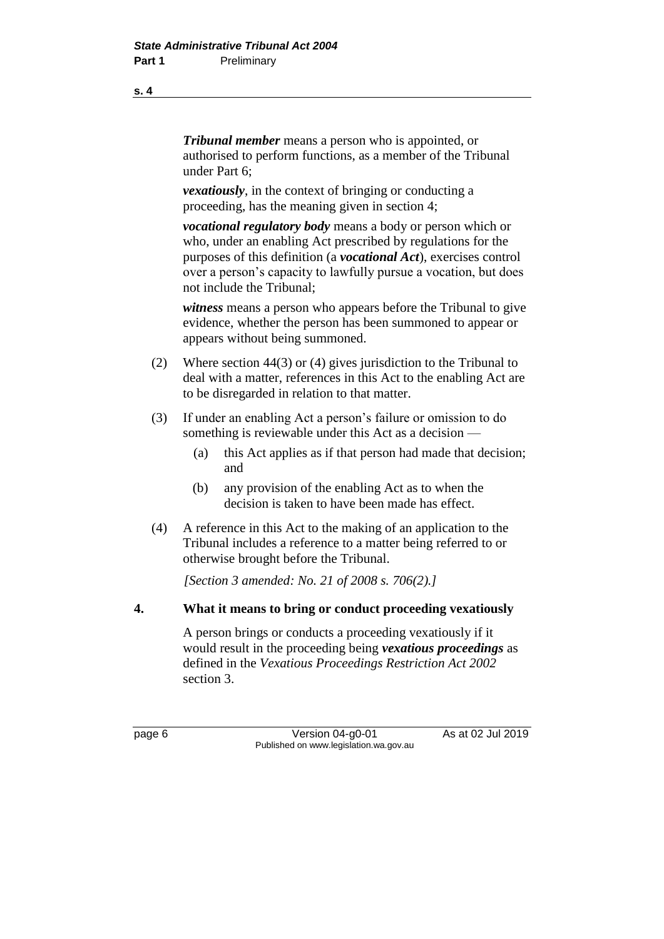*Tribunal member* means a person who is appointed, or authorised to perform functions, as a member of the Tribunal under Part 6;

*vexatiously*, in the context of bringing or conducting a proceeding, has the meaning given in section 4;

*vocational regulatory body* means a body or person which or who, under an enabling Act prescribed by regulations for the purposes of this definition (a *vocational Act*), exercises control over a person's capacity to lawfully pursue a vocation, but does not include the Tribunal;

*witness* means a person who appears before the Tribunal to give evidence, whether the person has been summoned to appear or appears without being summoned.

- (2) Where section 44(3) or (4) gives jurisdiction to the Tribunal to deal with a matter, references in this Act to the enabling Act are to be disregarded in relation to that matter.
- (3) If under an enabling Act a person's failure or omission to do something is reviewable under this Act as a decision —
	- (a) this Act applies as if that person had made that decision; and
	- (b) any provision of the enabling Act as to when the decision is taken to have been made has effect.
- (4) A reference in this Act to the making of an application to the Tribunal includes a reference to a matter being referred to or otherwise brought before the Tribunal.

*[Section 3 amended: No. 21 of 2008 s. 706(2).]*

### **4. What it means to bring or conduct proceeding vexatiously**

A person brings or conducts a proceeding vexatiously if it would result in the proceeding being *vexatious proceedings* as defined in the *Vexatious Proceedings Restriction Act 2002* section 3.

page 6 Version 04-g0-01 As at 02 Jul 2019 Published on www.legislation.wa.gov.au

**s. 4**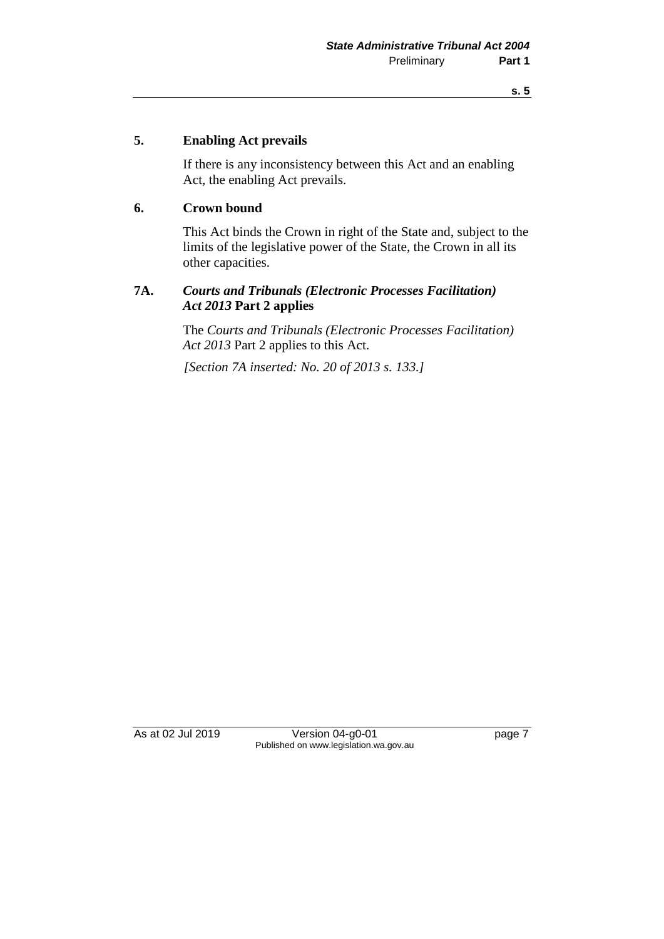#### **5. Enabling Act prevails**

If there is any inconsistency between this Act and an enabling Act, the enabling Act prevails.

### **6. Crown bound**

This Act binds the Crown in right of the State and, subject to the limits of the legislative power of the State, the Crown in all its other capacities.

### **7A.** *Courts and Tribunals (Electronic Processes Facilitation) Act 2013* **Part 2 applies**

The *Courts and Tribunals (Electronic Processes Facilitation) Act 2013* Part 2 applies to this Act.

*[Section 7A inserted: No. 20 of 2013 s. 133.]*

As at 02 Jul 2019 Version 04-g0-01 page 7 Published on www.legislation.wa.gov.au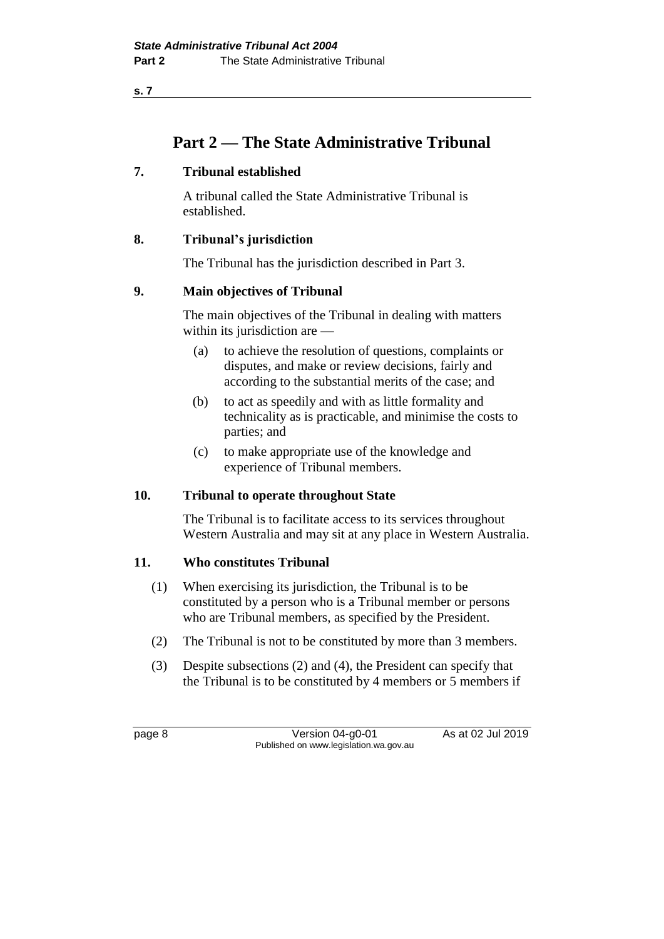**s. 7**

### **Part 2 — The State Administrative Tribunal**

### **7. Tribunal established**

A tribunal called the State Administrative Tribunal is established.

### **8. Tribunal's jurisdiction**

The Tribunal has the jurisdiction described in Part 3.

### **9. Main objectives of Tribunal**

The main objectives of the Tribunal in dealing with matters within its jurisdiction are —

- (a) to achieve the resolution of questions, complaints or disputes, and make or review decisions, fairly and according to the substantial merits of the case; and
- (b) to act as speedily and with as little formality and technicality as is practicable, and minimise the costs to parties; and
- (c) to make appropriate use of the knowledge and experience of Tribunal members.

### **10. Tribunal to operate throughout State**

The Tribunal is to facilitate access to its services throughout Western Australia and may sit at any place in Western Australia.

### **11. Who constitutes Tribunal**

- (1) When exercising its jurisdiction, the Tribunal is to be constituted by a person who is a Tribunal member or persons who are Tribunal members, as specified by the President.
- (2) The Tribunal is not to be constituted by more than 3 members.
- (3) Despite subsections (2) and (4), the President can specify that the Tribunal is to be constituted by 4 members or 5 members if

page 8 Version 04-g0-01 As at 02 Jul 2019 Published on www.legislation.wa.gov.au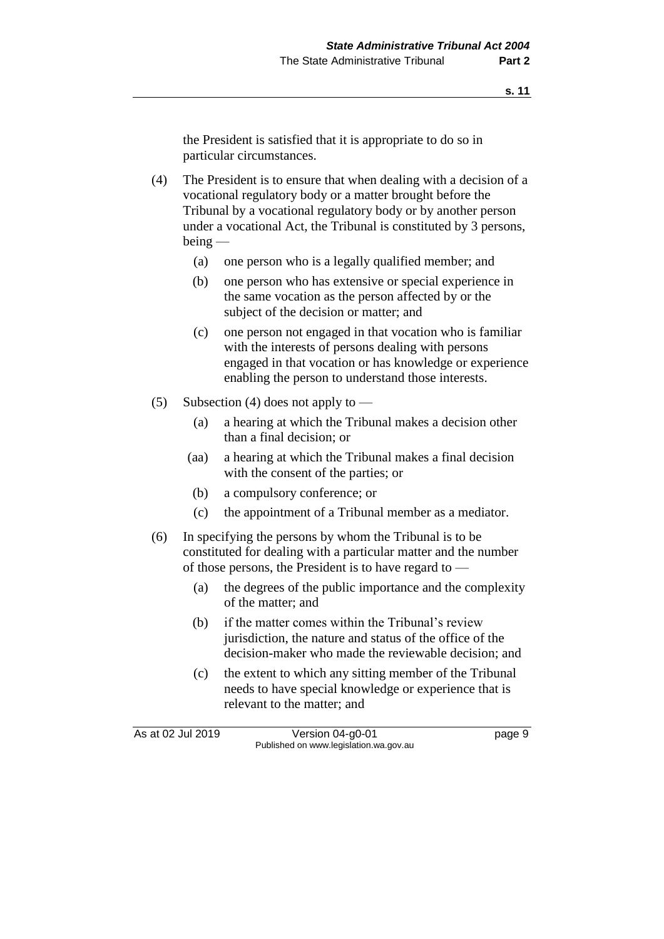the President is satisfied that it is appropriate to do so in particular circumstances.

(4) The President is to ensure that when dealing with a decision of a vocational regulatory body or a matter brought before the Tribunal by a vocational regulatory body or by another person under a vocational Act, the Tribunal is constituted by 3 persons, being —

- (a) one person who is a legally qualified member; and
- (b) one person who has extensive or special experience in the same vocation as the person affected by or the subject of the decision or matter; and
- (c) one person not engaged in that vocation who is familiar with the interests of persons dealing with persons engaged in that vocation or has knowledge or experience enabling the person to understand those interests.
- (5) Subsection (4) does not apply to
	- (a) a hearing at which the Tribunal makes a decision other than a final decision; or
	- (aa) a hearing at which the Tribunal makes a final decision with the consent of the parties; or
	- (b) a compulsory conference; or
	- (c) the appointment of a Tribunal member as a mediator.
- (6) In specifying the persons by whom the Tribunal is to be constituted for dealing with a particular matter and the number of those persons, the President is to have regard to —
	- (a) the degrees of the public importance and the complexity of the matter; and
	- (b) if the matter comes within the Tribunal's review jurisdiction, the nature and status of the office of the decision-maker who made the reviewable decision; and
	- (c) the extent to which any sitting member of the Tribunal needs to have special knowledge or experience that is relevant to the matter; and

As at 02 Jul 2019 Version 04-g0-01 page 9 Published on www.legislation.wa.gov.au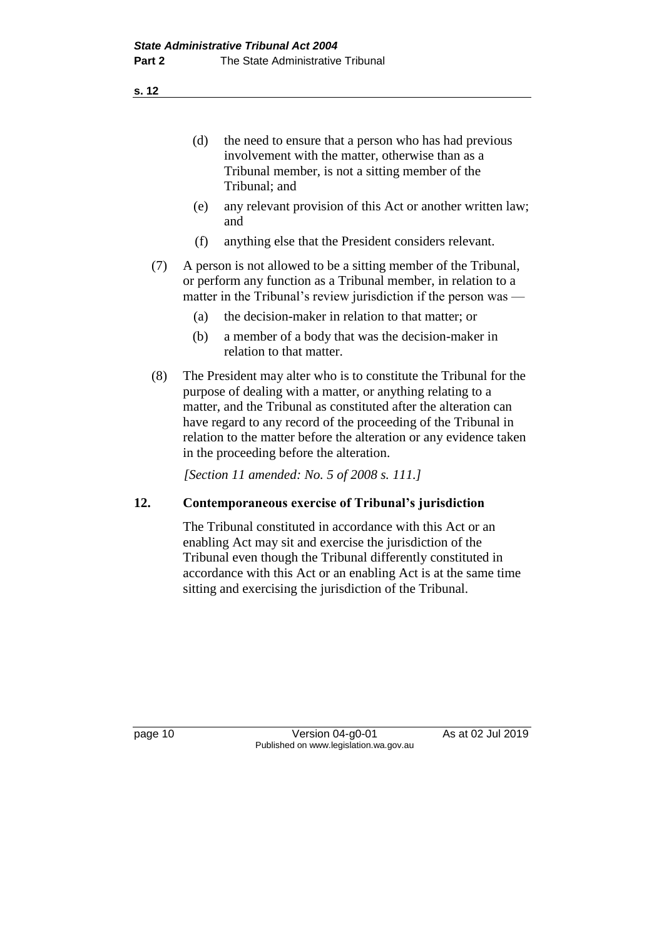**s. 12**

- (d) the need to ensure that a person who has had previous involvement with the matter, otherwise than as a Tribunal member, is not a sitting member of the Tribunal; and
- (e) any relevant provision of this Act or another written law; and
- (f) anything else that the President considers relevant.
- (7) A person is not allowed to be a sitting member of the Tribunal, or perform any function as a Tribunal member, in relation to a matter in the Tribunal's review jurisdiction if the person was —
	- (a) the decision-maker in relation to that matter; or
	- (b) a member of a body that was the decision-maker in relation to that matter.
- (8) The President may alter who is to constitute the Tribunal for the purpose of dealing with a matter, or anything relating to a matter, and the Tribunal as constituted after the alteration can have regard to any record of the proceeding of the Tribunal in relation to the matter before the alteration or any evidence taken in the proceeding before the alteration.

*[Section 11 amended: No. 5 of 2008 s. 111.]*

### **12. Contemporaneous exercise of Tribunal's jurisdiction**

The Tribunal constituted in accordance with this Act or an enabling Act may sit and exercise the jurisdiction of the Tribunal even though the Tribunal differently constituted in accordance with this Act or an enabling Act is at the same time sitting and exercising the jurisdiction of the Tribunal.

page 10 Version 04-g0-01 As at 02 Jul 2019 Published on www.legislation.wa.gov.au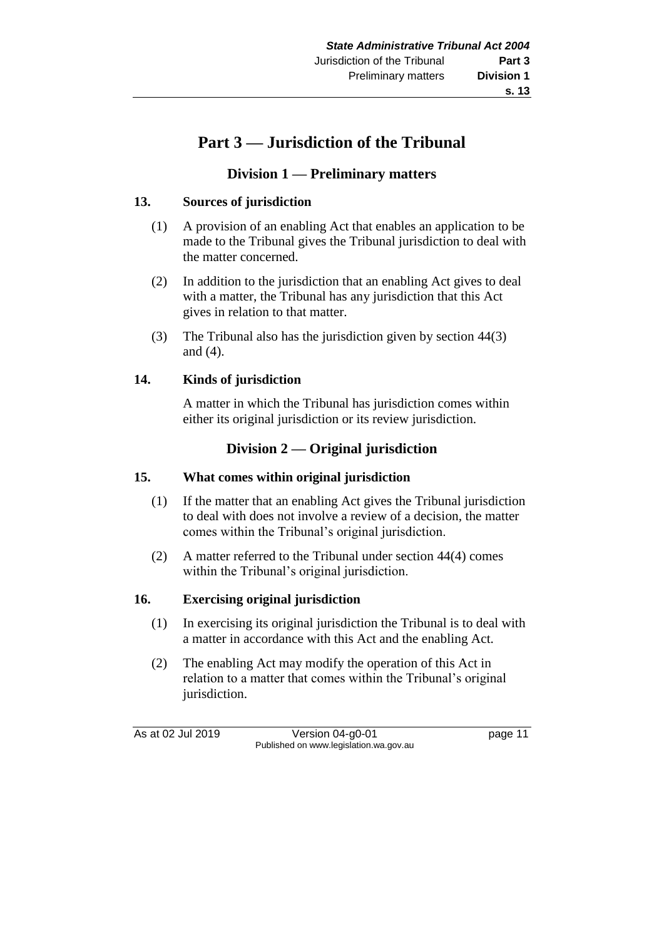# **Part 3 — Jurisdiction of the Tribunal**

### **Division 1 — Preliminary matters**

### **13. Sources of jurisdiction**

- (1) A provision of an enabling Act that enables an application to be made to the Tribunal gives the Tribunal jurisdiction to deal with the matter concerned.
- (2) In addition to the jurisdiction that an enabling Act gives to deal with a matter, the Tribunal has any jurisdiction that this Act gives in relation to that matter.
- (3) The Tribunal also has the jurisdiction given by section 44(3) and (4).

### **14. Kinds of jurisdiction**

A matter in which the Tribunal has jurisdiction comes within either its original jurisdiction or its review jurisdiction.

### **Division 2 — Original jurisdiction**

### **15. What comes within original jurisdiction**

- (1) If the matter that an enabling Act gives the Tribunal jurisdiction to deal with does not involve a review of a decision, the matter comes within the Tribunal's original jurisdiction.
- (2) A matter referred to the Tribunal under section 44(4) comes within the Tribunal's original jurisdiction.

### **16. Exercising original jurisdiction**

- (1) In exercising its original jurisdiction the Tribunal is to deal with a matter in accordance with this Act and the enabling Act.
- (2) The enabling Act may modify the operation of this Act in relation to a matter that comes within the Tribunal's original jurisdiction.

As at 02 Jul 2019 Version 04-g0-01 page 11 Published on www.legislation.wa.gov.au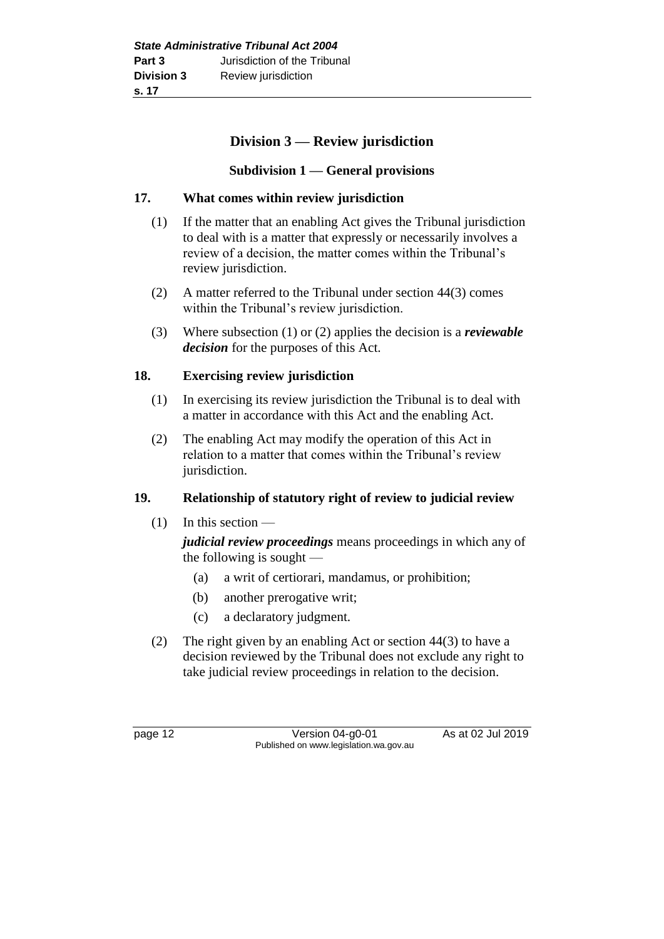### **Division 3 — Review jurisdiction**

### **Subdivision 1 — General provisions**

### **17. What comes within review jurisdiction**

- (1) If the matter that an enabling Act gives the Tribunal jurisdiction to deal with is a matter that expressly or necessarily involves a review of a decision, the matter comes within the Tribunal's review jurisdiction.
- (2) A matter referred to the Tribunal under section 44(3) comes within the Tribunal's review jurisdiction.
- (3) Where subsection (1) or (2) applies the decision is a *reviewable decision* for the purposes of this Act.

### **18. Exercising review jurisdiction**

- (1) In exercising its review jurisdiction the Tribunal is to deal with a matter in accordance with this Act and the enabling Act.
- (2) The enabling Act may modify the operation of this Act in relation to a matter that comes within the Tribunal's review jurisdiction.

### **19. Relationship of statutory right of review to judicial review**

(1) In this section —

*judicial review proceedings* means proceedings in which any of the following is sought —

- (a) a writ of certiorari, mandamus, or prohibition;
- (b) another prerogative writ;
- (c) a declaratory judgment.
- (2) The right given by an enabling Act or section 44(3) to have a decision reviewed by the Tribunal does not exclude any right to take judicial review proceedings in relation to the decision.

page 12 Version 04-g0-01 As at 02 Jul 2019 Published on www.legislation.wa.gov.au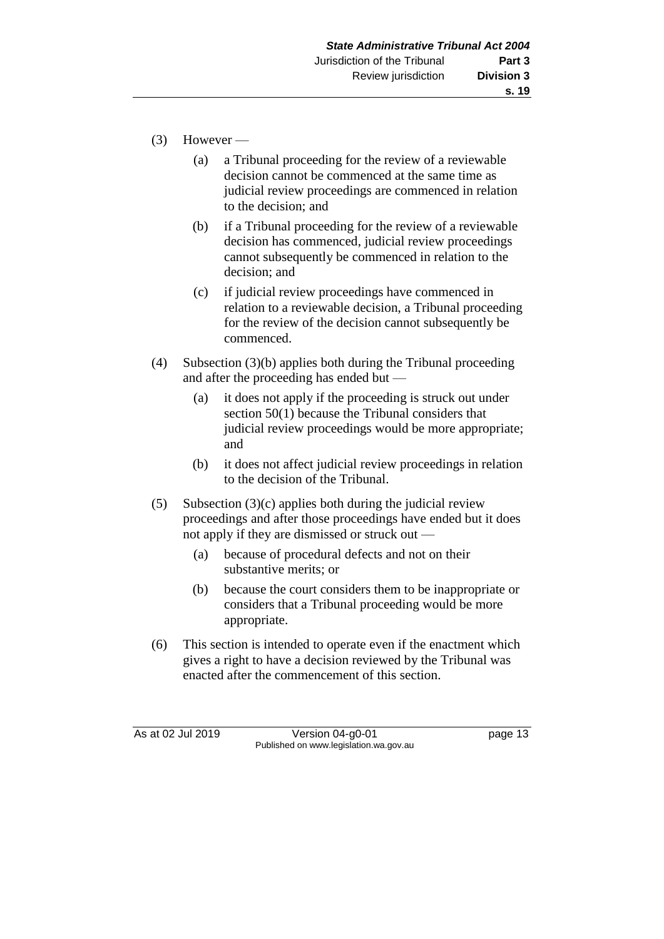- (3) However
	- (a) a Tribunal proceeding for the review of a reviewable decision cannot be commenced at the same time as judicial review proceedings are commenced in relation to the decision; and
	- (b) if a Tribunal proceeding for the review of a reviewable decision has commenced, judicial review proceedings cannot subsequently be commenced in relation to the decision; and
	- (c) if judicial review proceedings have commenced in relation to a reviewable decision, a Tribunal proceeding for the review of the decision cannot subsequently be commenced.
- (4) Subsection (3)(b) applies both during the Tribunal proceeding and after the proceeding has ended but —
	- (a) it does not apply if the proceeding is struck out under section 50(1) because the Tribunal considers that judicial review proceedings would be more appropriate; and
	- (b) it does not affect judicial review proceedings in relation to the decision of the Tribunal.
- (5) Subsection  $(3)(c)$  applies both during the judicial review proceedings and after those proceedings have ended but it does not apply if they are dismissed or struck out —
	- (a) because of procedural defects and not on their substantive merits; or
	- (b) because the court considers them to be inappropriate or considers that a Tribunal proceeding would be more appropriate.
- (6) This section is intended to operate even if the enactment which gives a right to have a decision reviewed by the Tribunal was enacted after the commencement of this section.

As at 02 Jul 2019 Version 04-g0-01 page 13 Published on www.legislation.wa.gov.au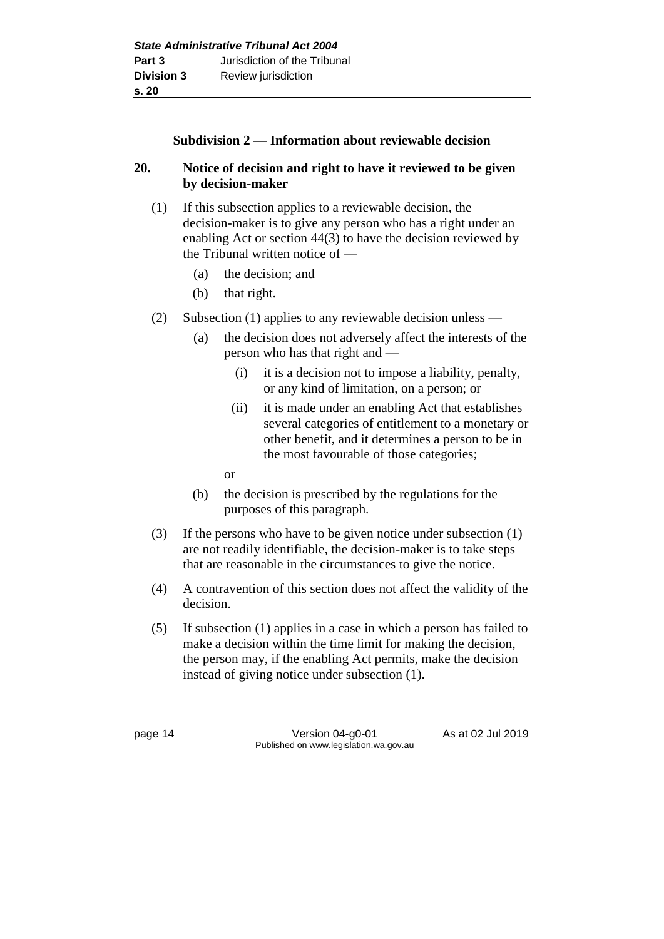### **Subdivision 2 — Information about reviewable decision**

### **20. Notice of decision and right to have it reviewed to be given by decision-maker**

- (1) If this subsection applies to a reviewable decision, the decision-maker is to give any person who has a right under an enabling Act or section 44(3) to have the decision reviewed by the Tribunal written notice of —
	- (a) the decision; and
	- (b) that right.
- (2) Subsection (1) applies to any reviewable decision unless
	- (a) the decision does not adversely affect the interests of the person who has that right and —
		- (i) it is a decision not to impose a liability, penalty, or any kind of limitation, on a person; or
		- (ii) it is made under an enabling Act that establishes several categories of entitlement to a monetary or other benefit, and it determines a person to be in the most favourable of those categories;
		- or
	- (b) the decision is prescribed by the regulations for the purposes of this paragraph.
- (3) If the persons who have to be given notice under subsection (1) are not readily identifiable, the decision-maker is to take steps that are reasonable in the circumstances to give the notice.
- (4) A contravention of this section does not affect the validity of the decision.
- (5) If subsection (1) applies in a case in which a person has failed to make a decision within the time limit for making the decision, the person may, if the enabling Act permits, make the decision instead of giving notice under subsection (1).

page 14 Version 04-g0-01 As at 02 Jul 2019 Published on www.legislation.wa.gov.au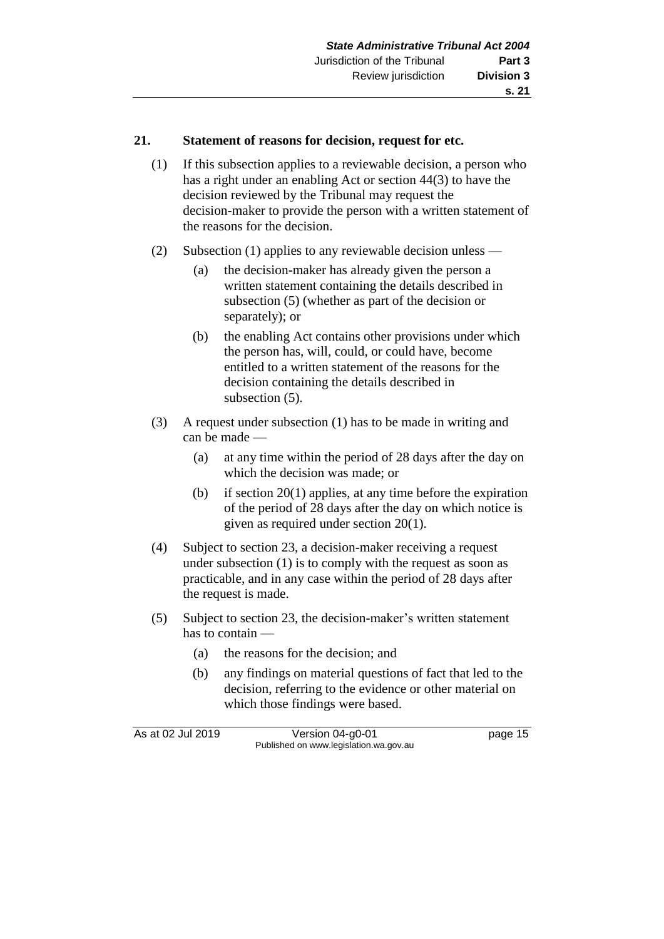### **21. Statement of reasons for decision, request for etc.**

- (1) If this subsection applies to a reviewable decision, a person who has a right under an enabling Act or section 44(3) to have the decision reviewed by the Tribunal may request the decision-maker to provide the person with a written statement of the reasons for the decision.
- (2) Subsection (1) applies to any reviewable decision unless
	- (a) the decision-maker has already given the person a written statement containing the details described in subsection (5) (whether as part of the decision or separately); or
	- (b) the enabling Act contains other provisions under which the person has, will, could, or could have, become entitled to a written statement of the reasons for the decision containing the details described in subsection (5).
- (3) A request under subsection (1) has to be made in writing and can be made —
	- (a) at any time within the period of 28 days after the day on which the decision was made; or
	- (b) if section 20(1) applies, at any time before the expiration of the period of 28 days after the day on which notice is given as required under section 20(1).
- (4) Subject to section 23, a decision-maker receiving a request under subsection (1) is to comply with the request as soon as practicable, and in any case within the period of 28 days after the request is made.
- (5) Subject to section 23, the decision-maker's written statement has to contain —
	- (a) the reasons for the decision; and
	- (b) any findings on material questions of fact that led to the decision, referring to the evidence or other material on which those findings were based.

As at 02 Jul 2019 Version 04-g0-01 page 15 Published on www.legislation.wa.gov.au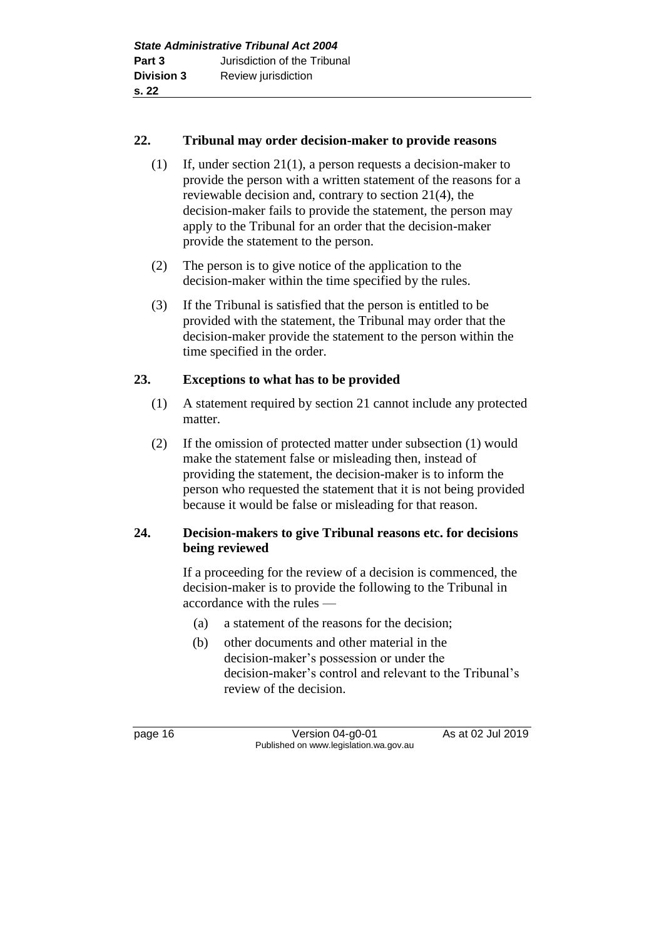### **22. Tribunal may order decision-maker to provide reasons**

- (1) If, under section 21(1), a person requests a decision-maker to provide the person with a written statement of the reasons for a reviewable decision and, contrary to section 21(4), the decision-maker fails to provide the statement, the person may apply to the Tribunal for an order that the decision-maker provide the statement to the person.
- (2) The person is to give notice of the application to the decision-maker within the time specified by the rules.
- (3) If the Tribunal is satisfied that the person is entitled to be provided with the statement, the Tribunal may order that the decision-maker provide the statement to the person within the time specified in the order.

### **23. Exceptions to what has to be provided**

- (1) A statement required by section 21 cannot include any protected matter.
- (2) If the omission of protected matter under subsection (1) would make the statement false or misleading then, instead of providing the statement, the decision-maker is to inform the person who requested the statement that it is not being provided because it would be false or misleading for that reason.

### **24. Decision-makers to give Tribunal reasons etc. for decisions being reviewed**

If a proceeding for the review of a decision is commenced, the decision-maker is to provide the following to the Tribunal in accordance with the rules —

- (a) a statement of the reasons for the decision;
- (b) other documents and other material in the decision-maker's possession or under the decision-maker's control and relevant to the Tribunal's review of the decision.

page 16 Version 04-g0-01 As at 02 Jul 2019 Published on www.legislation.wa.gov.au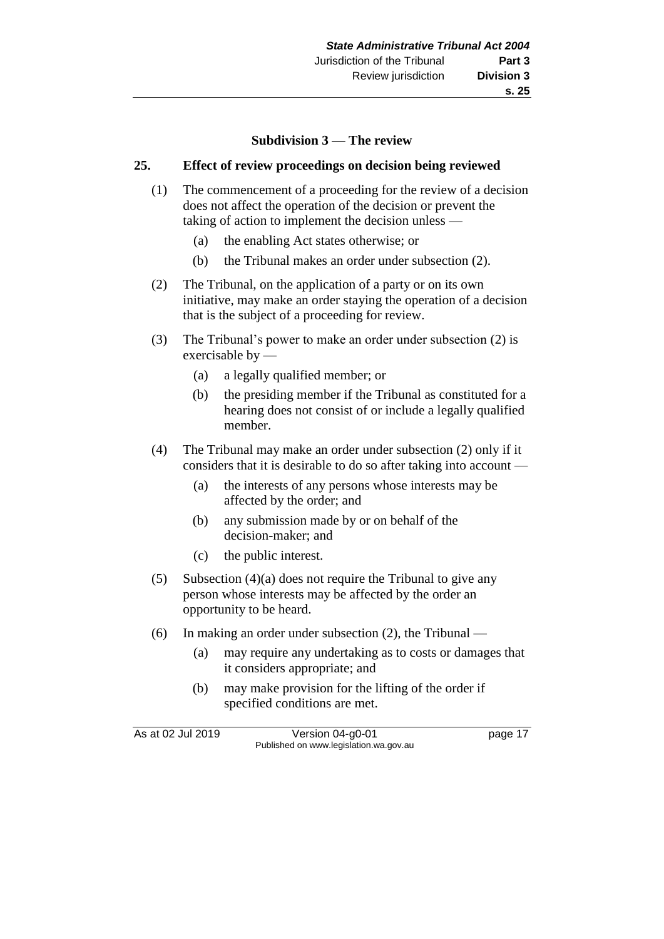### **Subdivision 3 — The review**

### **25. Effect of review proceedings on decision being reviewed**

- (1) The commencement of a proceeding for the review of a decision does not affect the operation of the decision or prevent the taking of action to implement the decision unless —
	- (a) the enabling Act states otherwise; or
	- (b) the Tribunal makes an order under subsection (2).
- (2) The Tribunal, on the application of a party or on its own initiative, may make an order staying the operation of a decision that is the subject of a proceeding for review.
- (3) The Tribunal's power to make an order under subsection (2) is exercisable by —
	- (a) a legally qualified member; or
	- (b) the presiding member if the Tribunal as constituted for a hearing does not consist of or include a legally qualified member.
- (4) The Tribunal may make an order under subsection (2) only if it considers that it is desirable to do so after taking into account —
	- (a) the interests of any persons whose interests may be affected by the order; and
	- (b) any submission made by or on behalf of the decision-maker; and
	- (c) the public interest.
- (5) Subsection (4)(a) does not require the Tribunal to give any person whose interests may be affected by the order an opportunity to be heard.
- (6) In making an order under subsection (2), the Tribunal
	- (a) may require any undertaking as to costs or damages that it considers appropriate; and
	- (b) may make provision for the lifting of the order if specified conditions are met.

As at 02 Jul 2019 Version 04-g0-01 page 17 Published on www.legislation.wa.gov.au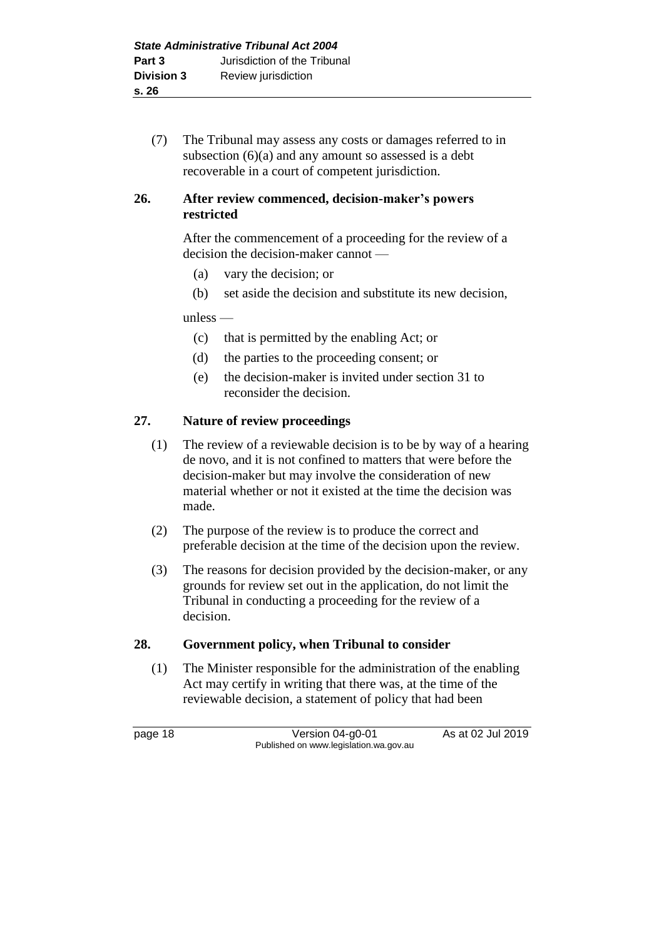(7) The Tribunal may assess any costs or damages referred to in subsection  $(6)(a)$  and any amount so assessed is a debt recoverable in a court of competent jurisdiction.

### **26. After review commenced, decision-maker's powers restricted**

After the commencement of a proceeding for the review of a decision the decision-maker cannot —

- (a) vary the decision; or
- (b) set aside the decision and substitute its new decision,

unless —

- (c) that is permitted by the enabling Act; or
- (d) the parties to the proceeding consent; or
- (e) the decision-maker is invited under section 31 to reconsider the decision.

### **27. Nature of review proceedings**

- (1) The review of a reviewable decision is to be by way of a hearing de novo, and it is not confined to matters that were before the decision-maker but may involve the consideration of new material whether or not it existed at the time the decision was made.
- (2) The purpose of the review is to produce the correct and preferable decision at the time of the decision upon the review.
- (3) The reasons for decision provided by the decision-maker, or any grounds for review set out in the application, do not limit the Tribunal in conducting a proceeding for the review of a decision.

#### **28. Government policy, when Tribunal to consider**

(1) The Minister responsible for the administration of the enabling Act may certify in writing that there was, at the time of the reviewable decision, a statement of policy that had been

page 18 Version 04-g0-01 As at 02 Jul 2019 Published on www.legislation.wa.gov.au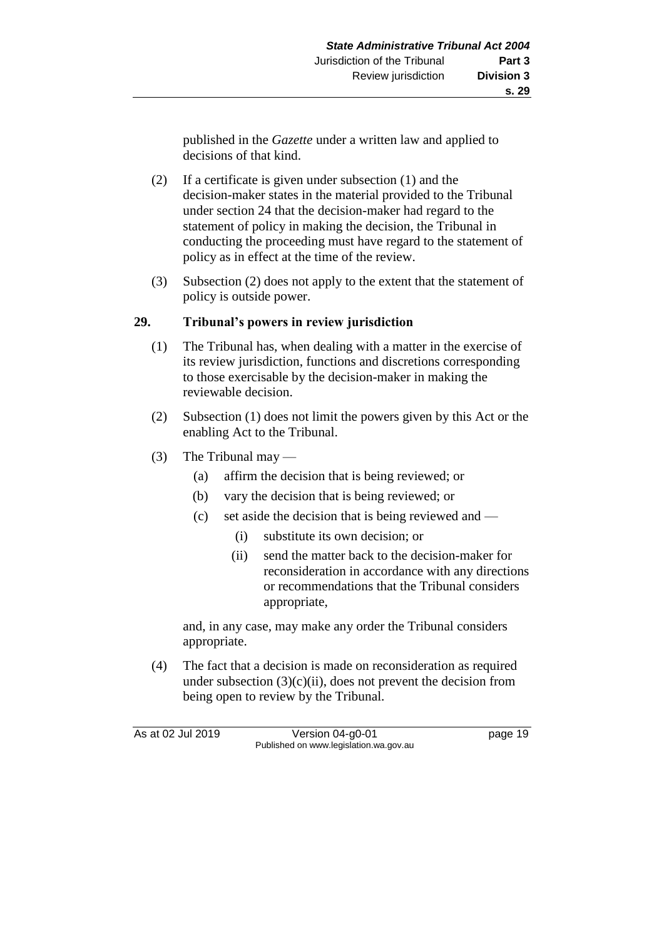published in the *Gazette* under a written law and applied to decisions of that kind.

- (2) If a certificate is given under subsection (1) and the decision-maker states in the material provided to the Tribunal under section 24 that the decision-maker had regard to the statement of policy in making the decision, the Tribunal in conducting the proceeding must have regard to the statement of policy as in effect at the time of the review.
- (3) Subsection (2) does not apply to the extent that the statement of policy is outside power.

### **29. Tribunal's powers in review jurisdiction**

- (1) The Tribunal has, when dealing with a matter in the exercise of its review jurisdiction, functions and discretions corresponding to those exercisable by the decision-maker in making the reviewable decision.
- (2) Subsection (1) does not limit the powers given by this Act or the enabling Act to the Tribunal.
- (3) The Tribunal may
	- (a) affirm the decision that is being reviewed; or
	- (b) vary the decision that is being reviewed; or
	- (c) set aside the decision that is being reviewed and
		- (i) substitute its own decision; or
		- (ii) send the matter back to the decision-maker for reconsideration in accordance with any directions or recommendations that the Tribunal considers appropriate,

and, in any case, may make any order the Tribunal considers appropriate.

(4) The fact that a decision is made on reconsideration as required under subsection  $(3)(c)(ii)$ , does not prevent the decision from being open to review by the Tribunal.

As at 02 Jul 2019 Version 04-g0-01 page 19 Published on www.legislation.wa.gov.au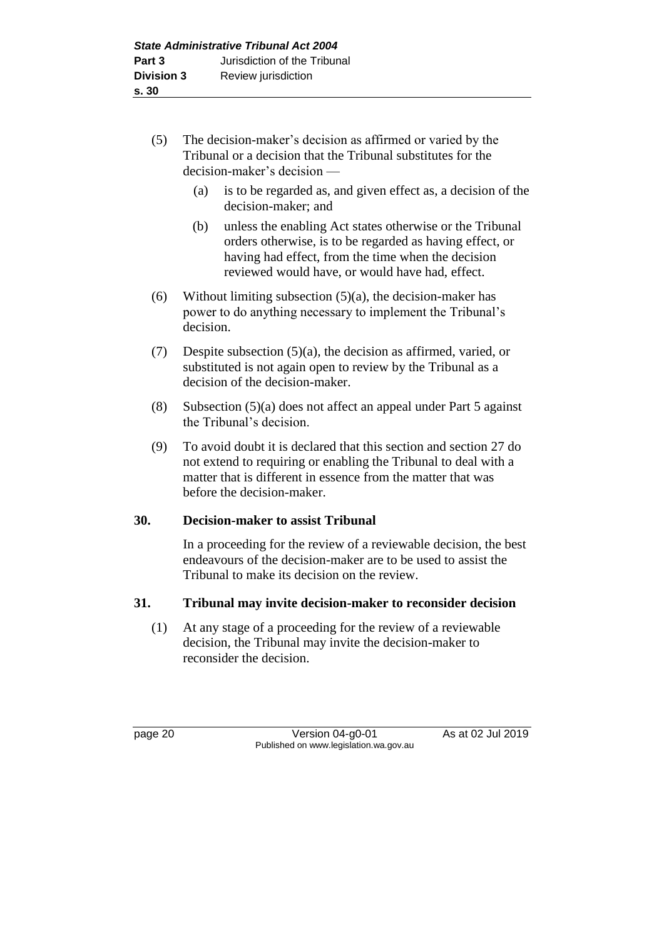- (5) The decision-maker's decision as affirmed or varied by the Tribunal or a decision that the Tribunal substitutes for the decision-maker's decision —
	- (a) is to be regarded as, and given effect as, a decision of the decision-maker; and
	- (b) unless the enabling Act states otherwise or the Tribunal orders otherwise, is to be regarded as having effect, or having had effect, from the time when the decision reviewed would have, or would have had, effect.
- (6) Without limiting subsection  $(5)(a)$ , the decision-maker has power to do anything necessary to implement the Tribunal's decision.
- (7) Despite subsection (5)(a), the decision as affirmed, varied, or substituted is not again open to review by the Tribunal as a decision of the decision-maker.
- (8) Subsection (5)(a) does not affect an appeal under Part 5 against the Tribunal's decision.
- (9) To avoid doubt it is declared that this section and section 27 do not extend to requiring or enabling the Tribunal to deal with a matter that is different in essence from the matter that was before the decision-maker.

### **30. Decision-maker to assist Tribunal**

In a proceeding for the review of a reviewable decision, the best endeavours of the decision-maker are to be used to assist the Tribunal to make its decision on the review.

### **31. Tribunal may invite decision-maker to reconsider decision**

(1) At any stage of a proceeding for the review of a reviewable decision, the Tribunal may invite the decision-maker to reconsider the decision.

page 20 Version 04-g0-01 As at 02 Jul 2019 Published on www.legislation.wa.gov.au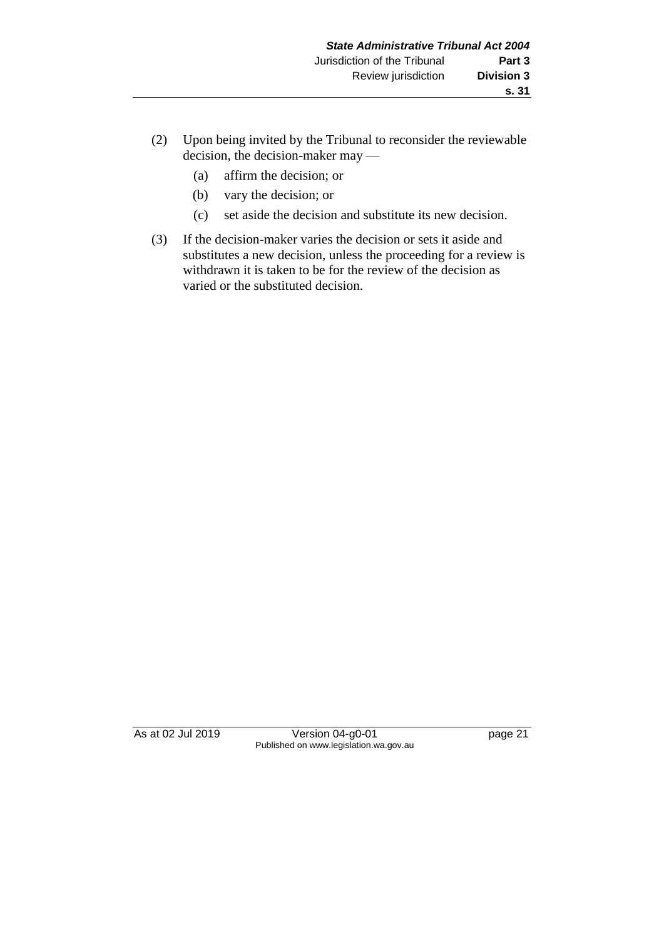- (2) Upon being invited by the Tribunal to reconsider the reviewable decision, the decision-maker may —
	- (a) affirm the decision; or
	- (b) vary the decision; or
	- (c) set aside the decision and substitute its new decision.
- (3) If the decision-maker varies the decision or sets it aside and substitutes a new decision, unless the proceeding for a review is withdrawn it is taken to be for the review of the decision as varied or the substituted decision.

As at 02 Jul 2019 Version 04-g0-01 page 21 Published on www.legislation.wa.gov.au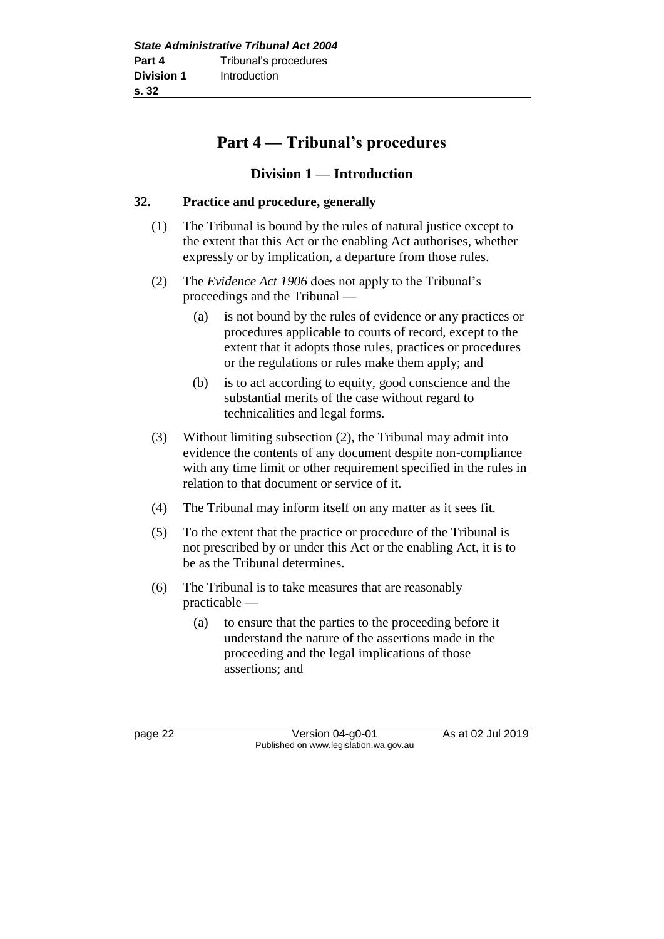### **Part 4 — Tribunal's procedures**

### **Division 1 — Introduction**

### **32. Practice and procedure, generally**

- (1) The Tribunal is bound by the rules of natural justice except to the extent that this Act or the enabling Act authorises, whether expressly or by implication, a departure from those rules.
- (2) The *Evidence Act 1906* does not apply to the Tribunal's proceedings and the Tribunal —
	- (a) is not bound by the rules of evidence or any practices or procedures applicable to courts of record, except to the extent that it adopts those rules, practices or procedures or the regulations or rules make them apply; and
	- (b) is to act according to equity, good conscience and the substantial merits of the case without regard to technicalities and legal forms.
- (3) Without limiting subsection (2), the Tribunal may admit into evidence the contents of any document despite non-compliance with any time limit or other requirement specified in the rules in relation to that document or service of it.
- (4) The Tribunal may inform itself on any matter as it sees fit.
- (5) To the extent that the practice or procedure of the Tribunal is not prescribed by or under this Act or the enabling Act, it is to be as the Tribunal determines.
- (6) The Tribunal is to take measures that are reasonably practicable —
	- (a) to ensure that the parties to the proceeding before it understand the nature of the assertions made in the proceeding and the legal implications of those assertions; and

page 22 Version 04-g0-01 As at 02 Jul 2019 Published on www.legislation.wa.gov.au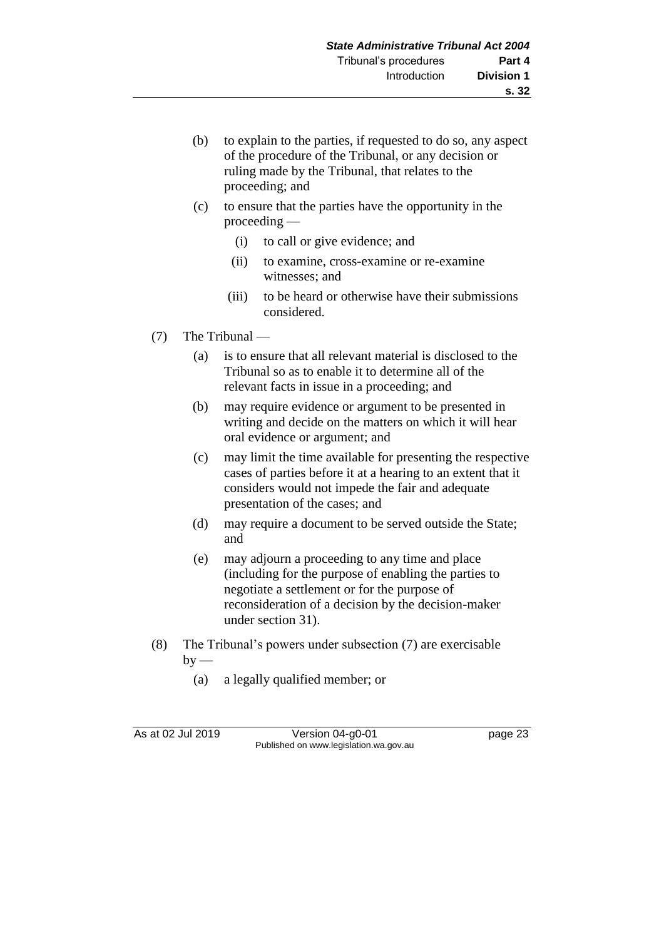- (b) to explain to the parties, if requested to do so, any aspect of the procedure of the Tribunal, or any decision or ruling made by the Tribunal, that relates to the proceeding; and
- (c) to ensure that the parties have the opportunity in the proceeding —
	- (i) to call or give evidence; and
	- (ii) to examine, cross-examine or re-examine witnesses; and
	- (iii) to be heard or otherwise have their submissions considered.
- (7) The Tribunal
	- (a) is to ensure that all relevant material is disclosed to the Tribunal so as to enable it to determine all of the relevant facts in issue in a proceeding; and
	- (b) may require evidence or argument to be presented in writing and decide on the matters on which it will hear oral evidence or argument; and
	- (c) may limit the time available for presenting the respective cases of parties before it at a hearing to an extent that it considers would not impede the fair and adequate presentation of the cases; and
	- (d) may require a document to be served outside the State; and
	- (e) may adjourn a proceeding to any time and place (including for the purpose of enabling the parties to negotiate a settlement or for the purpose of reconsideration of a decision by the decision-maker under section 31).
- (8) The Tribunal's powers under subsection (7) are exercisable  $by$  —
	- (a) a legally qualified member; or

As at 02 Jul 2019 Version 04-g0-01 page 23 Published on www.legislation.wa.gov.au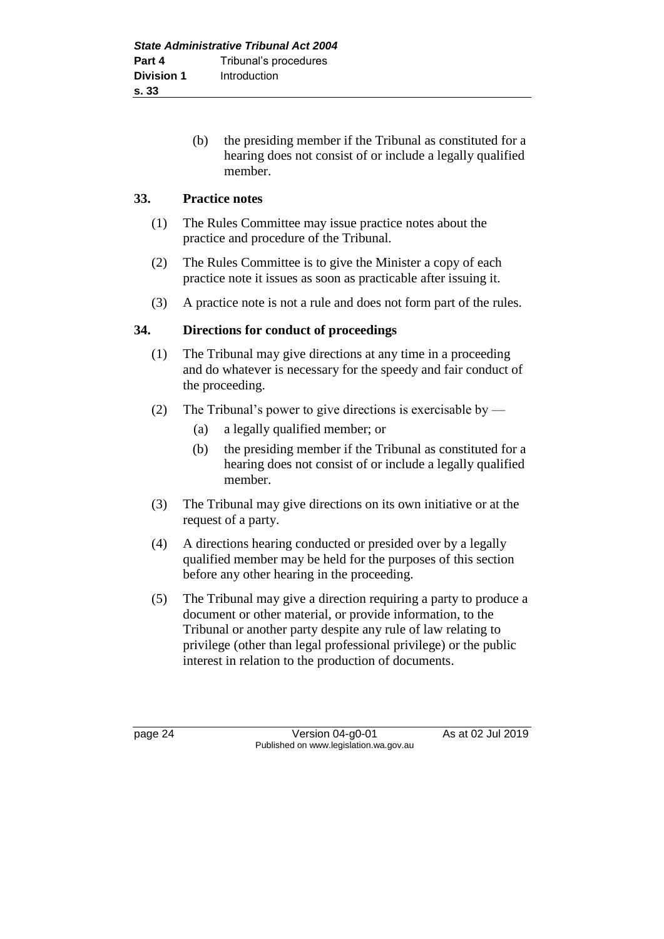(b) the presiding member if the Tribunal as constituted for a hearing does not consist of or include a legally qualified member.

### **33. Practice notes**

- (1) The Rules Committee may issue practice notes about the practice and procedure of the Tribunal.
- (2) The Rules Committee is to give the Minister a copy of each practice note it issues as soon as practicable after issuing it.
- (3) A practice note is not a rule and does not form part of the rules.

### **34. Directions for conduct of proceedings**

- (1) The Tribunal may give directions at any time in a proceeding and do whatever is necessary for the speedy and fair conduct of the proceeding.
- (2) The Tribunal's power to give directions is exercisable by
	- (a) a legally qualified member; or
	- (b) the presiding member if the Tribunal as constituted for a hearing does not consist of or include a legally qualified member.
- (3) The Tribunal may give directions on its own initiative or at the request of a party.
- (4) A directions hearing conducted or presided over by a legally qualified member may be held for the purposes of this section before any other hearing in the proceeding.
- (5) The Tribunal may give a direction requiring a party to produce a document or other material, or provide information, to the Tribunal or another party despite any rule of law relating to privilege (other than legal professional privilege) or the public interest in relation to the production of documents.

page 24 Version 04-g0-01 As at 02 Jul 2019 Published on www.legislation.wa.gov.au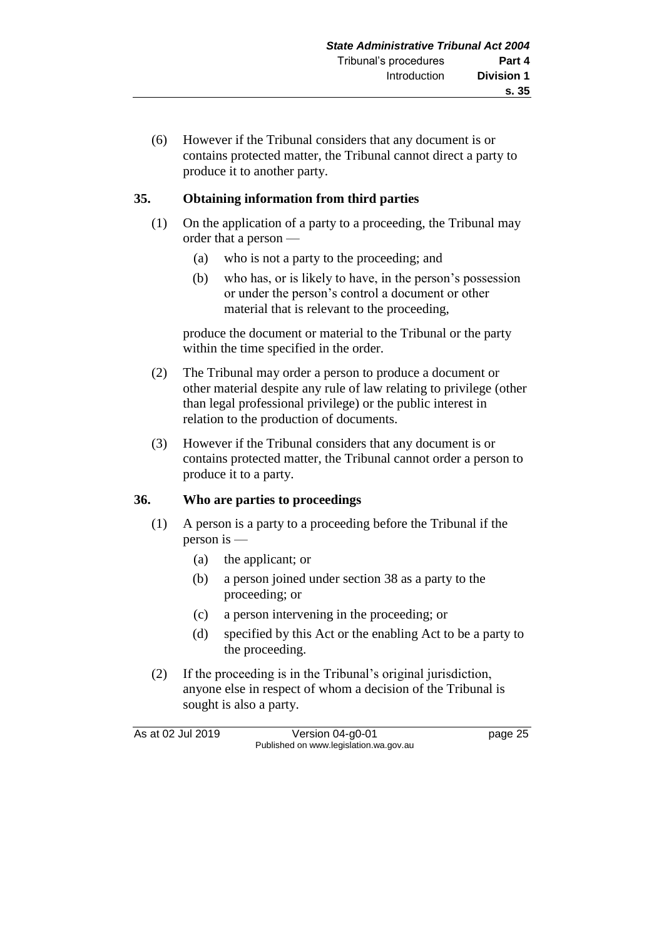(6) However if the Tribunal considers that any document is or contains protected matter, the Tribunal cannot direct a party to produce it to another party.

### **35. Obtaining information from third parties**

- (1) On the application of a party to a proceeding, the Tribunal may order that a person —
	- (a) who is not a party to the proceeding; and
	- (b) who has, or is likely to have, in the person's possession or under the person's control a document or other material that is relevant to the proceeding,

produce the document or material to the Tribunal or the party within the time specified in the order.

- (2) The Tribunal may order a person to produce a document or other material despite any rule of law relating to privilege (other than legal professional privilege) or the public interest in relation to the production of documents.
- (3) However if the Tribunal considers that any document is or contains protected matter, the Tribunal cannot order a person to produce it to a party.

### **36. Who are parties to proceedings**

- (1) A person is a party to a proceeding before the Tribunal if the person is —
	- (a) the applicant; or
	- (b) a person joined under section 38 as a party to the proceeding; or
	- (c) a person intervening in the proceeding; or
	- (d) specified by this Act or the enabling Act to be a party to the proceeding.
- (2) If the proceeding is in the Tribunal's original jurisdiction, anyone else in respect of whom a decision of the Tribunal is sought is also a party.

As at 02 Jul 2019 Version 04-g0-01 page 25 Published on www.legislation.wa.gov.au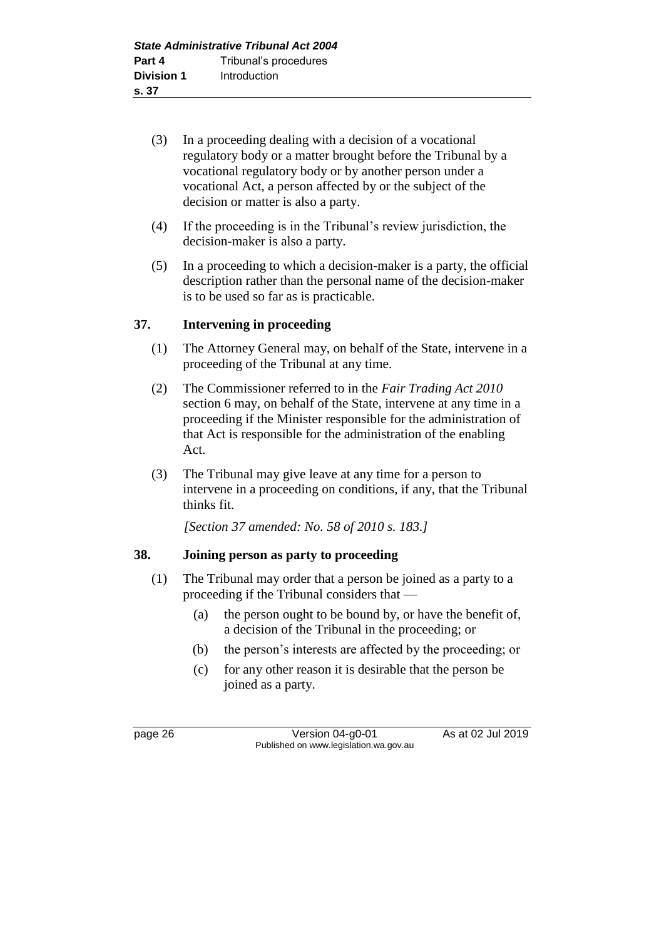- (3) In a proceeding dealing with a decision of a vocational regulatory body or a matter brought before the Tribunal by a vocational regulatory body or by another person under a vocational Act, a person affected by or the subject of the decision or matter is also a party.
- (4) If the proceeding is in the Tribunal's review jurisdiction, the decision-maker is also a party.
- (5) In a proceeding to which a decision-maker is a party, the official description rather than the personal name of the decision-maker is to be used so far as is practicable.

### **37. Intervening in proceeding**

- (1) The Attorney General may, on behalf of the State, intervene in a proceeding of the Tribunal at any time.
- (2) The Commissioner referred to in the *Fair Trading Act 2010* section 6 may, on behalf of the State, intervene at any time in a proceeding if the Minister responsible for the administration of that Act is responsible for the administration of the enabling Act.
- (3) The Tribunal may give leave at any time for a person to intervene in a proceeding on conditions, if any, that the Tribunal thinks fit.

*[Section 37 amended: No. 58 of 2010 s. 183.]*

### **38. Joining person as party to proceeding**

- (1) The Tribunal may order that a person be joined as a party to a proceeding if the Tribunal considers that —
	- (a) the person ought to be bound by, or have the benefit of, a decision of the Tribunal in the proceeding; or
	- (b) the person's interests are affected by the proceeding; or
	- (c) for any other reason it is desirable that the person be joined as a party.

page 26 Version 04-g0-01 As at 02 Jul 2019 Published on www.legislation.wa.gov.au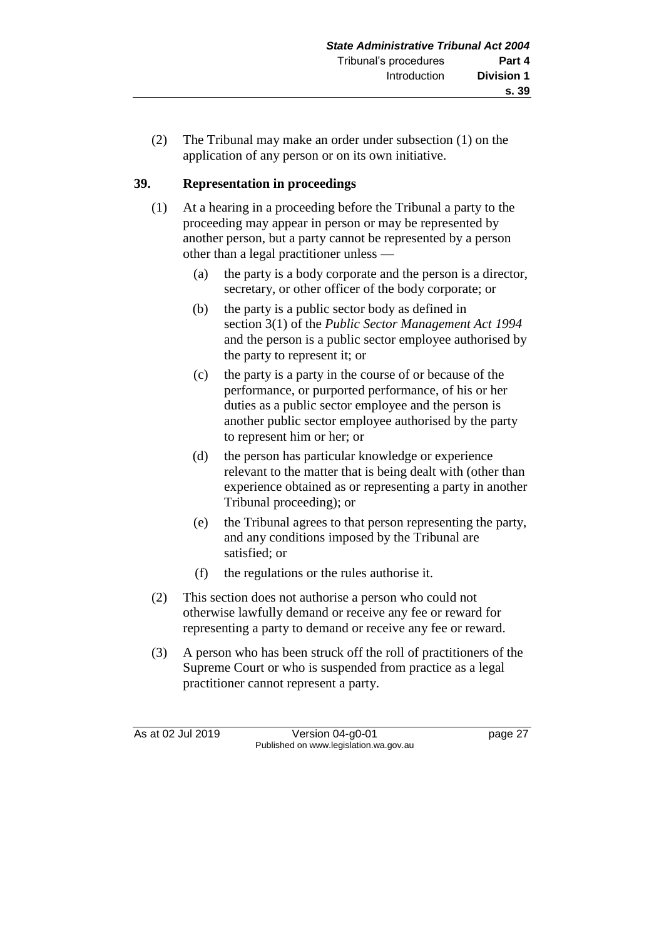(2) The Tribunal may make an order under subsection (1) on the application of any person or on its own initiative.

## **39. Representation in proceedings**

- (1) At a hearing in a proceeding before the Tribunal a party to the proceeding may appear in person or may be represented by another person, but a party cannot be represented by a person other than a legal practitioner unless —
	- (a) the party is a body corporate and the person is a director, secretary, or other officer of the body corporate; or
	- (b) the party is a public sector body as defined in section 3(1) of the *Public Sector Management Act 1994* and the person is a public sector employee authorised by the party to represent it; or
	- (c) the party is a party in the course of or because of the performance, or purported performance, of his or her duties as a public sector employee and the person is another public sector employee authorised by the party to represent him or her; or
	- (d) the person has particular knowledge or experience relevant to the matter that is being dealt with (other than experience obtained as or representing a party in another Tribunal proceeding); or
	- (e) the Tribunal agrees to that person representing the party, and any conditions imposed by the Tribunal are satisfied; or
	- (f) the regulations or the rules authorise it.
- (2) This section does not authorise a person who could not otherwise lawfully demand or receive any fee or reward for representing a party to demand or receive any fee or reward.
- (3) A person who has been struck off the roll of practitioners of the Supreme Court or who is suspended from practice as a legal practitioner cannot represent a party.

As at 02 Jul 2019 Version 04-g0-01 page 27 Published on www.legislation.wa.gov.au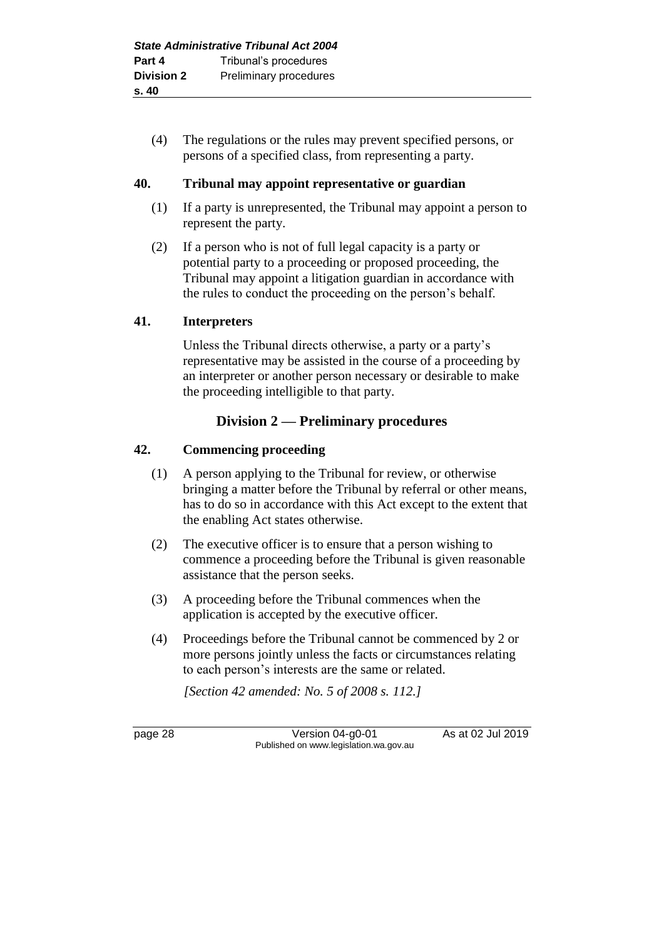(4) The regulations or the rules may prevent specified persons, or persons of a specified class, from representing a party.

### **40. Tribunal may appoint representative or guardian**

- (1) If a party is unrepresented, the Tribunal may appoint a person to represent the party.
- (2) If a person who is not of full legal capacity is a party or potential party to a proceeding or proposed proceeding, the Tribunal may appoint a litigation guardian in accordance with the rules to conduct the proceeding on the person's behalf.

### **41. Interpreters**

Unless the Tribunal directs otherwise, a party or a party's representative may be assisted in the course of a proceeding by an interpreter or another person necessary or desirable to make the proceeding intelligible to that party.

# **Division 2 — Preliminary procedures**

### **42. Commencing proceeding**

- (1) A person applying to the Tribunal for review, or otherwise bringing a matter before the Tribunal by referral or other means, has to do so in accordance with this Act except to the extent that the enabling Act states otherwise.
- (2) The executive officer is to ensure that a person wishing to commence a proceeding before the Tribunal is given reasonable assistance that the person seeks.
- (3) A proceeding before the Tribunal commences when the application is accepted by the executive officer.
- (4) Proceedings before the Tribunal cannot be commenced by 2 or more persons jointly unless the facts or circumstances relating to each person's interests are the same or related.

*[Section 42 amended: No. 5 of 2008 s. 112.]*

page 28 Version 04-g0-01 As at 02 Jul 2019 Published on www.legislation.wa.gov.au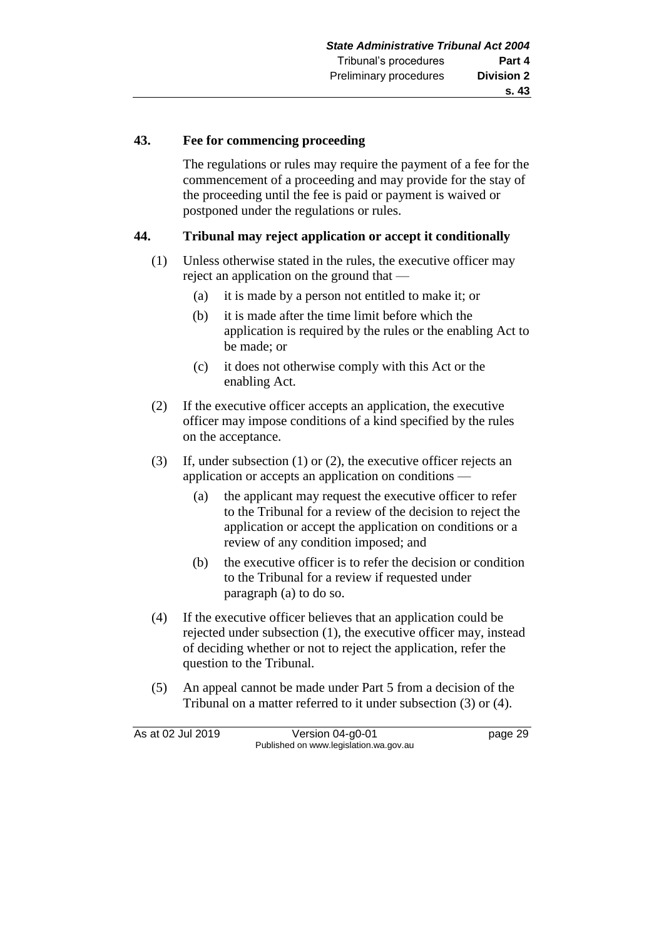### **43. Fee for commencing proceeding**

The regulations or rules may require the payment of a fee for the commencement of a proceeding and may provide for the stay of the proceeding until the fee is paid or payment is waived or postponed under the regulations or rules.

### **44. Tribunal may reject application or accept it conditionally**

- (1) Unless otherwise stated in the rules, the executive officer may reject an application on the ground that —
	- (a) it is made by a person not entitled to make it; or
	- (b) it is made after the time limit before which the application is required by the rules or the enabling Act to be made; or
	- (c) it does not otherwise comply with this Act or the enabling Act.
- (2) If the executive officer accepts an application, the executive officer may impose conditions of a kind specified by the rules on the acceptance.
- (3) If, under subsection (1) or (2), the executive officer rejects an application or accepts an application on conditions —
	- (a) the applicant may request the executive officer to refer to the Tribunal for a review of the decision to reject the application or accept the application on conditions or a review of any condition imposed; and
	- (b) the executive officer is to refer the decision or condition to the Tribunal for a review if requested under paragraph (a) to do so.
- (4) If the executive officer believes that an application could be rejected under subsection (1), the executive officer may, instead of deciding whether or not to reject the application, refer the question to the Tribunal.
- (5) An appeal cannot be made under Part 5 from a decision of the Tribunal on a matter referred to it under subsection (3) or (4).

As at 02 Jul 2019 Version 04-g0-01 page 29 Published on www.legislation.wa.gov.au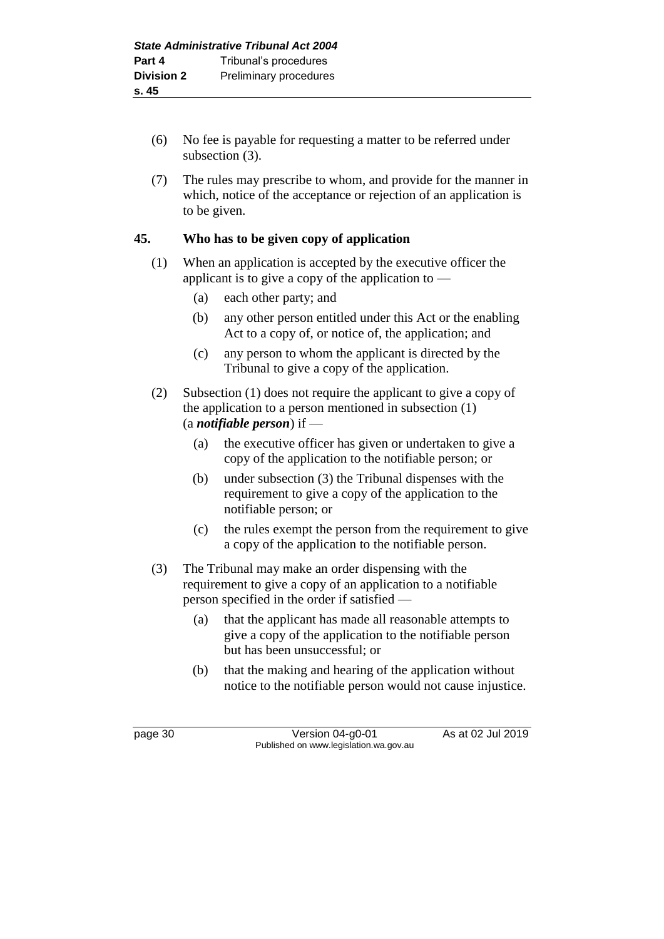- (6) No fee is payable for requesting a matter to be referred under subsection (3).
- (7) The rules may prescribe to whom, and provide for the manner in which, notice of the acceptance or rejection of an application is to be given.

# **45. Who has to be given copy of application**

- (1) When an application is accepted by the executive officer the applicant is to give a copy of the application to —
	- (a) each other party; and
	- (b) any other person entitled under this Act or the enabling Act to a copy of, or notice of, the application; and
	- (c) any person to whom the applicant is directed by the Tribunal to give a copy of the application.
- (2) Subsection (1) does not require the applicant to give a copy of the application to a person mentioned in subsection (1) (a *notifiable person*) if —
	- (a) the executive officer has given or undertaken to give a copy of the application to the notifiable person; or
	- (b) under subsection (3) the Tribunal dispenses with the requirement to give a copy of the application to the notifiable person; or
	- (c) the rules exempt the person from the requirement to give a copy of the application to the notifiable person.
- (3) The Tribunal may make an order dispensing with the requirement to give a copy of an application to a notifiable person specified in the order if satisfied —
	- (a) that the applicant has made all reasonable attempts to give a copy of the application to the notifiable person but has been unsuccessful; or
	- (b) that the making and hearing of the application without notice to the notifiable person would not cause injustice.

page 30 Version 04-g0-01 As at 02 Jul 2019 Published on www.legislation.wa.gov.au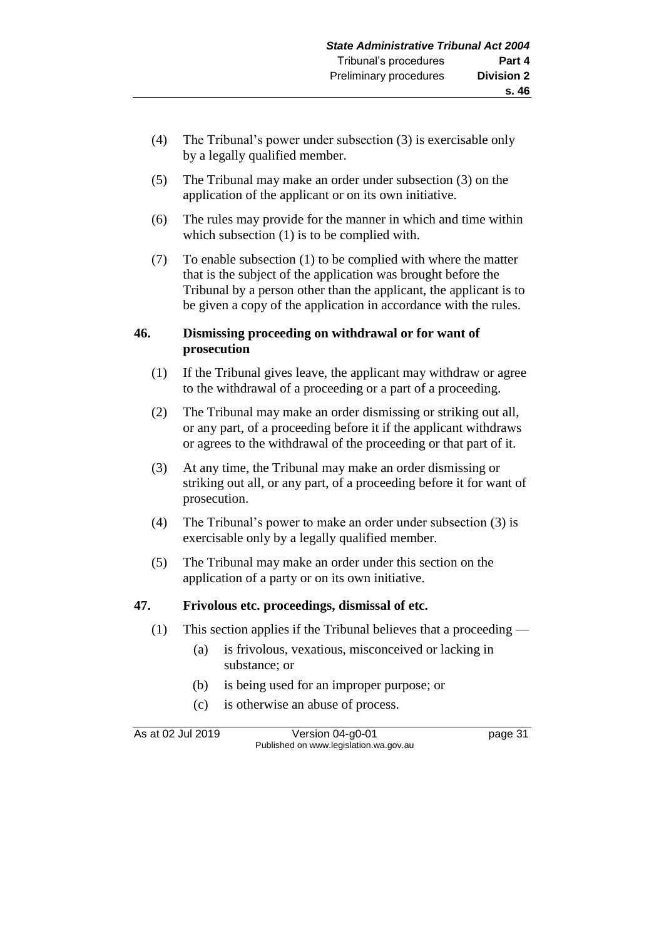- (4) The Tribunal's power under subsection (3) is exercisable only by a legally qualified member.
- (5) The Tribunal may make an order under subsection (3) on the application of the applicant or on its own initiative.
- (6) The rules may provide for the manner in which and time within which subsection  $(1)$  is to be complied with.
- (7) To enable subsection (1) to be complied with where the matter that is the subject of the application was brought before the Tribunal by a person other than the applicant, the applicant is to be given a copy of the application in accordance with the rules.

### **46. Dismissing proceeding on withdrawal or for want of prosecution**

- (1) If the Tribunal gives leave, the applicant may withdraw or agree to the withdrawal of a proceeding or a part of a proceeding.
- (2) The Tribunal may make an order dismissing or striking out all, or any part, of a proceeding before it if the applicant withdraws or agrees to the withdrawal of the proceeding or that part of it.
- (3) At any time, the Tribunal may make an order dismissing or striking out all, or any part, of a proceeding before it for want of prosecution.
- (4) The Tribunal's power to make an order under subsection (3) is exercisable only by a legally qualified member.
- (5) The Tribunal may make an order under this section on the application of a party or on its own initiative.

## **47. Frivolous etc. proceedings, dismissal of etc.**

- (1) This section applies if the Tribunal believes that a proceeding
	- (a) is frivolous, vexatious, misconceived or lacking in substance; or
	- (b) is being used for an improper purpose; or
	- (c) is otherwise an abuse of process.

As at 02 Jul 2019 Version 04-g0-01 page 31 Published on www.legislation.wa.gov.au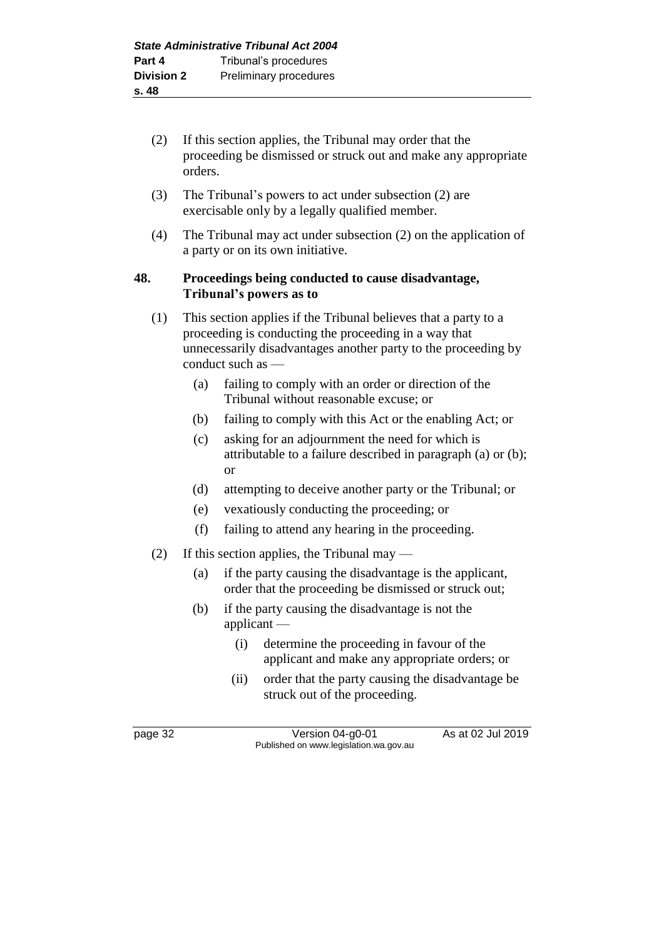- (2) If this section applies, the Tribunal may order that the proceeding be dismissed or struck out and make any appropriate orders.
- (3) The Tribunal's powers to act under subsection (2) are exercisable only by a legally qualified member.
- (4) The Tribunal may act under subsection (2) on the application of a party or on its own initiative.

### **48. Proceedings being conducted to cause disadvantage, Tribunal's powers as to**

- (1) This section applies if the Tribunal believes that a party to a proceeding is conducting the proceeding in a way that unnecessarily disadvantages another party to the proceeding by conduct such as —
	- (a) failing to comply with an order or direction of the Tribunal without reasonable excuse; or
	- (b) failing to comply with this Act or the enabling Act; or
	- (c) asking for an adjournment the need for which is attributable to a failure described in paragraph (a) or (b); or
	- (d) attempting to deceive another party or the Tribunal; or
	- (e) vexatiously conducting the proceeding; or
	- (f) failing to attend any hearing in the proceeding.
- (2) If this section applies, the Tribunal may
	- (a) if the party causing the disadvantage is the applicant, order that the proceeding be dismissed or struck out;
	- (b) if the party causing the disadvantage is not the applicant —
		- (i) determine the proceeding in favour of the applicant and make any appropriate orders; or
		- (ii) order that the party causing the disadvantage be struck out of the proceeding.

page 32 Version 04-g0-01 As at 02 Jul 2019 Published on www.legislation.wa.gov.au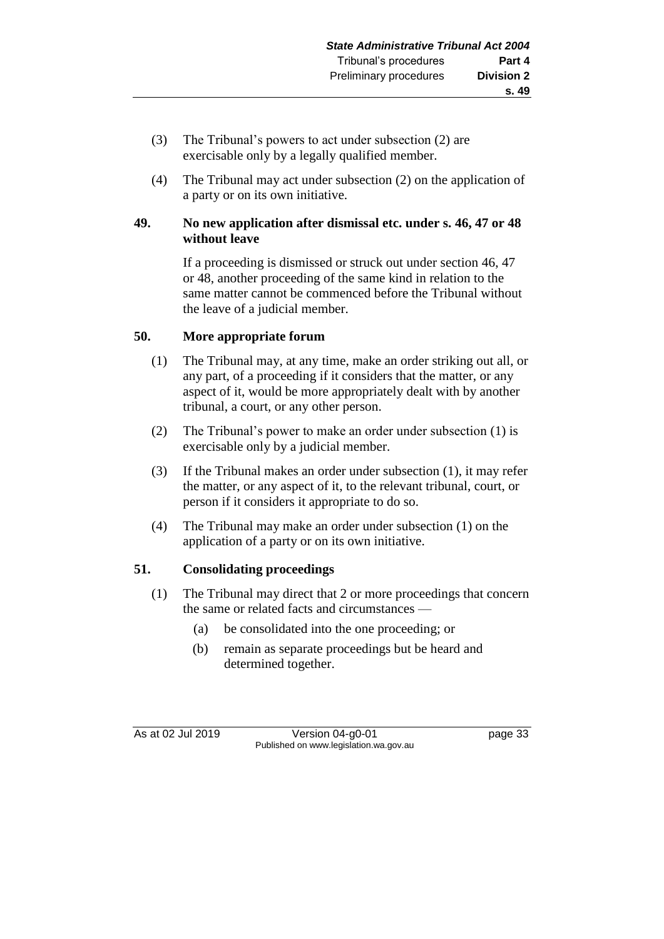- (3) The Tribunal's powers to act under subsection (2) are exercisable only by a legally qualified member.
- (4) The Tribunal may act under subsection (2) on the application of a party or on its own initiative.

### **49. No new application after dismissal etc. under s. 46, 47 or 48 without leave**

If a proceeding is dismissed or struck out under section 46, 47 or 48, another proceeding of the same kind in relation to the same matter cannot be commenced before the Tribunal without the leave of a judicial member.

## **50. More appropriate forum**

- (1) The Tribunal may, at any time, make an order striking out all, or any part, of a proceeding if it considers that the matter, or any aspect of it, would be more appropriately dealt with by another tribunal, a court, or any other person.
- (2) The Tribunal's power to make an order under subsection (1) is exercisable only by a judicial member.
- (3) If the Tribunal makes an order under subsection (1), it may refer the matter, or any aspect of it, to the relevant tribunal, court, or person if it considers it appropriate to do so.
- (4) The Tribunal may make an order under subsection (1) on the application of a party or on its own initiative.

## **51. Consolidating proceedings**

- (1) The Tribunal may direct that 2 or more proceedings that concern the same or related facts and circumstances —
	- (a) be consolidated into the one proceeding; or
	- (b) remain as separate proceedings but be heard and determined together.

As at 02 Jul 2019 Version 04-g0-01 page 33 Published on www.legislation.wa.gov.au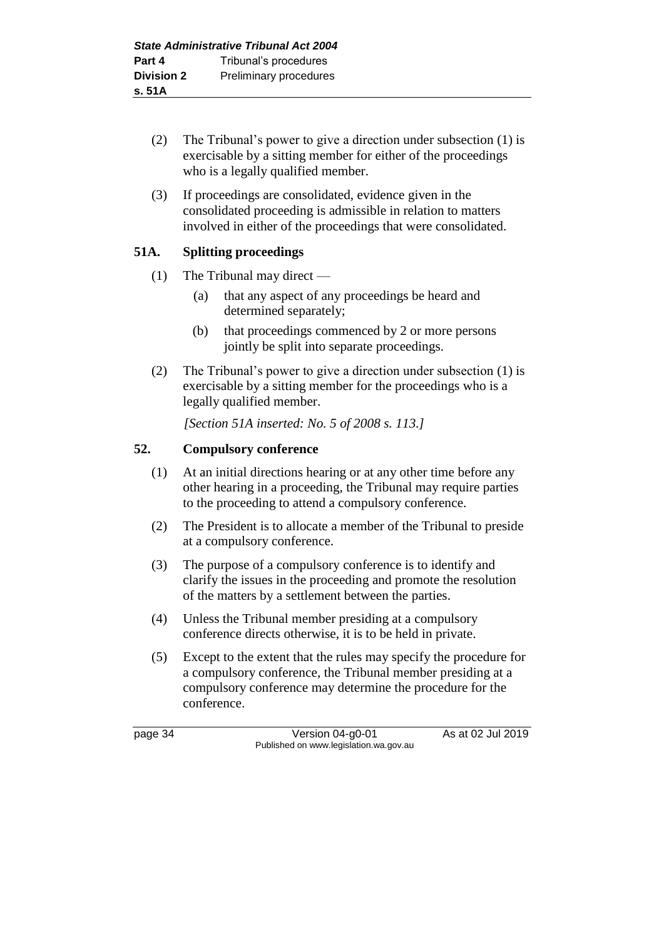- (2) The Tribunal's power to give a direction under subsection (1) is exercisable by a sitting member for either of the proceedings who is a legally qualified member.
- (3) If proceedings are consolidated, evidence given in the consolidated proceeding is admissible in relation to matters involved in either of the proceedings that were consolidated.

# **51A. Splitting proceedings**

- (1) The Tribunal may direct
	- (a) that any aspect of any proceedings be heard and determined separately;
	- (b) that proceedings commenced by 2 or more persons jointly be split into separate proceedings.
- (2) The Tribunal's power to give a direction under subsection (1) is exercisable by a sitting member for the proceedings who is a legally qualified member.

*[Section 51A inserted: No. 5 of 2008 s. 113.]*

## **52. Compulsory conference**

- (1) At an initial directions hearing or at any other time before any other hearing in a proceeding, the Tribunal may require parties to the proceeding to attend a compulsory conference.
- (2) The President is to allocate a member of the Tribunal to preside at a compulsory conference.
- (3) The purpose of a compulsory conference is to identify and clarify the issues in the proceeding and promote the resolution of the matters by a settlement between the parties.
- (4) Unless the Tribunal member presiding at a compulsory conference directs otherwise, it is to be held in private.
- (5) Except to the extent that the rules may specify the procedure for a compulsory conference, the Tribunal member presiding at a compulsory conference may determine the procedure for the conference.

page 34 Version 04-g0-01 As at 02 Jul 2019 Published on www.legislation.wa.gov.au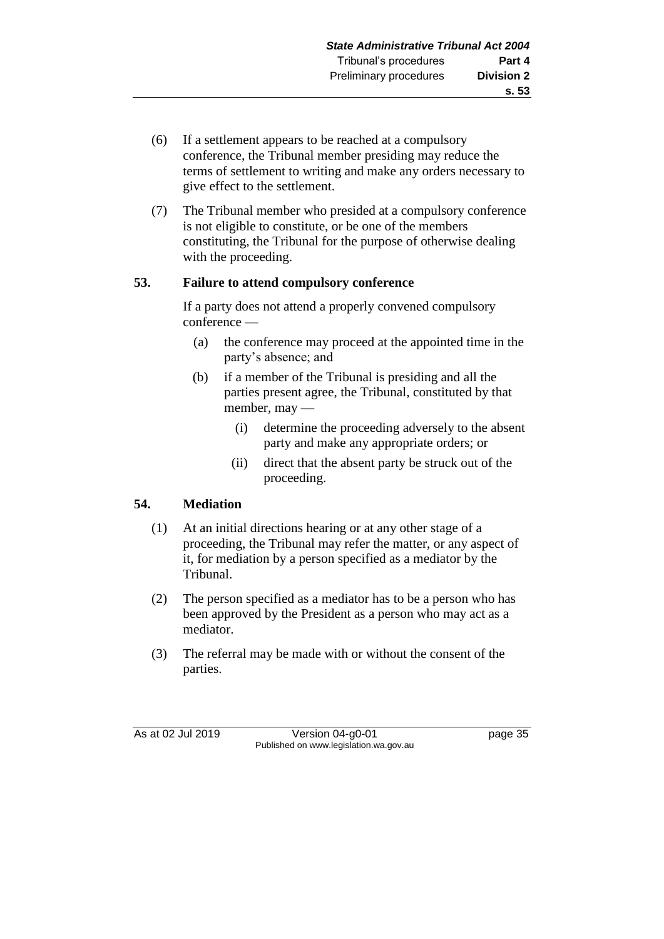- (6) If a settlement appears to be reached at a compulsory conference, the Tribunal member presiding may reduce the terms of settlement to writing and make any orders necessary to give effect to the settlement.
- (7) The Tribunal member who presided at a compulsory conference is not eligible to constitute, or be one of the members constituting, the Tribunal for the purpose of otherwise dealing with the proceeding.

## **53. Failure to attend compulsory conference**

If a party does not attend a properly convened compulsory conference —

- (a) the conference may proceed at the appointed time in the party's absence; and
- (b) if a member of the Tribunal is presiding and all the parties present agree, the Tribunal, constituted by that member, may —
	- (i) determine the proceeding adversely to the absent party and make any appropriate orders; or
	- (ii) direct that the absent party be struck out of the proceeding.

## **54. Mediation**

- (1) At an initial directions hearing or at any other stage of a proceeding, the Tribunal may refer the matter, or any aspect of it, for mediation by a person specified as a mediator by the Tribunal.
- (2) The person specified as a mediator has to be a person who has been approved by the President as a person who may act as a mediator.
- (3) The referral may be made with or without the consent of the parties.

As at 02 Jul 2019 Version 04-g0-01 page 35 Published on www.legislation.wa.gov.au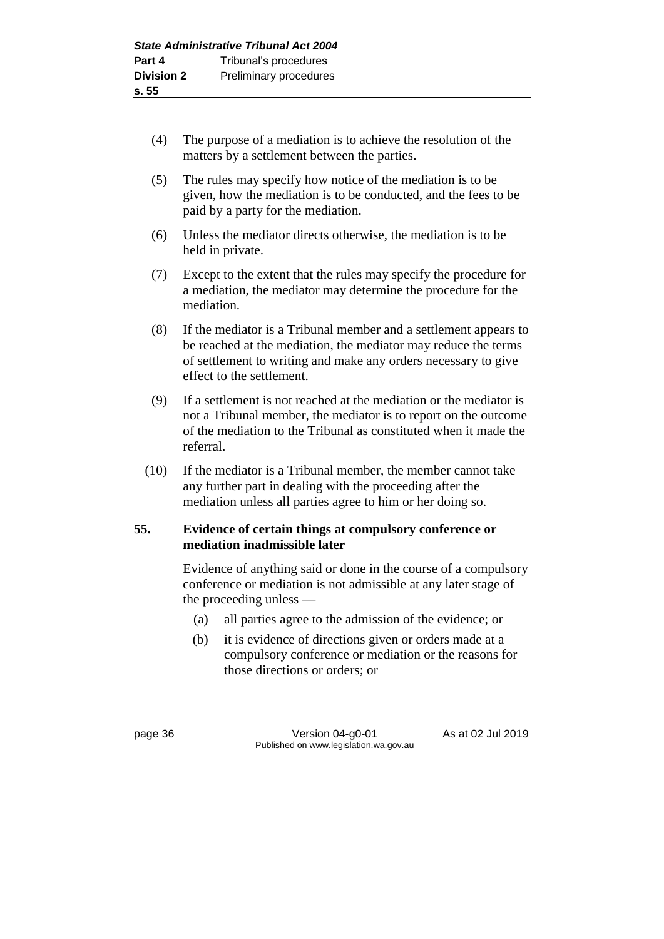- (4) The purpose of a mediation is to achieve the resolution of the matters by a settlement between the parties.
- (5) The rules may specify how notice of the mediation is to be given, how the mediation is to be conducted, and the fees to be paid by a party for the mediation.
- (6) Unless the mediator directs otherwise, the mediation is to be held in private.
- (7) Except to the extent that the rules may specify the procedure for a mediation, the mediator may determine the procedure for the mediation.
- (8) If the mediator is a Tribunal member and a settlement appears to be reached at the mediation, the mediator may reduce the terms of settlement to writing and make any orders necessary to give effect to the settlement.
- (9) If a settlement is not reached at the mediation or the mediator is not a Tribunal member, the mediator is to report on the outcome of the mediation to the Tribunal as constituted when it made the referral.
- (10) If the mediator is a Tribunal member, the member cannot take any further part in dealing with the proceeding after the mediation unless all parties agree to him or her doing so.

### **55. Evidence of certain things at compulsory conference or mediation inadmissible later**

Evidence of anything said or done in the course of a compulsory conference or mediation is not admissible at any later stage of the proceeding unless —

- (a) all parties agree to the admission of the evidence; or
- (b) it is evidence of directions given or orders made at a compulsory conference or mediation or the reasons for those directions or orders; or

page 36 Version 04-g0-01 As at 02 Jul 2019 Published on www.legislation.wa.gov.au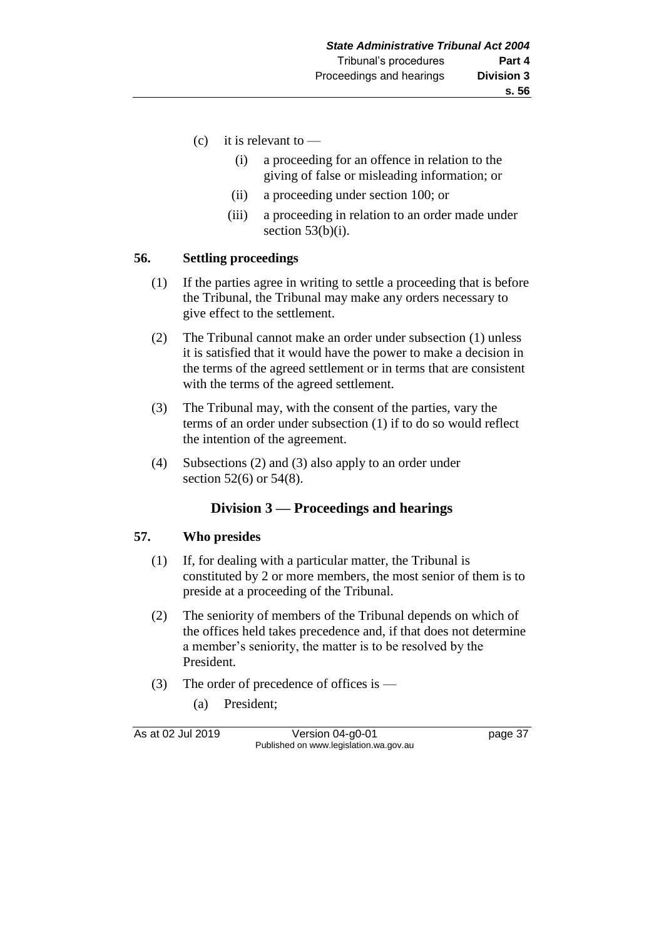- (c) it is relevant to  $-$ 
	- (i) a proceeding for an offence in relation to the giving of false or misleading information; or
	- (ii) a proceeding under section 100; or
	- (iii) a proceeding in relation to an order made under section  $53(b)(i)$ .

#### **56. Settling proceedings**

- (1) If the parties agree in writing to settle a proceeding that is before the Tribunal, the Tribunal may make any orders necessary to give effect to the settlement.
- (2) The Tribunal cannot make an order under subsection (1) unless it is satisfied that it would have the power to make a decision in the terms of the agreed settlement or in terms that are consistent with the terms of the agreed settlement.
- (3) The Tribunal may, with the consent of the parties, vary the terms of an order under subsection (1) if to do so would reflect the intention of the agreement.
- (4) Subsections (2) and (3) also apply to an order under section 52(6) or 54(8).

### **Division 3 — Proceedings and hearings**

#### **57. Who presides**

- (1) If, for dealing with a particular matter, the Tribunal is constituted by 2 or more members, the most senior of them is to preside at a proceeding of the Tribunal.
- (2) The seniority of members of the Tribunal depends on which of the offices held takes precedence and, if that does not determine a member's seniority, the matter is to be resolved by the President.
- (3) The order of precedence of offices is
	- (a) President;

As at 02 Jul 2019 Version 04-g0-01 page 37 Published on www.legislation.wa.gov.au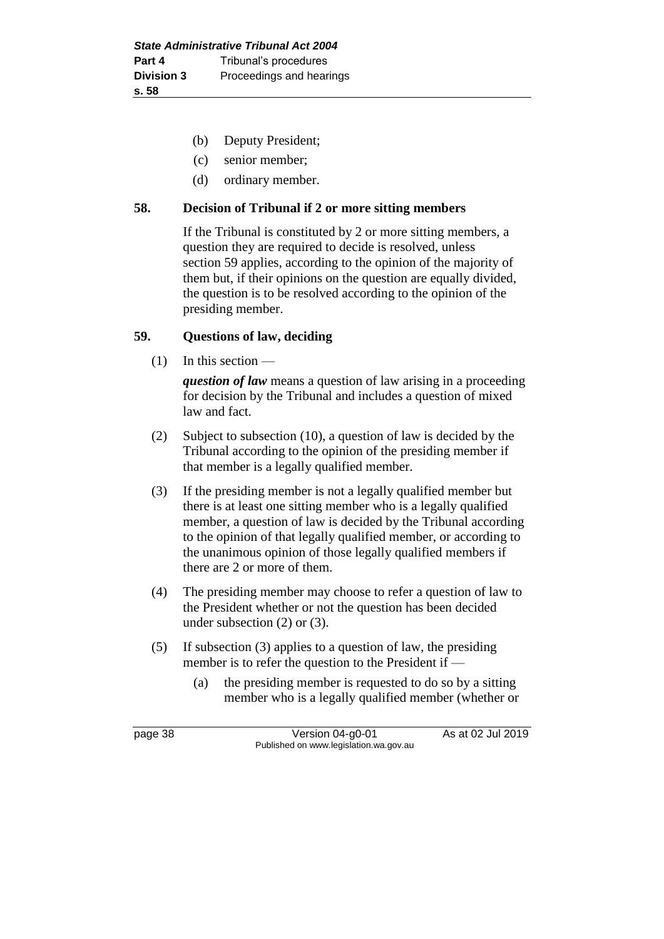- (b) Deputy President;
- (c) senior member;
- (d) ordinary member.

### **58. Decision of Tribunal if 2 or more sitting members**

If the Tribunal is constituted by 2 or more sitting members, a question they are required to decide is resolved, unless section 59 applies, according to the opinion of the majority of them but, if their opinions on the question are equally divided, the question is to be resolved according to the opinion of the presiding member.

### **59. Questions of law, deciding**

(1) In this section —

*question of law* means a question of law arising in a proceeding for decision by the Tribunal and includes a question of mixed law and fact.

- (2) Subject to subsection (10), a question of law is decided by the Tribunal according to the opinion of the presiding member if that member is a legally qualified member.
- (3) If the presiding member is not a legally qualified member but there is at least one sitting member who is a legally qualified member, a question of law is decided by the Tribunal according to the opinion of that legally qualified member, or according to the unanimous opinion of those legally qualified members if there are 2 or more of them.
- (4) The presiding member may choose to refer a question of law to the President whether or not the question has been decided under subsection (2) or (3).
- (5) If subsection (3) applies to a question of law, the presiding member is to refer the question to the President if -
	- (a) the presiding member is requested to do so by a sitting member who is a legally qualified member (whether or

page 38 Version 04-g0-01 As at 02 Jul 2019 Published on www.legislation.wa.gov.au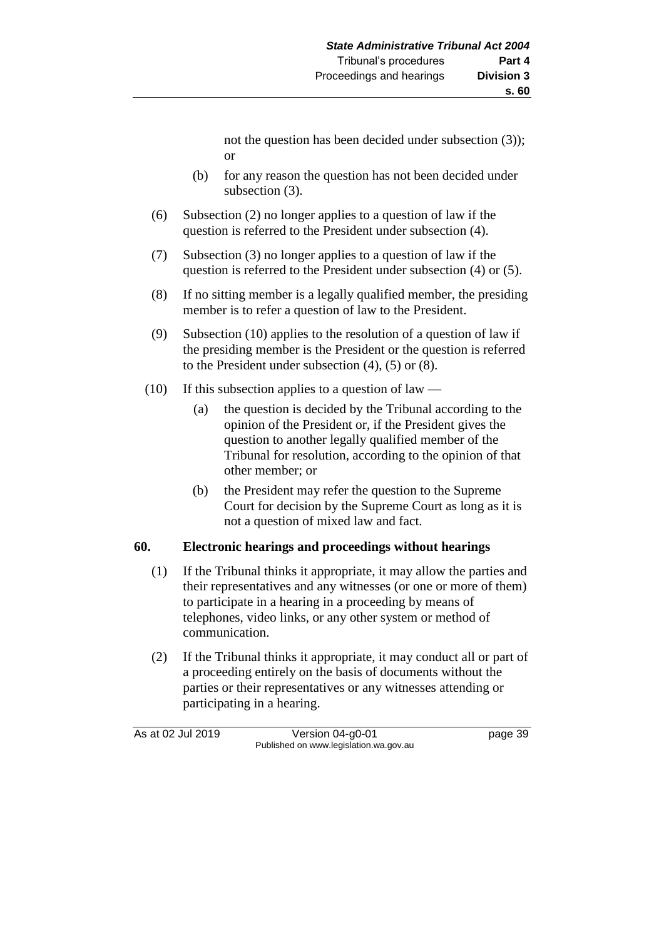not the question has been decided under subsection (3)); or

- (b) for any reason the question has not been decided under subsection (3).
- (6) Subsection (2) no longer applies to a question of law if the question is referred to the President under subsection (4).
- (7) Subsection (3) no longer applies to a question of law if the question is referred to the President under subsection (4) or (5).
- (8) If no sitting member is a legally qualified member, the presiding member is to refer a question of law to the President.
- (9) Subsection (10) applies to the resolution of a question of law if the presiding member is the President or the question is referred to the President under subsection (4), (5) or (8).
- (10) If this subsection applies to a question of law
	- (a) the question is decided by the Tribunal according to the opinion of the President or, if the President gives the question to another legally qualified member of the Tribunal for resolution, according to the opinion of that other member; or
	- (b) the President may refer the question to the Supreme Court for decision by the Supreme Court as long as it is not a question of mixed law and fact.

## **60. Electronic hearings and proceedings without hearings**

- (1) If the Tribunal thinks it appropriate, it may allow the parties and their representatives and any witnesses (or one or more of them) to participate in a hearing in a proceeding by means of telephones, video links, or any other system or method of communication.
- (2) If the Tribunal thinks it appropriate, it may conduct all or part of a proceeding entirely on the basis of documents without the parties or their representatives or any witnesses attending or participating in a hearing.

As at 02 Jul 2019 Version 04-g0-01 page 39 Published on www.legislation.wa.gov.au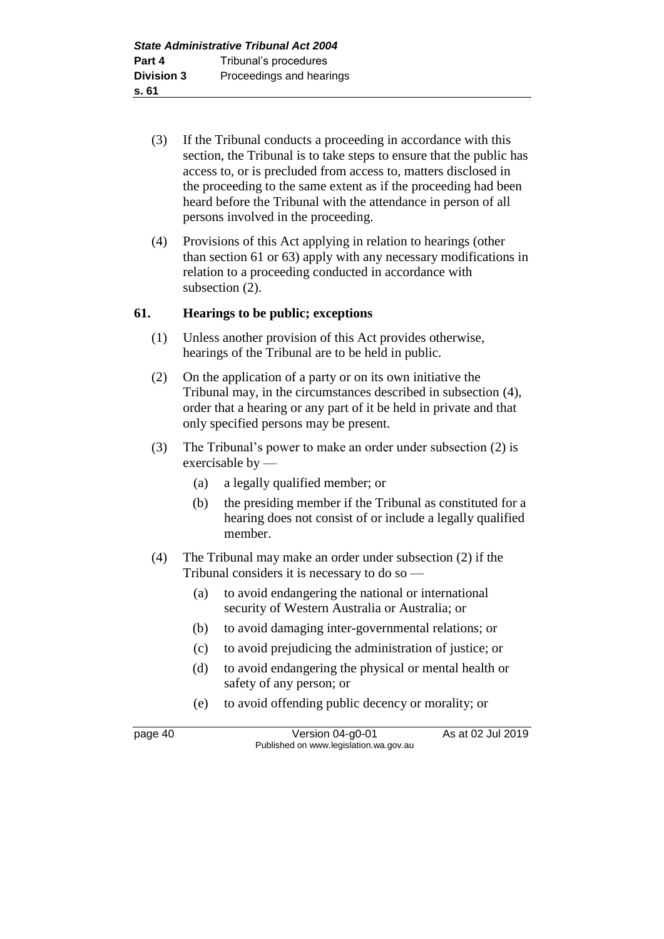- (3) If the Tribunal conducts a proceeding in accordance with this section, the Tribunal is to take steps to ensure that the public has access to, or is precluded from access to, matters disclosed in the proceeding to the same extent as if the proceeding had been heard before the Tribunal with the attendance in person of all persons involved in the proceeding.
- (4) Provisions of this Act applying in relation to hearings (other than section 61 or 63) apply with any necessary modifications in relation to a proceeding conducted in accordance with subsection (2).

### **61. Hearings to be public; exceptions**

- (1) Unless another provision of this Act provides otherwise, hearings of the Tribunal are to be held in public.
- (2) On the application of a party or on its own initiative the Tribunal may, in the circumstances described in subsection (4), order that a hearing or any part of it be held in private and that only specified persons may be present.
- (3) The Tribunal's power to make an order under subsection (2) is exercisable by —
	- (a) a legally qualified member; or
	- (b) the presiding member if the Tribunal as constituted for a hearing does not consist of or include a legally qualified member.
- (4) The Tribunal may make an order under subsection (2) if the Tribunal considers it is necessary to do so —
	- (a) to avoid endangering the national or international security of Western Australia or Australia; or
	- (b) to avoid damaging inter-governmental relations; or
	- (c) to avoid prejudicing the administration of justice; or
	- (d) to avoid endangering the physical or mental health or safety of any person; or
	- (e) to avoid offending public decency or morality; or

page 40 Version 04-g0-01 As at 02 Jul 2019 Published on www.legislation.wa.gov.au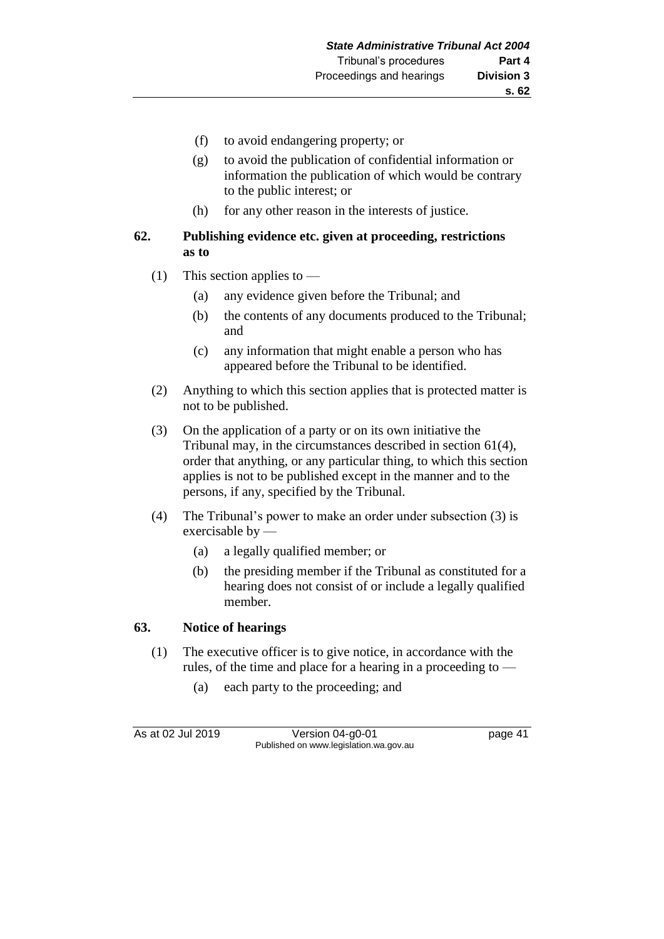- (f) to avoid endangering property; or
- (g) to avoid the publication of confidential information or information the publication of which would be contrary to the public interest; or
- (h) for any other reason in the interests of justice.

### **62. Publishing evidence etc. given at proceeding, restrictions as to**

- (1) This section applies to
	- (a) any evidence given before the Tribunal; and
	- (b) the contents of any documents produced to the Tribunal; and
	- (c) any information that might enable a person who has appeared before the Tribunal to be identified.
- (2) Anything to which this section applies that is protected matter is not to be published.
- (3) On the application of a party or on its own initiative the Tribunal may, in the circumstances described in section 61(4), order that anything, or any particular thing, to which this section applies is not to be published except in the manner and to the persons, if any, specified by the Tribunal.
- (4) The Tribunal's power to make an order under subsection (3) is exercisable by —
	- (a) a legally qualified member; or
	- (b) the presiding member if the Tribunal as constituted for a hearing does not consist of or include a legally qualified member.

### **63. Notice of hearings**

- (1) The executive officer is to give notice, in accordance with the rules, of the time and place for a hearing in a proceeding to —
	- (a) each party to the proceeding; and

As at 02 Jul 2019 Version 04-g0-01 page 41 Published on www.legislation.wa.gov.au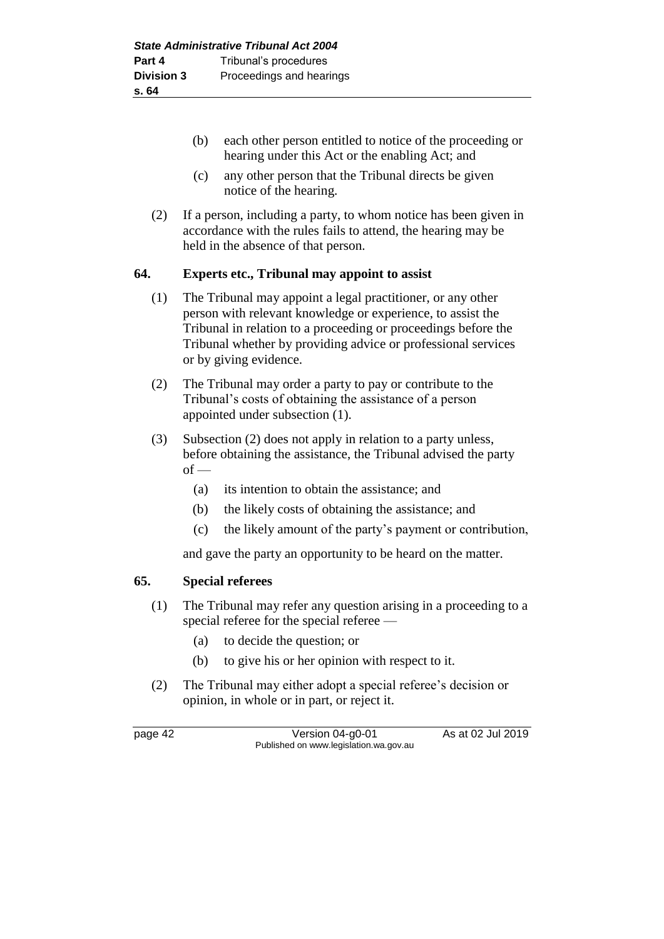- (b) each other person entitled to notice of the proceeding or hearing under this Act or the enabling Act; and
- (c) any other person that the Tribunal directs be given notice of the hearing.
- (2) If a person, including a party, to whom notice has been given in accordance with the rules fails to attend, the hearing may be held in the absence of that person.

### **64. Experts etc., Tribunal may appoint to assist**

- (1) The Tribunal may appoint a legal practitioner, or any other person with relevant knowledge or experience, to assist the Tribunal in relation to a proceeding or proceedings before the Tribunal whether by providing advice or professional services or by giving evidence.
- (2) The Tribunal may order a party to pay or contribute to the Tribunal's costs of obtaining the assistance of a person appointed under subsection (1).
- (3) Subsection (2) does not apply in relation to a party unless, before obtaining the assistance, the Tribunal advised the party  $of -$ 
	- (a) its intention to obtain the assistance; and
	- (b) the likely costs of obtaining the assistance; and
	- (c) the likely amount of the party's payment or contribution,

and gave the party an opportunity to be heard on the matter.

### **65. Special referees**

- (1) The Tribunal may refer any question arising in a proceeding to a special referee for the special referee —
	- (a) to decide the question; or
	- (b) to give his or her opinion with respect to it.
- (2) The Tribunal may either adopt a special referee's decision or opinion, in whole or in part, or reject it.

page 42 Version 04-g0-01 As at 02 Jul 2019 Published on www.legislation.wa.gov.au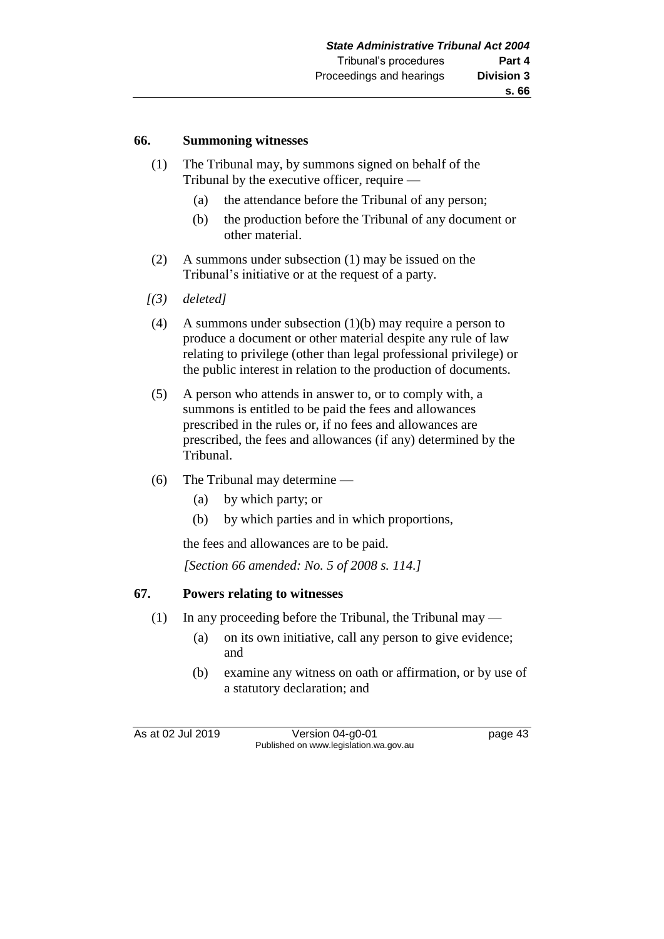#### **66. Summoning witnesses**

- (1) The Tribunal may, by summons signed on behalf of the Tribunal by the executive officer, require —
	- (a) the attendance before the Tribunal of any person;
	- (b) the production before the Tribunal of any document or other material.
- (2) A summons under subsection (1) may be issued on the Tribunal's initiative or at the request of a party.
- *[(3) deleted]*
- (4) A summons under subsection (1)(b) may require a person to produce a document or other material despite any rule of law relating to privilege (other than legal professional privilege) or the public interest in relation to the production of documents.
- (5) A person who attends in answer to, or to comply with, a summons is entitled to be paid the fees and allowances prescribed in the rules or, if no fees and allowances are prescribed, the fees and allowances (if any) determined by the Tribunal.
- (6) The Tribunal may determine
	- (a) by which party; or
	- (b) by which parties and in which proportions,

the fees and allowances are to be paid.

*[Section 66 amended: No. 5 of 2008 s. 114.]*

### **67. Powers relating to witnesses**

- (1) In any proceeding before the Tribunal, the Tribunal may
	- (a) on its own initiative, call any person to give evidence; and
	- (b) examine any witness on oath or affirmation, or by use of a statutory declaration; and

As at 02 Jul 2019 Version 04-g0-01 page 43 Published on www.legislation.wa.gov.au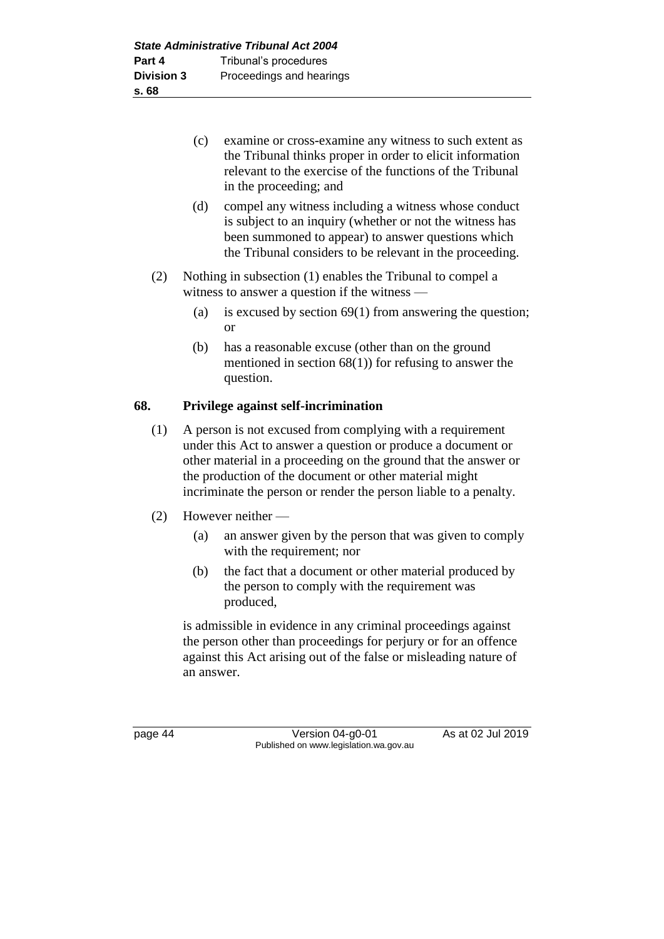| (c) | examine or cross-examine any witness to such extent as    |
|-----|-----------------------------------------------------------|
|     | the Tribunal thinks proper in order to elicit information |
|     | relevant to the exercise of the functions of the Tribunal |
|     | in the proceeding; and                                    |

- (d) compel any witness including a witness whose conduct is subject to an inquiry (whether or not the witness has been summoned to appear) to answer questions which the Tribunal considers to be relevant in the proceeding.
- (2) Nothing in subsection (1) enables the Tribunal to compel a witness to answer a question if the witness —
	- (a) is excused by section 69(1) from answering the question; or
	- (b) has a reasonable excuse (other than on the ground mentioned in section  $68(1)$  for refusing to answer the question.

# **68. Privilege against self-incrimination**

- (1) A person is not excused from complying with a requirement under this Act to answer a question or produce a document or other material in a proceeding on the ground that the answer or the production of the document or other material might incriminate the person or render the person liable to a penalty.
- (2) However neither
	- (a) an answer given by the person that was given to comply with the requirement; nor
	- (b) the fact that a document or other material produced by the person to comply with the requirement was produced,

is admissible in evidence in any criminal proceedings against the person other than proceedings for perjury or for an offence against this Act arising out of the false or misleading nature of an answer.

page 44 Version 04-g0-01 As at 02 Jul 2019 Published on www.legislation.wa.gov.au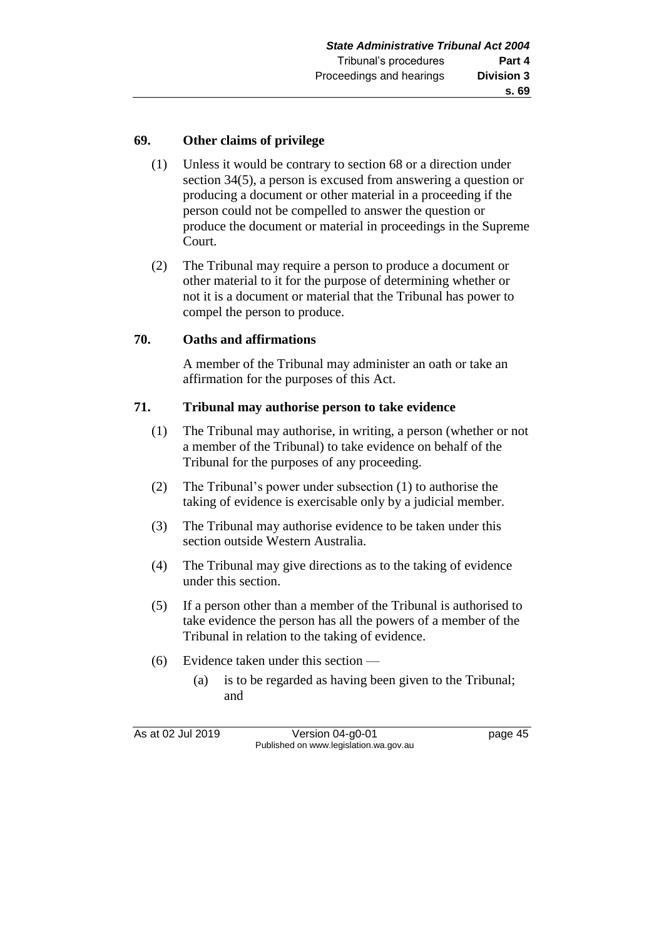### **69. Other claims of privilege**

- (1) Unless it would be contrary to section 68 or a direction under section 34(5), a person is excused from answering a question or producing a document or other material in a proceeding if the person could not be compelled to answer the question or produce the document or material in proceedings in the Supreme Court.
- (2) The Tribunal may require a person to produce a document or other material to it for the purpose of determining whether or not it is a document or material that the Tribunal has power to compel the person to produce.

### **70. Oaths and affirmations**

A member of the Tribunal may administer an oath or take an affirmation for the purposes of this Act.

### **71. Tribunal may authorise person to take evidence**

- (1) The Tribunal may authorise, in writing, a person (whether or not a member of the Tribunal) to take evidence on behalf of the Tribunal for the purposes of any proceeding.
- (2) The Tribunal's power under subsection (1) to authorise the taking of evidence is exercisable only by a judicial member.
- (3) The Tribunal may authorise evidence to be taken under this section outside Western Australia.
- (4) The Tribunal may give directions as to the taking of evidence under this section.
- (5) If a person other than a member of the Tribunal is authorised to take evidence the person has all the powers of a member of the Tribunal in relation to the taking of evidence.
- (6) Evidence taken under this section
	- (a) is to be regarded as having been given to the Tribunal; and

As at 02 Jul 2019 Version 04-g0-01 page 45 Published on www.legislation.wa.gov.au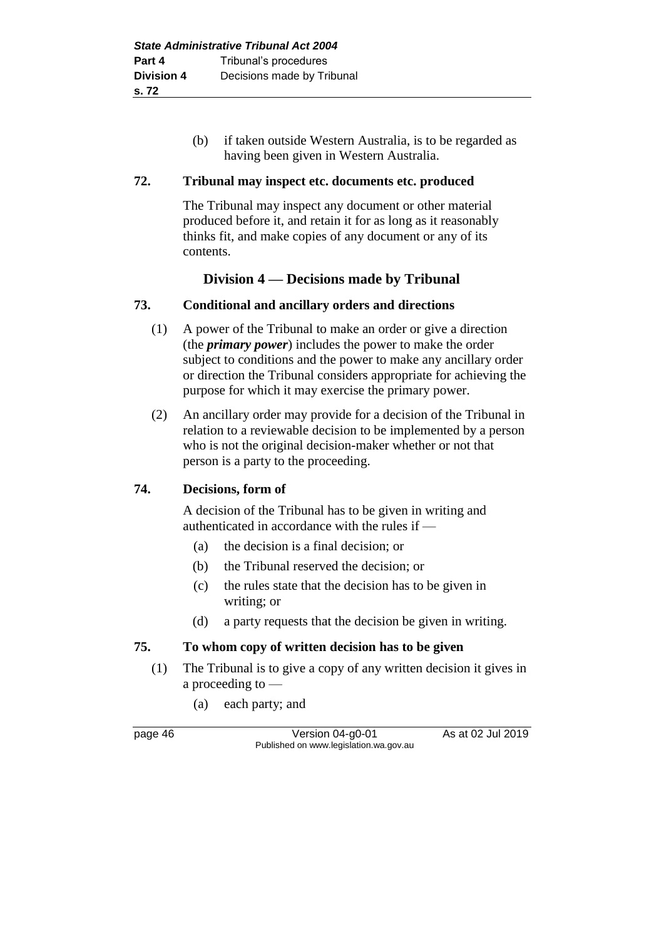(b) if taken outside Western Australia, is to be regarded as having been given in Western Australia.

### **72. Tribunal may inspect etc. documents etc. produced**

The Tribunal may inspect any document or other material produced before it, and retain it for as long as it reasonably thinks fit, and make copies of any document or any of its contents.

# **Division 4 — Decisions made by Tribunal**

### **73. Conditional and ancillary orders and directions**

- (1) A power of the Tribunal to make an order or give a direction (the *primary power*) includes the power to make the order subject to conditions and the power to make any ancillary order or direction the Tribunal considers appropriate for achieving the purpose for which it may exercise the primary power.
- (2) An ancillary order may provide for a decision of the Tribunal in relation to a reviewable decision to be implemented by a person who is not the original decision-maker whether or not that person is a party to the proceeding.

### **74. Decisions, form of**

A decision of the Tribunal has to be given in writing and authenticated in accordance with the rules if —

- (a) the decision is a final decision; or
- (b) the Tribunal reserved the decision; or
- (c) the rules state that the decision has to be given in writing; or
- (d) a party requests that the decision be given in writing.

## **75. To whom copy of written decision has to be given**

- (1) The Tribunal is to give a copy of any written decision it gives in a proceeding to —
	- (a) each party; and

page 46 Version 04-g0-01 As at 02 Jul 2019 Published on www.legislation.wa.gov.au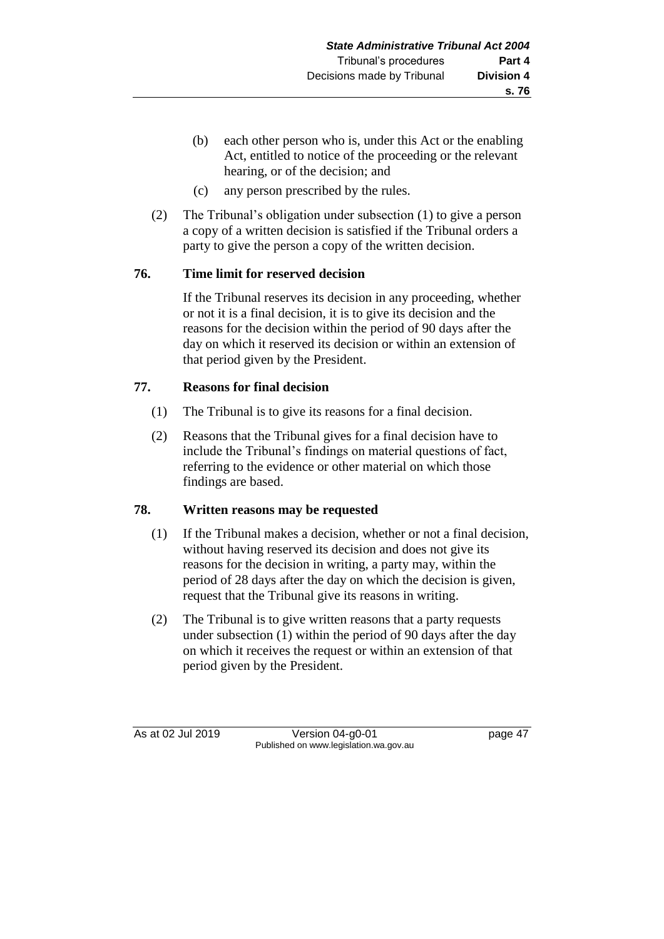- (b) each other person who is, under this Act or the enabling Act, entitled to notice of the proceeding or the relevant hearing, or of the decision; and
- (c) any person prescribed by the rules.
- (2) The Tribunal's obligation under subsection (1) to give a person a copy of a written decision is satisfied if the Tribunal orders a party to give the person a copy of the written decision.

# **76. Time limit for reserved decision**

If the Tribunal reserves its decision in any proceeding, whether or not it is a final decision, it is to give its decision and the reasons for the decision within the period of 90 days after the day on which it reserved its decision or within an extension of that period given by the President.

# **77. Reasons for final decision**

- (1) The Tribunal is to give its reasons for a final decision.
- (2) Reasons that the Tribunal gives for a final decision have to include the Tribunal's findings on material questions of fact, referring to the evidence or other material on which those findings are based.

## **78. Written reasons may be requested**

- (1) If the Tribunal makes a decision, whether or not a final decision, without having reserved its decision and does not give its reasons for the decision in writing, a party may, within the period of 28 days after the day on which the decision is given, request that the Tribunal give its reasons in writing.
- (2) The Tribunal is to give written reasons that a party requests under subsection (1) within the period of 90 days after the day on which it receives the request or within an extension of that period given by the President.

As at 02 Jul 2019 Version 04-g0-01 page 47 Published on www.legislation.wa.gov.au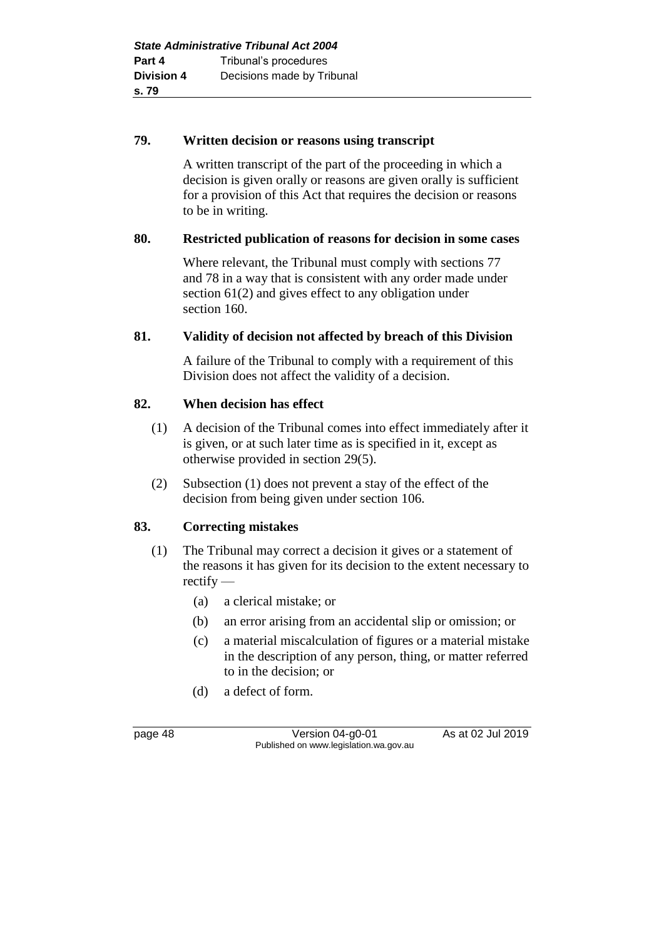### **79. Written decision or reasons using transcript**

A written transcript of the part of the proceeding in which a decision is given orally or reasons are given orally is sufficient for a provision of this Act that requires the decision or reasons to be in writing.

### **80. Restricted publication of reasons for decision in some cases**

Where relevant, the Tribunal must comply with sections 77 and 78 in a way that is consistent with any order made under section 61(2) and gives effect to any obligation under section 160.

## **81. Validity of decision not affected by breach of this Division**

A failure of the Tribunal to comply with a requirement of this Division does not affect the validity of a decision.

### **82. When decision has effect**

- (1) A decision of the Tribunal comes into effect immediately after it is given, or at such later time as is specified in it, except as otherwise provided in section 29(5).
- (2) Subsection (1) does not prevent a stay of the effect of the decision from being given under section 106.

## **83. Correcting mistakes**

- (1) The Tribunal may correct a decision it gives or a statement of the reasons it has given for its decision to the extent necessary to rectify —
	- (a) a clerical mistake; or
	- (b) an error arising from an accidental slip or omission; or
	- (c) a material miscalculation of figures or a material mistake in the description of any person, thing, or matter referred to in the decision; or
	- (d) a defect of form.

page 48 Version 04-g0-01 As at 02 Jul 2019 Published on www.legislation.wa.gov.au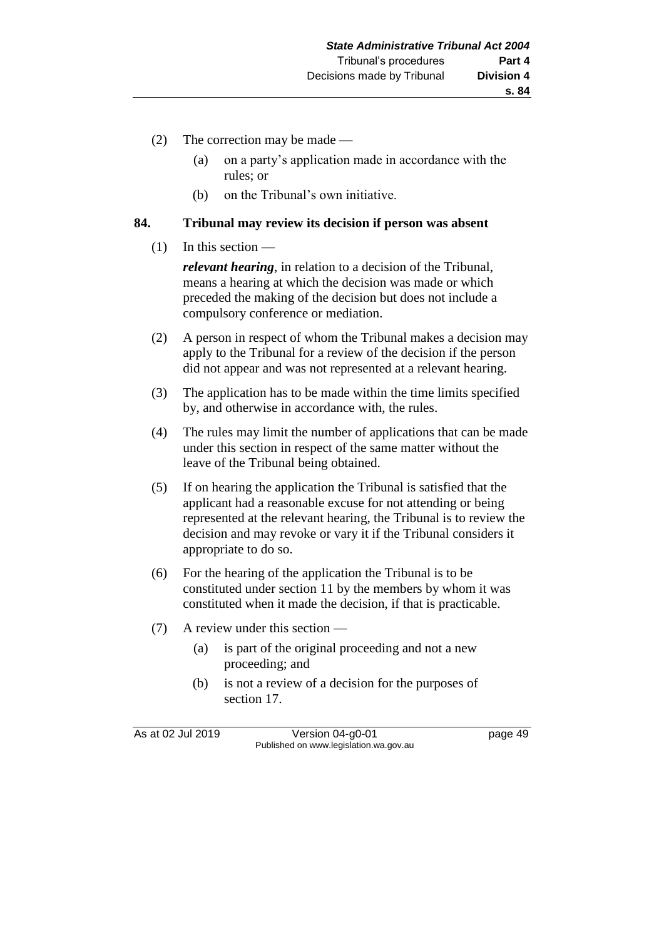- (2) The correction may be made
	- (a) on a party's application made in accordance with the rules; or
	- (b) on the Tribunal's own initiative.

### **84. Tribunal may review its decision if person was absent**

### $(1)$  In this section —

*relevant hearing*, in relation to a decision of the Tribunal, means a hearing at which the decision was made or which preceded the making of the decision but does not include a compulsory conference or mediation.

- (2) A person in respect of whom the Tribunal makes a decision may apply to the Tribunal for a review of the decision if the person did not appear and was not represented at a relevant hearing.
- (3) The application has to be made within the time limits specified by, and otherwise in accordance with, the rules.
- (4) The rules may limit the number of applications that can be made under this section in respect of the same matter without the leave of the Tribunal being obtained.
- (5) If on hearing the application the Tribunal is satisfied that the applicant had a reasonable excuse for not attending or being represented at the relevant hearing, the Tribunal is to review the decision and may revoke or vary it if the Tribunal considers it appropriate to do so.
- (6) For the hearing of the application the Tribunal is to be constituted under section 11 by the members by whom it was constituted when it made the decision, if that is practicable.
- (7) A review under this section
	- (a) is part of the original proceeding and not a new proceeding; and
	- (b) is not a review of a decision for the purposes of section 17.

As at 02 Jul 2019 Version 04-g0-01 page 49 Published on www.legislation.wa.gov.au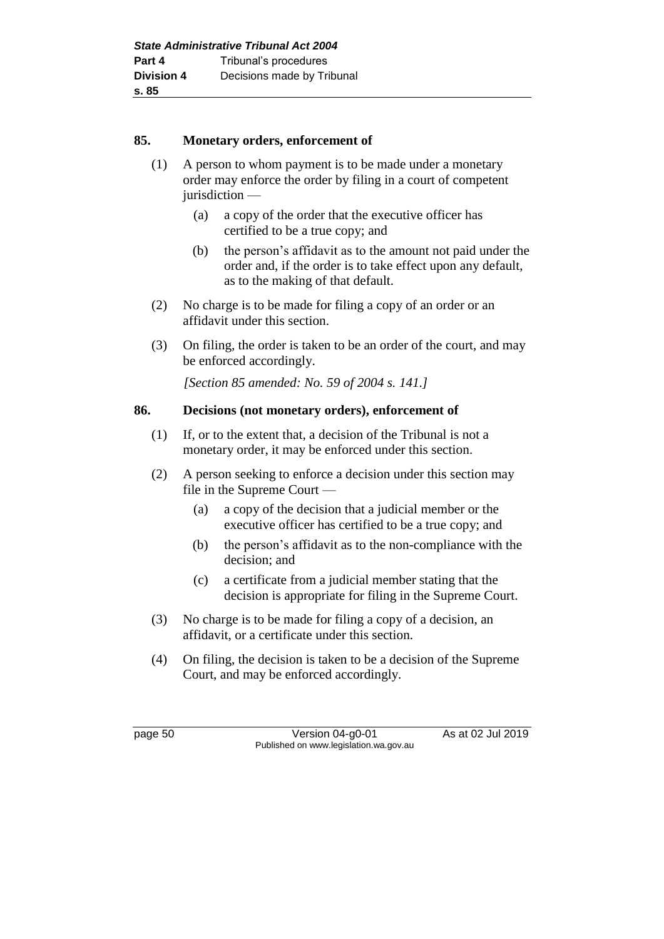### **85. Monetary orders, enforcement of**

- (1) A person to whom payment is to be made under a monetary order may enforce the order by filing in a court of competent jurisdiction —
	- (a) a copy of the order that the executive officer has certified to be a true copy; and
	- (b) the person's affidavit as to the amount not paid under the order and, if the order is to take effect upon any default, as to the making of that default.
- (2) No charge is to be made for filing a copy of an order or an affidavit under this section.
- (3) On filing, the order is taken to be an order of the court, and may be enforced accordingly.

*[Section 85 amended: No. 59 of 2004 s. 141.]* 

### **86. Decisions (not monetary orders), enforcement of**

- (1) If, or to the extent that, a decision of the Tribunal is not a monetary order, it may be enforced under this section.
- (2) A person seeking to enforce a decision under this section may file in the Supreme Court —
	- (a) a copy of the decision that a judicial member or the executive officer has certified to be a true copy; and
	- (b) the person's affidavit as to the non-compliance with the decision; and
	- (c) a certificate from a judicial member stating that the decision is appropriate for filing in the Supreme Court.
- (3) No charge is to be made for filing a copy of a decision, an affidavit, or a certificate under this section.
- (4) On filing, the decision is taken to be a decision of the Supreme Court, and may be enforced accordingly.

page 50 Version 04-g0-01 As at 02 Jul 2019 Published on www.legislation.wa.gov.au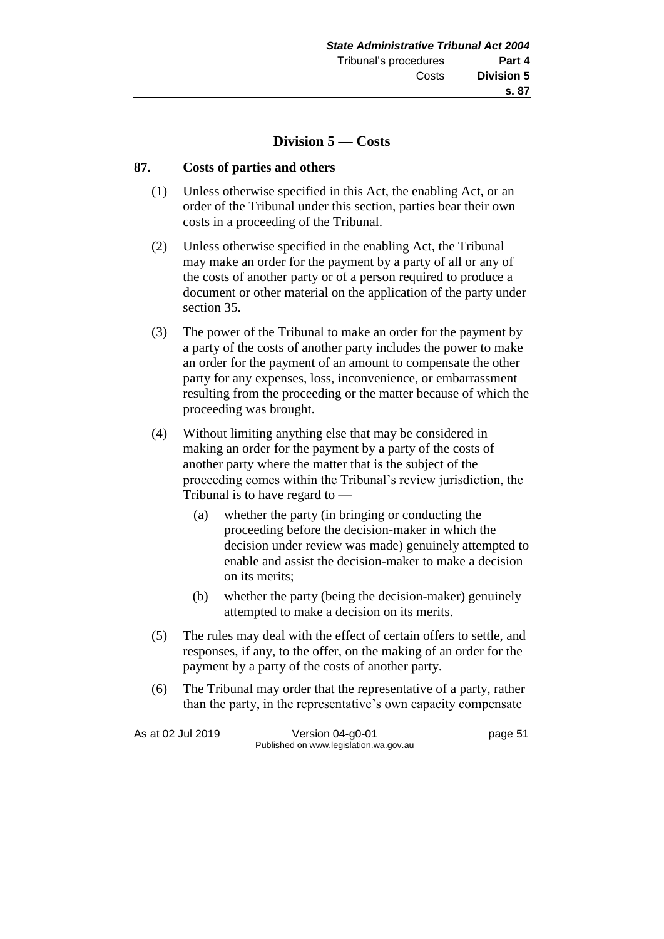### **Division 5 — Costs**

#### **87. Costs of parties and others**

- (1) Unless otherwise specified in this Act, the enabling Act, or an order of the Tribunal under this section, parties bear their own costs in a proceeding of the Tribunal.
- (2) Unless otherwise specified in the enabling Act, the Tribunal may make an order for the payment by a party of all or any of the costs of another party or of a person required to produce a document or other material on the application of the party under section 35.
- (3) The power of the Tribunal to make an order for the payment by a party of the costs of another party includes the power to make an order for the payment of an amount to compensate the other party for any expenses, loss, inconvenience, or embarrassment resulting from the proceeding or the matter because of which the proceeding was brought.
- (4) Without limiting anything else that may be considered in making an order for the payment by a party of the costs of another party where the matter that is the subject of the proceeding comes within the Tribunal's review jurisdiction, the Tribunal is to have regard to —
	- (a) whether the party (in bringing or conducting the proceeding before the decision-maker in which the decision under review was made) genuinely attempted to enable and assist the decision-maker to make a decision on its merits;
	- (b) whether the party (being the decision-maker) genuinely attempted to make a decision on its merits.
- (5) The rules may deal with the effect of certain offers to settle, and responses, if any, to the offer, on the making of an order for the payment by a party of the costs of another party.
- (6) The Tribunal may order that the representative of a party, rather than the party, in the representative's own capacity compensate

As at 02 Jul 2019 Version 04-g0-01 page 51 Published on www.legislation.wa.gov.au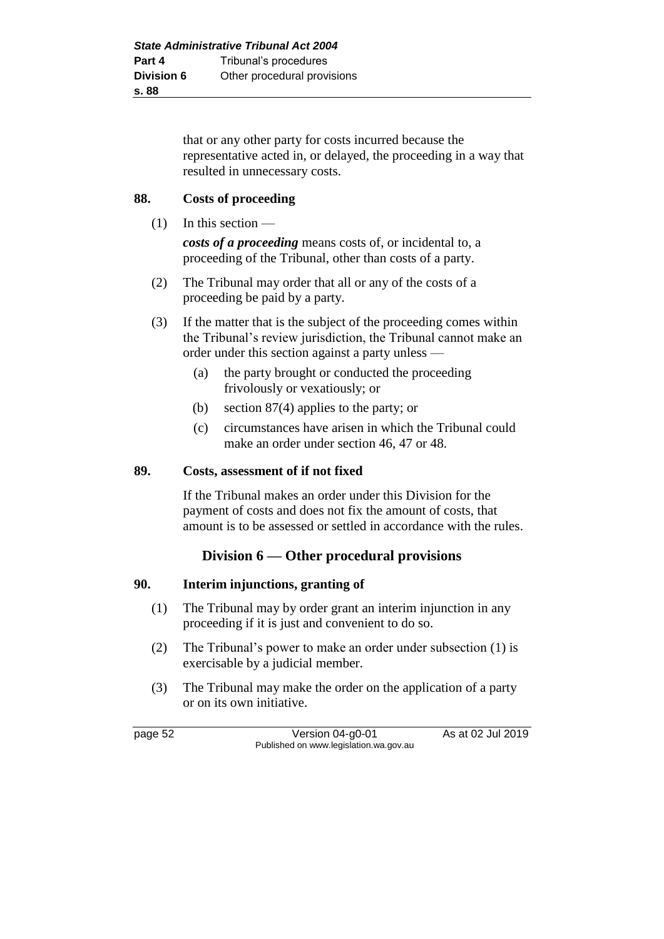that or any other party for costs incurred because the representative acted in, or delayed, the proceeding in a way that resulted in unnecessary costs.

### **88. Costs of proceeding**

 $(1)$  In this section —

*costs of a proceeding* means costs of, or incidental to, a proceeding of the Tribunal, other than costs of a party.

- (2) The Tribunal may order that all or any of the costs of a proceeding be paid by a party.
- (3) If the matter that is the subject of the proceeding comes within the Tribunal's review jurisdiction, the Tribunal cannot make an order under this section against a party unless —
	- (a) the party brought or conducted the proceeding frivolously or vexatiously; or
	- (b) section 87(4) applies to the party; or
	- (c) circumstances have arisen in which the Tribunal could make an order under section 46, 47 or 48.

### **89. Costs, assessment of if not fixed**

If the Tribunal makes an order under this Division for the payment of costs and does not fix the amount of costs, that amount is to be assessed or settled in accordance with the rules.

# **Division 6 — Other procedural provisions**

### **90. Interim injunctions, granting of**

- (1) The Tribunal may by order grant an interim injunction in any proceeding if it is just and convenient to do so.
- (2) The Tribunal's power to make an order under subsection (1) is exercisable by a judicial member.
- (3) The Tribunal may make the order on the application of a party or on its own initiative.

page 52 Version 04-g0-01 As at 02 Jul 2019 Published on www.legislation.wa.gov.au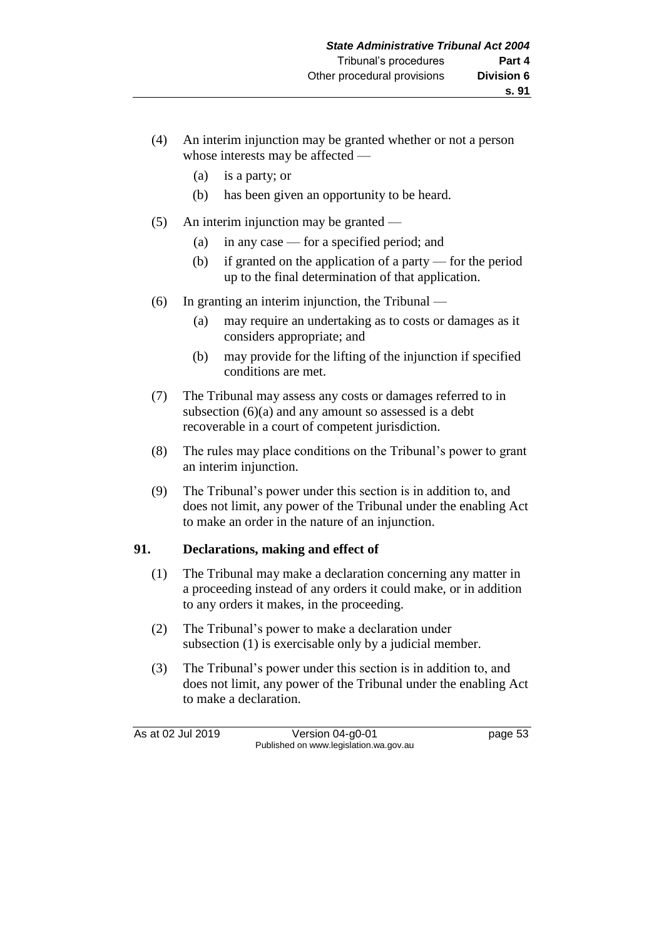- (4) An interim injunction may be granted whether or not a person whose interests may be affected —
	- (a) is a party; or
	- (b) has been given an opportunity to be heard.
- (5) An interim injunction may be granted
	- (a) in any case for a specified period; and
	- (b) if granted on the application of a party for the period up to the final determination of that application.
- (6) In granting an interim injunction, the Tribunal
	- (a) may require an undertaking as to costs or damages as it considers appropriate; and
	- (b) may provide for the lifting of the injunction if specified conditions are met.
- (7) The Tribunal may assess any costs or damages referred to in subsection  $(6)(a)$  and any amount so assessed is a debt recoverable in a court of competent jurisdiction.
- (8) The rules may place conditions on the Tribunal's power to grant an interim injunction.
- (9) The Tribunal's power under this section is in addition to, and does not limit, any power of the Tribunal under the enabling Act to make an order in the nature of an injunction.

## **91. Declarations, making and effect of**

- (1) The Tribunal may make a declaration concerning any matter in a proceeding instead of any orders it could make, or in addition to any orders it makes, in the proceeding.
- (2) The Tribunal's power to make a declaration under subsection (1) is exercisable only by a judicial member.
- (3) The Tribunal's power under this section is in addition to, and does not limit, any power of the Tribunal under the enabling Act to make a declaration.

As at 02 Jul 2019 Version 04-g0-01 page 53 Published on www.legislation.wa.gov.au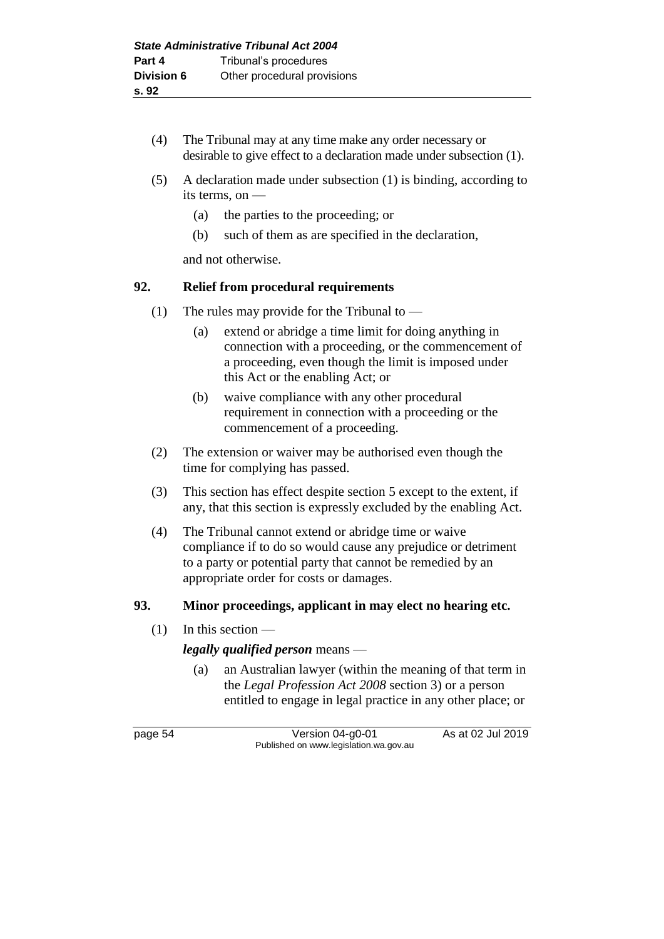- (4) The Tribunal may at any time make any order necessary or desirable to give effect to a declaration made under subsection (1).
- (5) A declaration made under subsection (1) is binding, according to its terms, on —
	- (a) the parties to the proceeding; or
	- (b) such of them as are specified in the declaration,

and not otherwise.

# **92. Relief from procedural requirements**

- (1) The rules may provide for the Tribunal to
	- (a) extend or abridge a time limit for doing anything in connection with a proceeding, or the commencement of a proceeding, even though the limit is imposed under this Act or the enabling Act; or
	- (b) waive compliance with any other procedural requirement in connection with a proceeding or the commencement of a proceeding.
- (2) The extension or waiver may be authorised even though the time for complying has passed.
- (3) This section has effect despite section 5 except to the extent, if any, that this section is expressly excluded by the enabling Act.
- (4) The Tribunal cannot extend or abridge time or waive compliance if to do so would cause any prejudice or detriment to a party or potential party that cannot be remedied by an appropriate order for costs or damages.

## **93. Minor proceedings, applicant in may elect no hearing etc.**

(1) In this section —

# *legally qualified person* means —

(a) an Australian lawyer (within the meaning of that term in the *Legal Profession Act 2008* section 3) or a person entitled to engage in legal practice in any other place; or

page 54 Version 04-g0-01 As at 02 Jul 2019 Published on www.legislation.wa.gov.au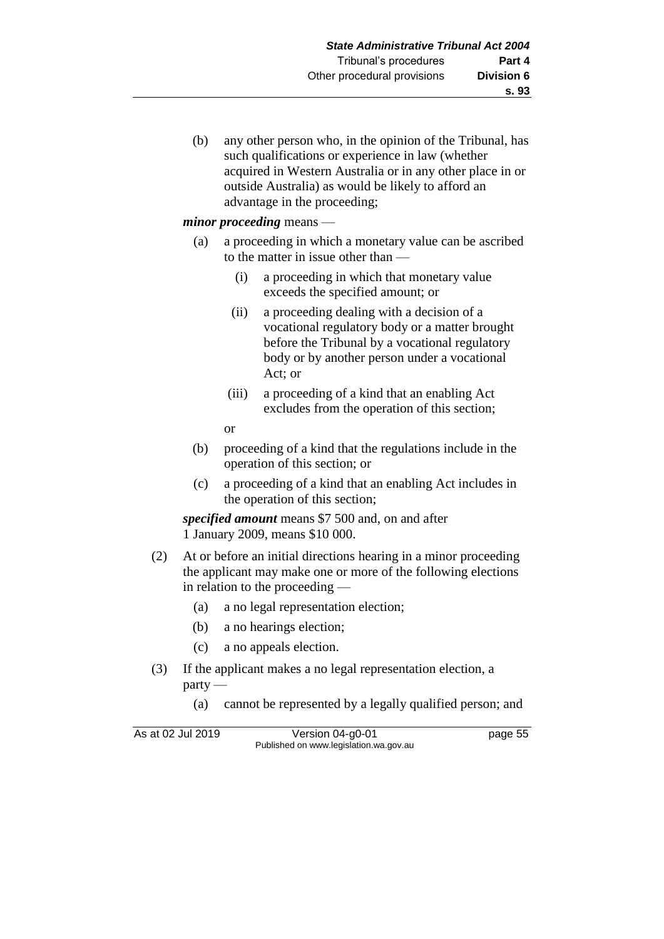(b) any other person who, in the opinion of the Tribunal, has such qualifications or experience in law (whether acquired in Western Australia or in any other place in or outside Australia) as would be likely to afford an advantage in the proceeding;

### *minor proceeding* means —

- (a) a proceeding in which a monetary value can be ascribed to the matter in issue other than —
	- (i) a proceeding in which that monetary value exceeds the specified amount; or
	- (ii) a proceeding dealing with a decision of a vocational regulatory body or a matter brought before the Tribunal by a vocational regulatory body or by another person under a vocational Act; or
	- (iii) a proceeding of a kind that an enabling Act excludes from the operation of this section;

or

- (b) proceeding of a kind that the regulations include in the operation of this section; or
- (c) a proceeding of a kind that an enabling Act includes in the operation of this section;

*specified amount* means \$7 500 and, on and after 1 January 2009, means \$10 000.

- (2) At or before an initial directions hearing in a minor proceeding the applicant may make one or more of the following elections in relation to the proceeding —
	- (a) a no legal representation election;
	- (b) a no hearings election;
	- (c) a no appeals election.
- (3) If the applicant makes a no legal representation election, a party —
	- (a) cannot be represented by a legally qualified person; and

| As at 02 Jul 2019 | Version 04-g0-01                       | page 55 |
|-------------------|----------------------------------------|---------|
|                   | Published on www.legislation.wa.gov.au |         |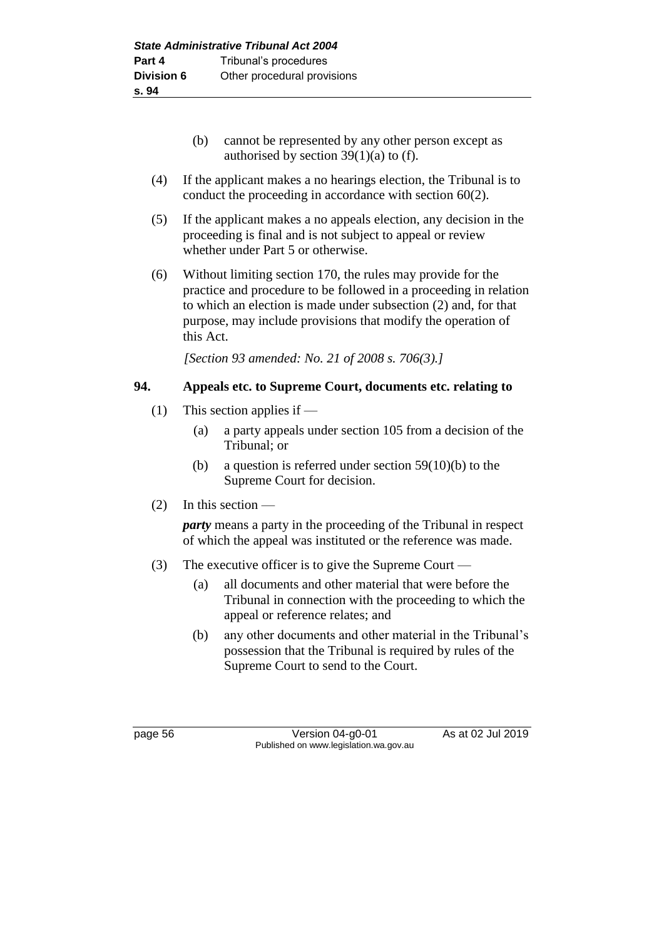- (b) cannot be represented by any other person except as authorised by section  $39(1)(a)$  to (f).
- (4) If the applicant makes a no hearings election, the Tribunal is to conduct the proceeding in accordance with section 60(2).
- (5) If the applicant makes a no appeals election, any decision in the proceeding is final and is not subject to appeal or review whether under Part 5 or otherwise.
- (6) Without limiting section 170, the rules may provide for the practice and procedure to be followed in a proceeding in relation to which an election is made under subsection (2) and, for that purpose, may include provisions that modify the operation of this Act.

*[Section 93 amended: No. 21 of 2008 s. 706(3).]*

### **94. Appeals etc. to Supreme Court, documents etc. relating to**

- (1) This section applies if
	- (a) a party appeals under section 105 from a decision of the Tribunal; or
	- (b) a question is referred under section  $59(10)(b)$  to the Supreme Court for decision.
- (2) In this section —

*party* means a party in the proceeding of the Tribunal in respect of which the appeal was instituted or the reference was made.

- (3) The executive officer is to give the Supreme Court
	- (a) all documents and other material that were before the Tribunal in connection with the proceeding to which the appeal or reference relates; and
	- (b) any other documents and other material in the Tribunal's possession that the Tribunal is required by rules of the Supreme Court to send to the Court.

page 56 Version 04-g0-01 As at 02 Jul 2019 Published on www.legislation.wa.gov.au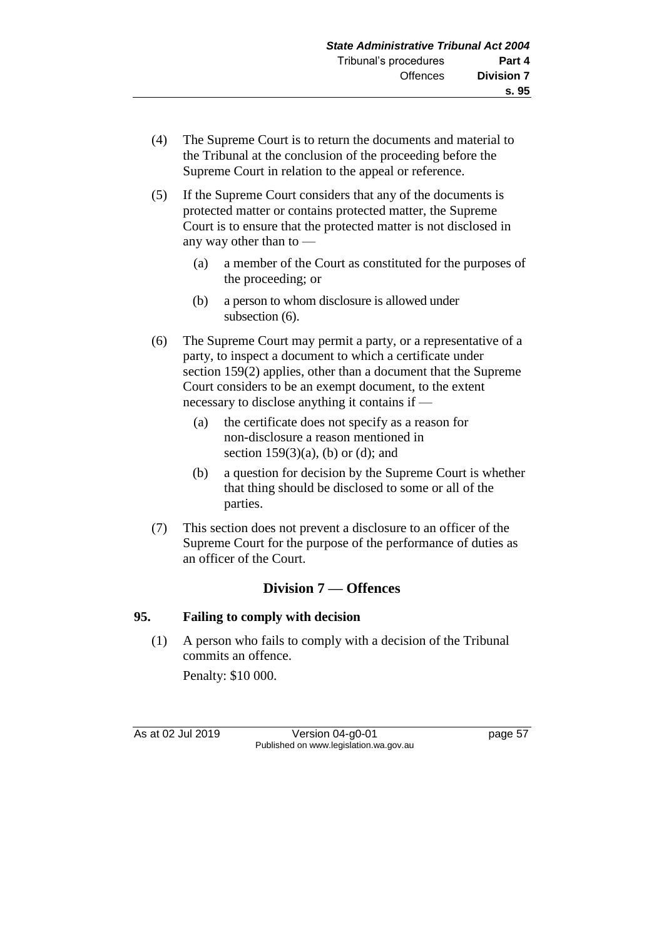- (4) The Supreme Court is to return the documents and material to the Tribunal at the conclusion of the proceeding before the Supreme Court in relation to the appeal or reference.
- (5) If the Supreme Court considers that any of the documents is protected matter or contains protected matter, the Supreme Court is to ensure that the protected matter is not disclosed in any way other than to —
	- (a) a member of the Court as constituted for the purposes of the proceeding; or
	- (b) a person to whom disclosure is allowed under subsection  $(6)$ .
- (6) The Supreme Court may permit a party, or a representative of a party, to inspect a document to which a certificate under section 159(2) applies, other than a document that the Supreme Court considers to be an exempt document, to the extent necessary to disclose anything it contains if —
	- (a) the certificate does not specify as a reason for non-disclosure a reason mentioned in section  $159(3)(a)$ , (b) or (d); and
	- (b) a question for decision by the Supreme Court is whether that thing should be disclosed to some or all of the parties.
- (7) This section does not prevent a disclosure to an officer of the Supreme Court for the purpose of the performance of duties as an officer of the Court.

# **Division 7 — Offences**

## **95. Failing to comply with decision**

(1) A person who fails to comply with a decision of the Tribunal commits an offence.

Penalty: \$10 000.

As at 02 Jul 2019 Version 04-g0-01 page 57 Published on www.legislation.wa.gov.au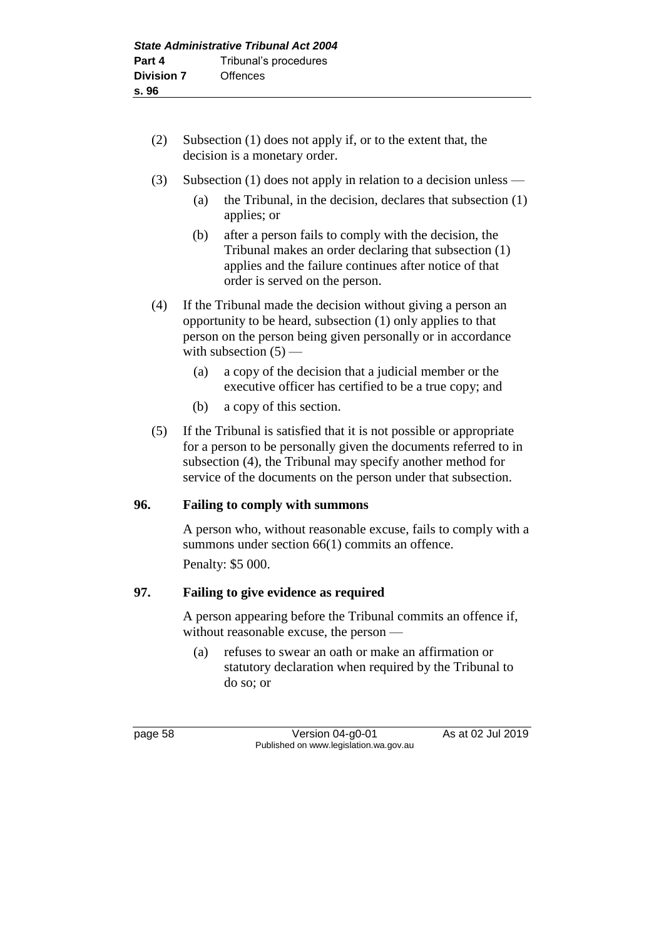- (2) Subsection (1) does not apply if, or to the extent that, the decision is a monetary order.
- (3) Subsection (1) does not apply in relation to a decision unless
	- (a) the Tribunal, in the decision, declares that subsection (1) applies; or
	- (b) after a person fails to comply with the decision, the Tribunal makes an order declaring that subsection (1) applies and the failure continues after notice of that order is served on the person.
- (4) If the Tribunal made the decision without giving a person an opportunity to be heard, subsection (1) only applies to that person on the person being given personally or in accordance with subsection  $(5)$  —
	- (a) a copy of the decision that a judicial member or the executive officer has certified to be a true copy; and
	- (b) a copy of this section.
- (5) If the Tribunal is satisfied that it is not possible or appropriate for a person to be personally given the documents referred to in subsection (4), the Tribunal may specify another method for service of the documents on the person under that subsection.

## **96. Failing to comply with summons**

A person who, without reasonable excuse, fails to comply with a summons under section 66(1) commits an offence. Penalty: \$5 000.

### **97. Failing to give evidence as required**

A person appearing before the Tribunal commits an offence if, without reasonable excuse, the person —

(a) refuses to swear an oath or make an affirmation or statutory declaration when required by the Tribunal to do so; or

page 58 Version 04-g0-01 As at 02 Jul 2019 Published on www.legislation.wa.gov.au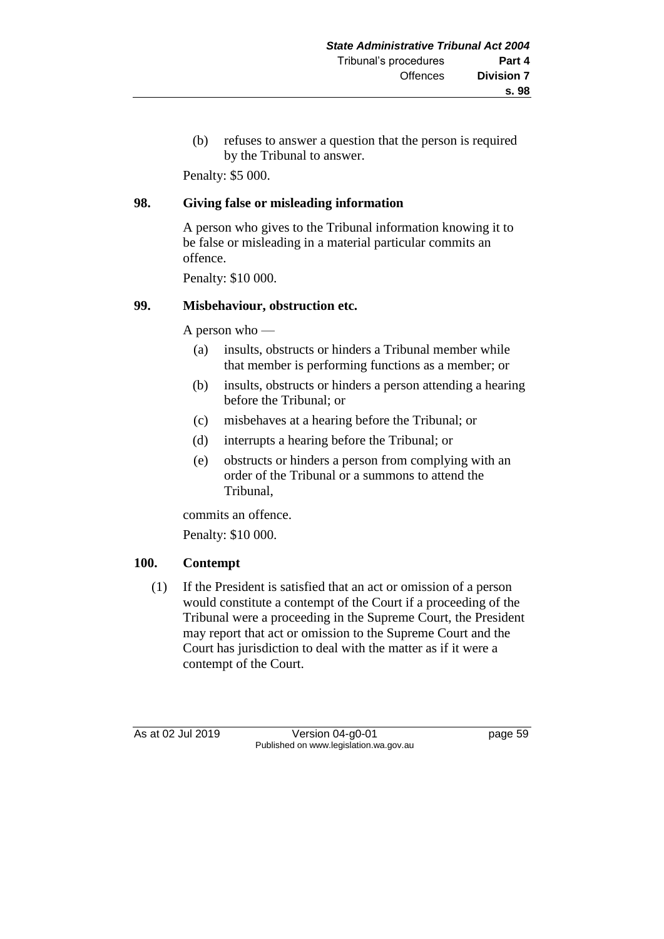(b) refuses to answer a question that the person is required by the Tribunal to answer.

Penalty: \$5 000.

### **98. Giving false or misleading information**

A person who gives to the Tribunal information knowing it to be false or misleading in a material particular commits an offence.

Penalty: \$10 000.

### **99. Misbehaviour, obstruction etc.**

A person who —

- (a) insults, obstructs or hinders a Tribunal member while that member is performing functions as a member; or
- (b) insults, obstructs or hinders a person attending a hearing before the Tribunal; or
- (c) misbehaves at a hearing before the Tribunal; or
- (d) interrupts a hearing before the Tribunal; or
- (e) obstructs or hinders a person from complying with an order of the Tribunal or a summons to attend the Tribunal,

commits an offence.

Penalty: \$10 000.

## **100. Contempt**

(1) If the President is satisfied that an act or omission of a person would constitute a contempt of the Court if a proceeding of the Tribunal were a proceeding in the Supreme Court, the President may report that act or omission to the Supreme Court and the Court has jurisdiction to deal with the matter as if it were a contempt of the Court.

As at 02 Jul 2019 Version 04-g0-01 page 59 Published on www.legislation.wa.gov.au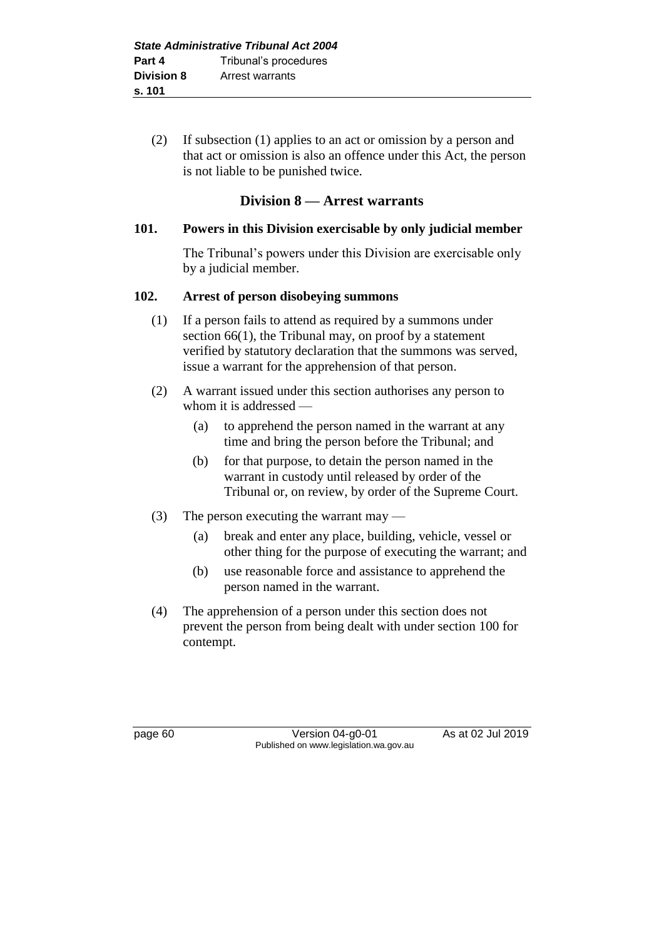(2) If subsection (1) applies to an act or omission by a person and that act or omission is also an offence under this Act, the person is not liable to be punished twice.

# **Division 8 — Arrest warrants**

### **101. Powers in this Division exercisable by only judicial member**

The Tribunal's powers under this Division are exercisable only by a judicial member.

### **102. Arrest of person disobeying summons**

- (1) If a person fails to attend as required by a summons under section 66(1), the Tribunal may, on proof by a statement verified by statutory declaration that the summons was served, issue a warrant for the apprehension of that person.
- (2) A warrant issued under this section authorises any person to whom it is addressed —
	- (a) to apprehend the person named in the warrant at any time and bring the person before the Tribunal; and
	- (b) for that purpose, to detain the person named in the warrant in custody until released by order of the Tribunal or, on review, by order of the Supreme Court.
- (3) The person executing the warrant may
	- (a) break and enter any place, building, vehicle, vessel or other thing for the purpose of executing the warrant; and
	- (b) use reasonable force and assistance to apprehend the person named in the warrant.
- (4) The apprehension of a person under this section does not prevent the person from being dealt with under section 100 for contempt.

page 60 Version 04-g0-01 As at 02 Jul 2019 Published on www.legislation.wa.gov.au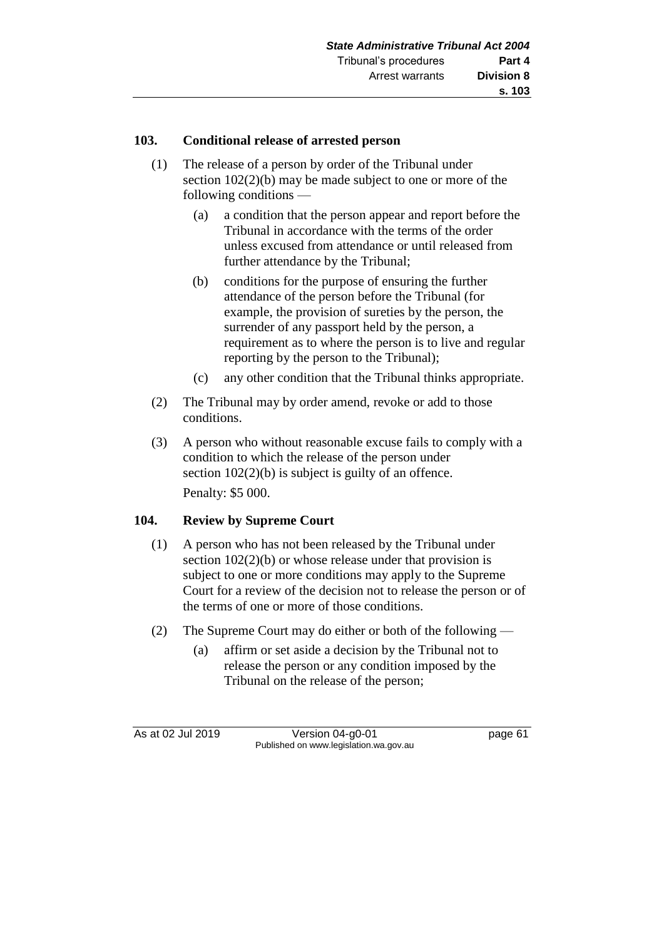### **103. Conditional release of arrested person**

- (1) The release of a person by order of the Tribunal under section 102(2)(b) may be made subject to one or more of the following conditions —
	- (a) a condition that the person appear and report before the Tribunal in accordance with the terms of the order unless excused from attendance or until released from further attendance by the Tribunal;
	- (b) conditions for the purpose of ensuring the further attendance of the person before the Tribunal (for example, the provision of sureties by the person, the surrender of any passport held by the person, a requirement as to where the person is to live and regular reporting by the person to the Tribunal);
	- (c) any other condition that the Tribunal thinks appropriate.
- (2) The Tribunal may by order amend, revoke or add to those conditions.
- (3) A person who without reasonable excuse fails to comply with a condition to which the release of the person under section  $102(2)(b)$  is subject is guilty of an offence. Penalty: \$5 000.

## **104. Review by Supreme Court**

- (1) A person who has not been released by the Tribunal under section  $102(2)(b)$  or whose release under that provision is subject to one or more conditions may apply to the Supreme Court for a review of the decision not to release the person or of the terms of one or more of those conditions.
- (2) The Supreme Court may do either or both of the following
	- (a) affirm or set aside a decision by the Tribunal not to release the person or any condition imposed by the Tribunal on the release of the person;

As at 02 Jul 2019 Version 04-g0-01 page 61 Published on www.legislation.wa.gov.au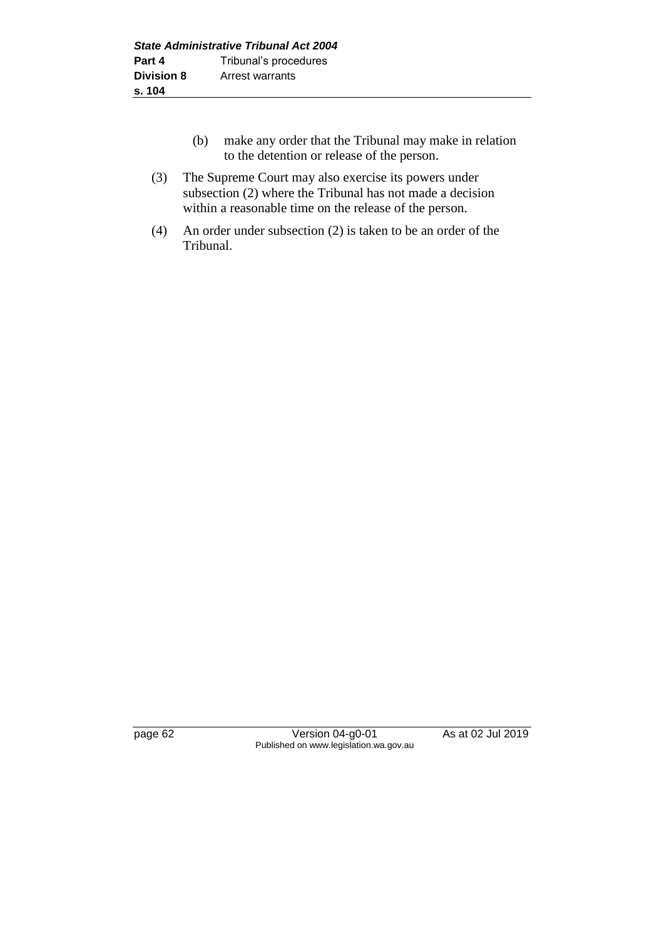- (b) make any order that the Tribunal may make in relation to the detention or release of the person.
- (3) The Supreme Court may also exercise its powers under subsection (2) where the Tribunal has not made a decision within a reasonable time on the release of the person.
- (4) An order under subsection (2) is taken to be an order of the Tribunal.

page 62 Version 04-g0-01 As at 02 Jul 2019 Published on www.legislation.wa.gov.au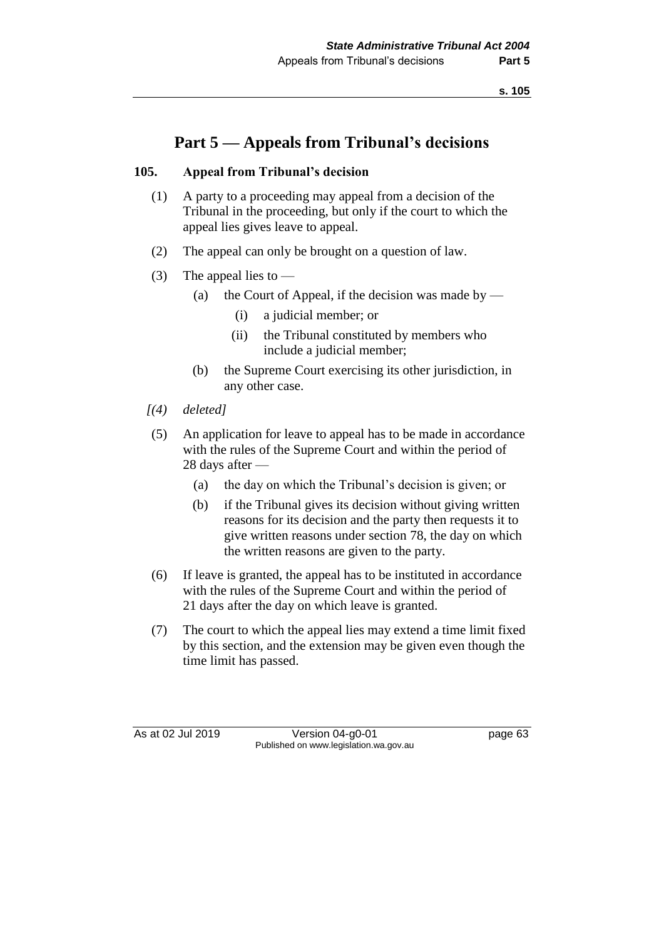**s. 105**

# **Part 5 — Appeals from Tribunal's decisions**

## **105. Appeal from Tribunal's decision**

- (1) A party to a proceeding may appeal from a decision of the Tribunal in the proceeding, but only if the court to which the appeal lies gives leave to appeal.
- (2) The appeal can only be brought on a question of law.
- (3) The appeal lies to  $-$ 
	- (a) the Court of Appeal, if the decision was made by
		- (i) a judicial member; or
		- (ii) the Tribunal constituted by members who include a judicial member;
	- (b) the Supreme Court exercising its other jurisdiction, in any other case.
- *[(4) deleted]*
- (5) An application for leave to appeal has to be made in accordance with the rules of the Supreme Court and within the period of 28 days after —
	- (a) the day on which the Tribunal's decision is given; or
	- (b) if the Tribunal gives its decision without giving written reasons for its decision and the party then requests it to give written reasons under section 78, the day on which the written reasons are given to the party.
- (6) If leave is granted, the appeal has to be instituted in accordance with the rules of the Supreme Court and within the period of 21 days after the day on which leave is granted.
- (7) The court to which the appeal lies may extend a time limit fixed by this section, and the extension may be given even though the time limit has passed.

As at 02 Jul 2019 Version 04-g0-01 page 63 Published on www.legislation.wa.gov.au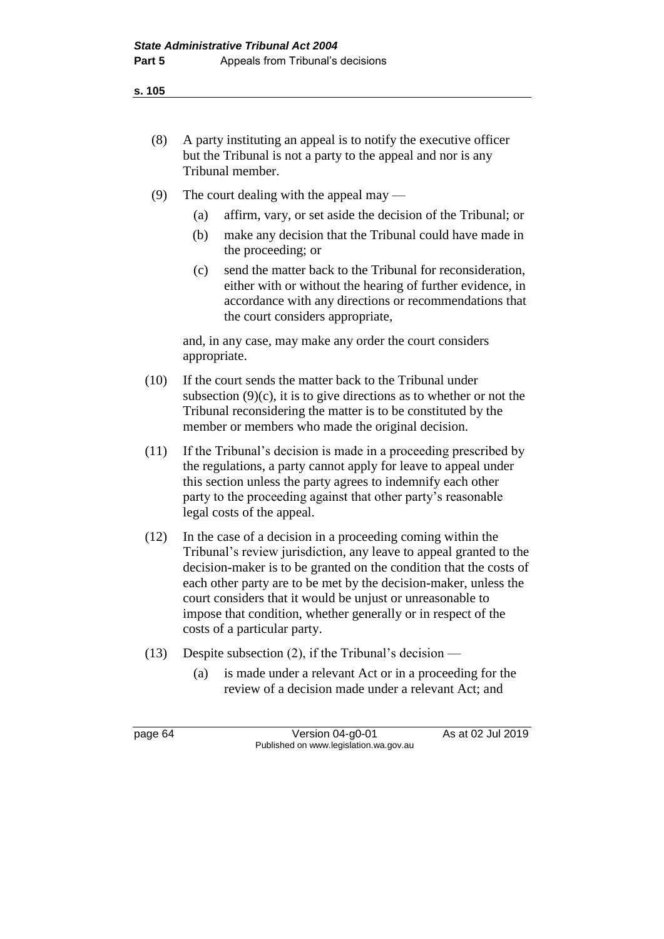**s. 105**

- (8) A party instituting an appeal is to notify the executive officer but the Tribunal is not a party to the appeal and nor is any Tribunal member.
- (9) The court dealing with the appeal may
	- (a) affirm, vary, or set aside the decision of the Tribunal; or
	- (b) make any decision that the Tribunal could have made in the proceeding; or
	- (c) send the matter back to the Tribunal for reconsideration, either with or without the hearing of further evidence, in accordance with any directions or recommendations that the court considers appropriate,

and, in any case, may make any order the court considers appropriate.

- (10) If the court sends the matter back to the Tribunal under subsection  $(9)(c)$ , it is to give directions as to whether or not the Tribunal reconsidering the matter is to be constituted by the member or members who made the original decision.
- (11) If the Tribunal's decision is made in a proceeding prescribed by the regulations, a party cannot apply for leave to appeal under this section unless the party agrees to indemnify each other party to the proceeding against that other party's reasonable legal costs of the appeal.
- (12) In the case of a decision in a proceeding coming within the Tribunal's review jurisdiction, any leave to appeal granted to the decision-maker is to be granted on the condition that the costs of each other party are to be met by the decision-maker, unless the court considers that it would be unjust or unreasonable to impose that condition, whether generally or in respect of the costs of a particular party.
- (13) Despite subsection (2), if the Tribunal's decision
	- (a) is made under a relevant Act or in a proceeding for the review of a decision made under a relevant Act; and

page 64 Version 04-g0-01 As at 02 Jul 2019 Published on www.legislation.wa.gov.au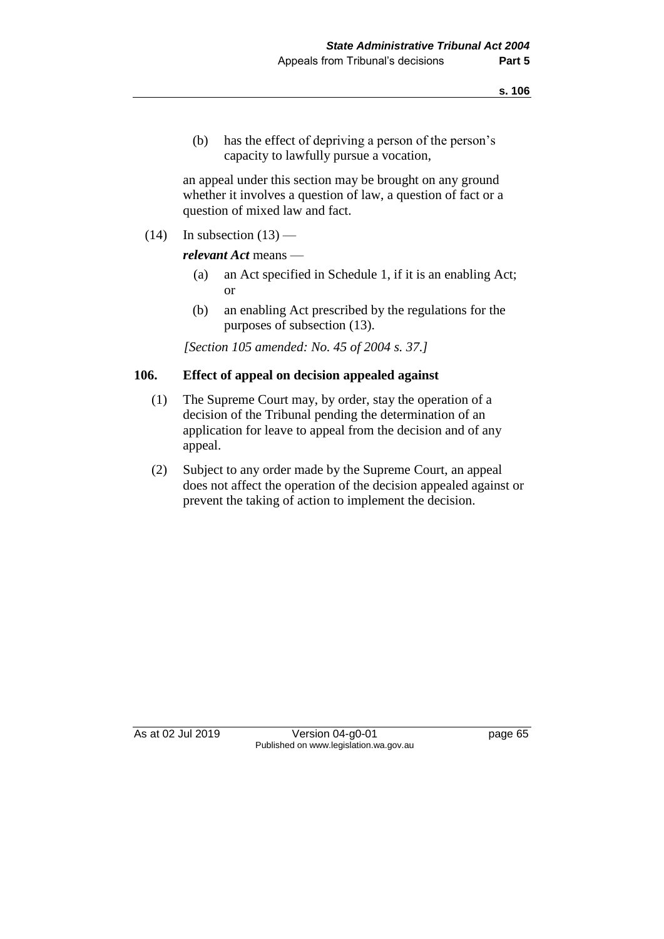(b) has the effect of depriving a person of the person's capacity to lawfully pursue a vocation,

an appeal under this section may be brought on any ground whether it involves a question of law, a question of fact or a question of mixed law and fact.

 $(14)$  In subsection  $(13)$  —

#### *relevant Act* means —

- (a) an Act specified in Schedule 1, if it is an enabling Act; or
- (b) an enabling Act prescribed by the regulations for the purposes of subsection (13).

*[Section 105 amended: No. 45 of 2004 s. 37.]*

#### **106. Effect of appeal on decision appealed against**

- (1) The Supreme Court may, by order, stay the operation of a decision of the Tribunal pending the determination of an application for leave to appeal from the decision and of any appeal.
- (2) Subject to any order made by the Supreme Court, an appeal does not affect the operation of the decision appealed against or prevent the taking of action to implement the decision.

As at 02 Jul 2019 Version 04-g0-01 page 65 Published on www.legislation.wa.gov.au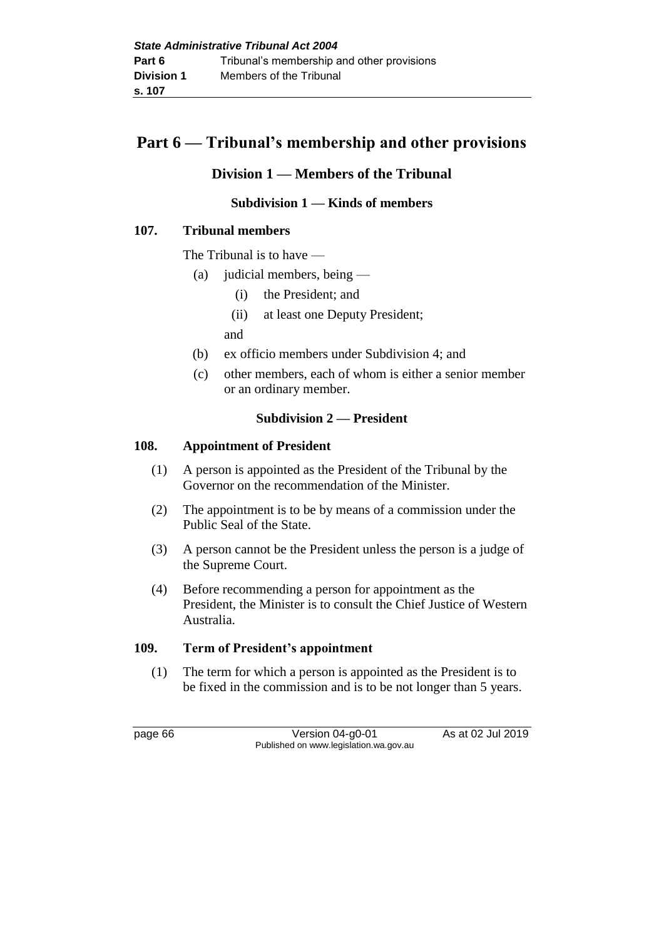# **Part 6 — Tribunal's membership and other provisions**

# **Division 1 — Members of the Tribunal**

## **Subdivision 1 — Kinds of members**

## **107. Tribunal members**

The Tribunal is to have —

- (a) judicial members, being
	- (i) the President; and
	- (ii) at least one Deputy President;
	- and
- (b) ex officio members under Subdivision 4; and
- (c) other members, each of whom is either a senior member or an ordinary member.

#### **Subdivision 2 — President**

#### **108. Appointment of President**

- (1) A person is appointed as the President of the Tribunal by the Governor on the recommendation of the Minister.
- (2) The appointment is to be by means of a commission under the Public Seal of the State.
- (3) A person cannot be the President unless the person is a judge of the Supreme Court.
- (4) Before recommending a person for appointment as the President, the Minister is to consult the Chief Justice of Western Australia.

#### **109. Term of President's appointment**

(1) The term for which a person is appointed as the President is to be fixed in the commission and is to be not longer than 5 years.

page 66 Version 04-g0-01 As at 02 Jul 2019 Published on www.legislation.wa.gov.au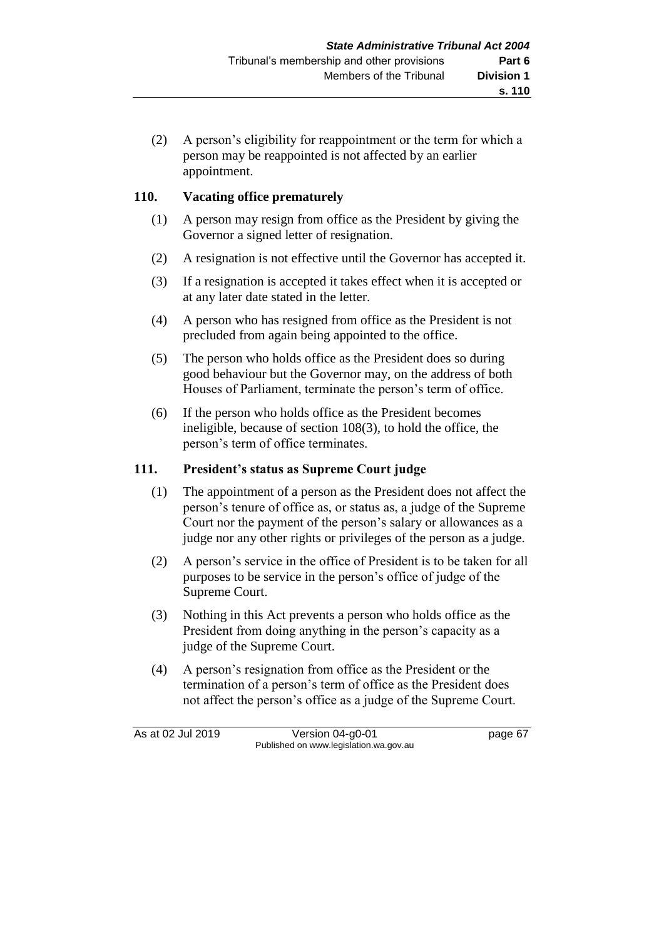(2) A person's eligibility for reappointment or the term for which a person may be reappointed is not affected by an earlier appointment.

## **110. Vacating office prematurely**

- (1) A person may resign from office as the President by giving the Governor a signed letter of resignation.
- (2) A resignation is not effective until the Governor has accepted it.
- (3) If a resignation is accepted it takes effect when it is accepted or at any later date stated in the letter.
- (4) A person who has resigned from office as the President is not precluded from again being appointed to the office.
- (5) The person who holds office as the President does so during good behaviour but the Governor may, on the address of both Houses of Parliament, terminate the person's term of office.
- (6) If the person who holds office as the President becomes ineligible, because of section 108(3), to hold the office, the person's term of office terminates.

#### **111. President's status as Supreme Court judge**

- (1) The appointment of a person as the President does not affect the person's tenure of office as, or status as, a judge of the Supreme Court nor the payment of the person's salary or allowances as a judge nor any other rights or privileges of the person as a judge.
- (2) A person's service in the office of President is to be taken for all purposes to be service in the person's office of judge of the Supreme Court.
- (3) Nothing in this Act prevents a person who holds office as the President from doing anything in the person's capacity as a judge of the Supreme Court.
- (4) A person's resignation from office as the President or the termination of a person's term of office as the President does not affect the person's office as a judge of the Supreme Court.

As at 02 Jul 2019 Version 04-g0-01 page 67 Published on www.legislation.wa.gov.au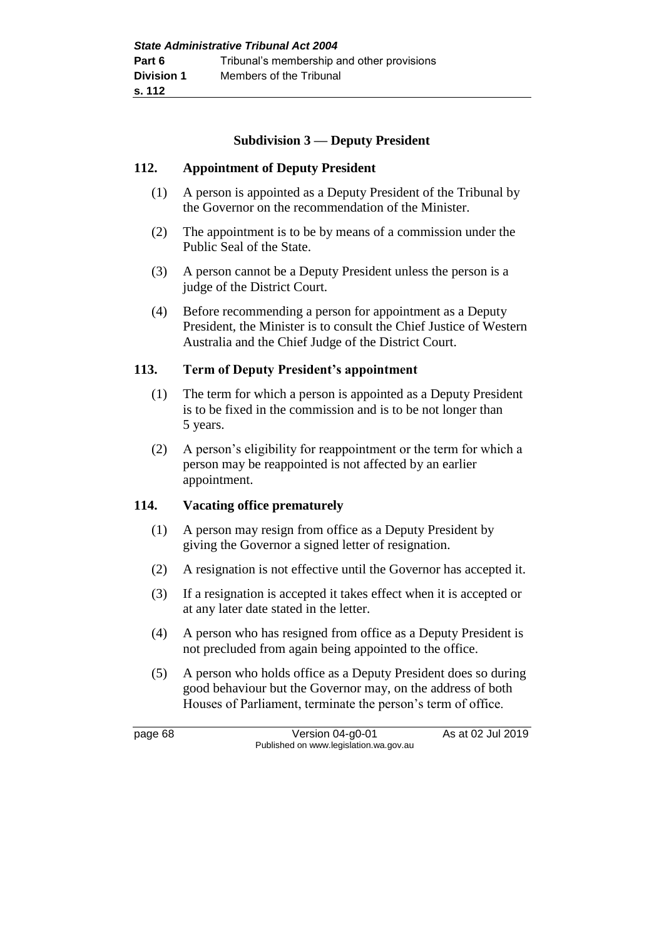#### **Subdivision 3 — Deputy President**

#### **112. Appointment of Deputy President**

- (1) A person is appointed as a Deputy President of the Tribunal by the Governor on the recommendation of the Minister.
- (2) The appointment is to be by means of a commission under the Public Seal of the State.
- (3) A person cannot be a Deputy President unless the person is a judge of the District Court.
- (4) Before recommending a person for appointment as a Deputy President, the Minister is to consult the Chief Justice of Western Australia and the Chief Judge of the District Court.

#### **113. Term of Deputy President's appointment**

- (1) The term for which a person is appointed as a Deputy President is to be fixed in the commission and is to be not longer than 5 years.
- (2) A person's eligibility for reappointment or the term for which a person may be reappointed is not affected by an earlier appointment.

#### **114. Vacating office prematurely**

- (1) A person may resign from office as a Deputy President by giving the Governor a signed letter of resignation.
- (2) A resignation is not effective until the Governor has accepted it.
- (3) If a resignation is accepted it takes effect when it is accepted or at any later date stated in the letter.
- (4) A person who has resigned from office as a Deputy President is not precluded from again being appointed to the office.
- (5) A person who holds office as a Deputy President does so during good behaviour but the Governor may, on the address of both Houses of Parliament, terminate the person's term of office.

page 68 Version 04-g0-01 As at 02 Jul 2019 Published on www.legislation.wa.gov.au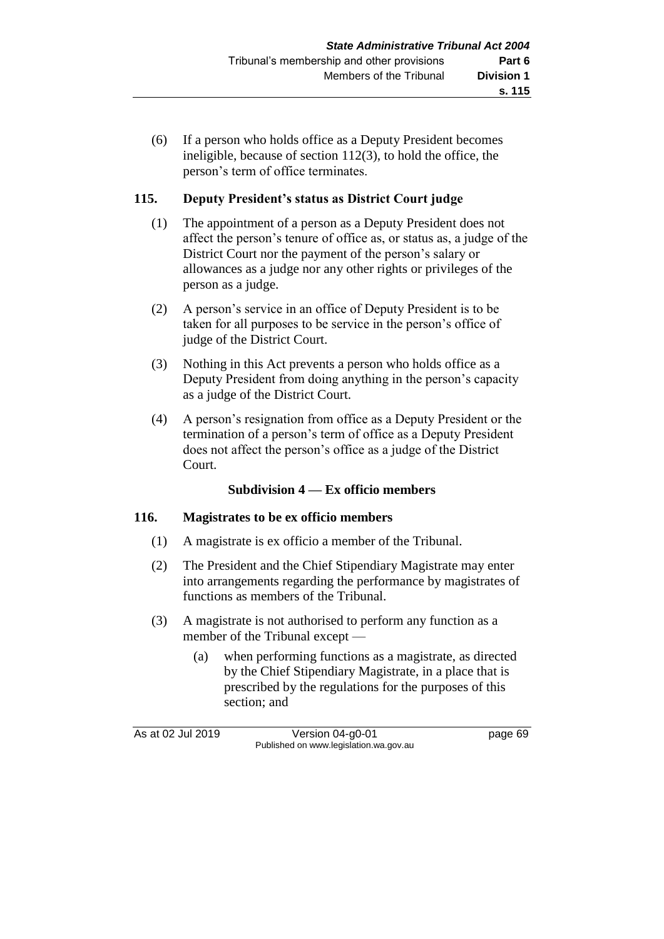(6) If a person who holds office as a Deputy President becomes ineligible, because of section 112(3), to hold the office, the person's term of office terminates.

### **115. Deputy President's status as District Court judge**

- (1) The appointment of a person as a Deputy President does not affect the person's tenure of office as, or status as, a judge of the District Court nor the payment of the person's salary or allowances as a judge nor any other rights or privileges of the person as a judge.
- (2) A person's service in an office of Deputy President is to be taken for all purposes to be service in the person's office of judge of the District Court.
- (3) Nothing in this Act prevents a person who holds office as a Deputy President from doing anything in the person's capacity as a judge of the District Court.
- (4) A person's resignation from office as a Deputy President or the termination of a person's term of office as a Deputy President does not affect the person's office as a judge of the District Court.

#### **Subdivision 4 — Ex officio members**

#### **116. Magistrates to be ex officio members**

- (1) A magistrate is ex officio a member of the Tribunal.
- (2) The President and the Chief Stipendiary Magistrate may enter into arrangements regarding the performance by magistrates of functions as members of the Tribunal.
- (3) A magistrate is not authorised to perform any function as a member of the Tribunal except —
	- (a) when performing functions as a magistrate, as directed by the Chief Stipendiary Magistrate, in a place that is prescribed by the regulations for the purposes of this section; and

As at 02 Jul 2019 Version 04-g0-01 page 69 Published on www.legislation.wa.gov.au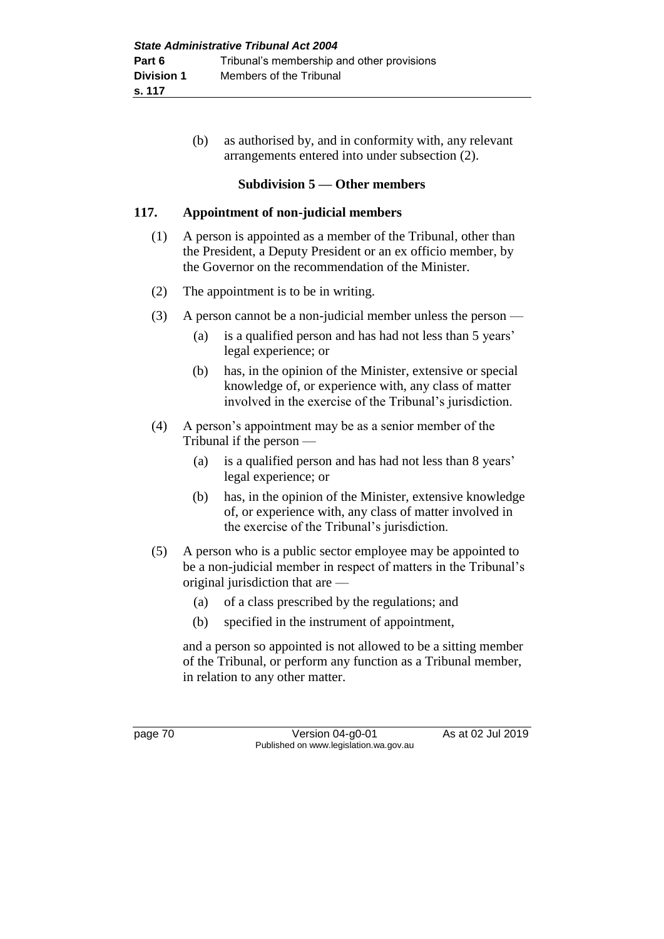(b) as authorised by, and in conformity with, any relevant arrangements entered into under subsection (2).

#### **Subdivision 5 — Other members**

#### **117. Appointment of non-judicial members**

- (1) A person is appointed as a member of the Tribunal, other than the President, a Deputy President or an ex officio member, by the Governor on the recommendation of the Minister.
- (2) The appointment is to be in writing.
- (3) A person cannot be a non-judicial member unless the person
	- (a) is a qualified person and has had not less than 5 years' legal experience; or
	- (b) has, in the opinion of the Minister, extensive or special knowledge of, or experience with, any class of matter involved in the exercise of the Tribunal's jurisdiction.
- (4) A person's appointment may be as a senior member of the Tribunal if the person —
	- (a) is a qualified person and has had not less than 8 years' legal experience; or
	- (b) has, in the opinion of the Minister, extensive knowledge of, or experience with, any class of matter involved in the exercise of the Tribunal's jurisdiction.
- (5) A person who is a public sector employee may be appointed to be a non-judicial member in respect of matters in the Tribunal's original jurisdiction that are —
	- (a) of a class prescribed by the regulations; and
	- (b) specified in the instrument of appointment,

and a person so appointed is not allowed to be a sitting member of the Tribunal, or perform any function as a Tribunal member, in relation to any other matter.

page 70 Version 04-g0-01 As at 02 Jul 2019 Published on www.legislation.wa.gov.au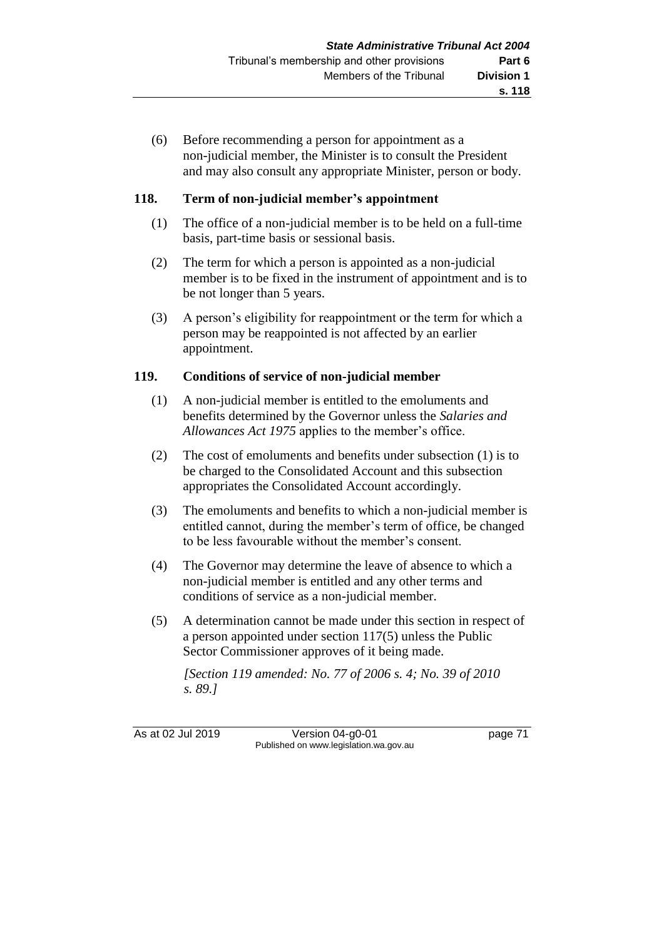(6) Before recommending a person for appointment as a non-judicial member, the Minister is to consult the President and may also consult any appropriate Minister, person or body.

### **118. Term of non-judicial member's appointment**

- (1) The office of a non-judicial member is to be held on a full-time basis, part-time basis or sessional basis.
- (2) The term for which a person is appointed as a non-judicial member is to be fixed in the instrument of appointment and is to be not longer than 5 years.
- (3) A person's eligibility for reappointment or the term for which a person may be reappointed is not affected by an earlier appointment.

## **119. Conditions of service of non-judicial member**

- (1) A non-judicial member is entitled to the emoluments and benefits determined by the Governor unless the *Salaries and Allowances Act 1975* applies to the member's office.
- (2) The cost of emoluments and benefits under subsection (1) is to be charged to the Consolidated Account and this subsection appropriates the Consolidated Account accordingly.
- (3) The emoluments and benefits to which a non-judicial member is entitled cannot, during the member's term of office, be changed to be less favourable without the member's consent.
- (4) The Governor may determine the leave of absence to which a non-judicial member is entitled and any other terms and conditions of service as a non-judicial member.
- (5) A determination cannot be made under this section in respect of a person appointed under section 117(5) unless the Public Sector Commissioner approves of it being made.

*[Section 119 amended: No. 77 of 2006 s. 4; No. 39 of 2010 s. 89.]*

As at 02 Jul 2019 Version 04-g0-01 page 71 Published on www.legislation.wa.gov.au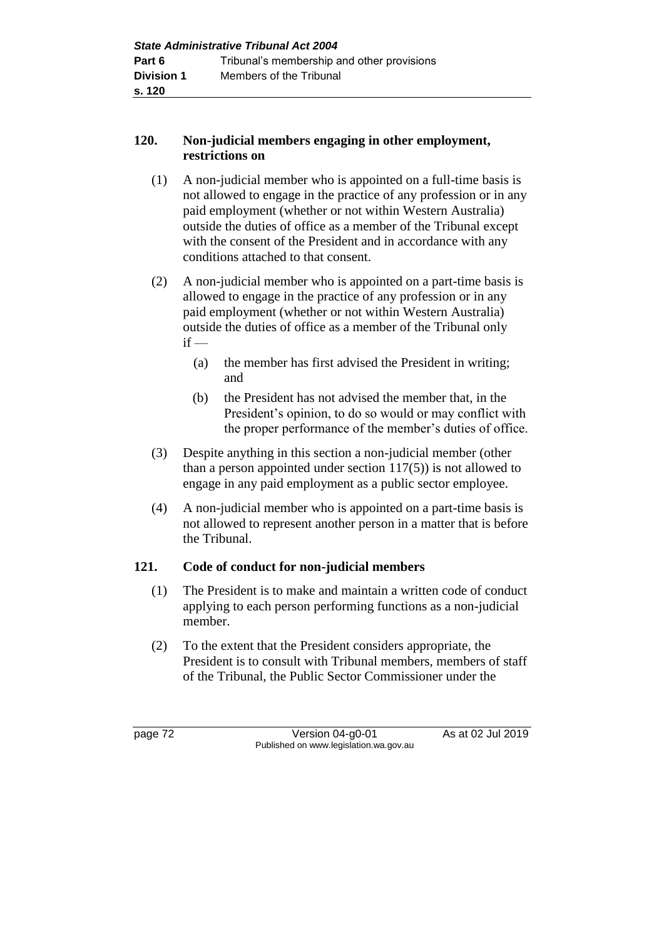### **120. Non-judicial members engaging in other employment, restrictions on**

- (1) A non-judicial member who is appointed on a full-time basis is not allowed to engage in the practice of any profession or in any paid employment (whether or not within Western Australia) outside the duties of office as a member of the Tribunal except with the consent of the President and in accordance with any conditions attached to that consent.
- (2) A non-judicial member who is appointed on a part-time basis is allowed to engage in the practice of any profession or in any paid employment (whether or not within Western Australia) outside the duties of office as a member of the Tribunal only  $if -$ 
	- (a) the member has first advised the President in writing; and
	- (b) the President has not advised the member that, in the President's opinion, to do so would or may conflict with the proper performance of the member's duties of office.
- (3) Despite anything in this section a non-judicial member (other than a person appointed under section  $117(5)$ ) is not allowed to engage in any paid employment as a public sector employee.
- (4) A non-judicial member who is appointed on a part-time basis is not allowed to represent another person in a matter that is before the Tribunal.

# **121. Code of conduct for non-judicial members**

- (1) The President is to make and maintain a written code of conduct applying to each person performing functions as a non-judicial member.
- (2) To the extent that the President considers appropriate, the President is to consult with Tribunal members, members of staff of the Tribunal, the Public Sector Commissioner under the

page 72 Version 04-g0-01 As at 02 Jul 2019 Published on www.legislation.wa.gov.au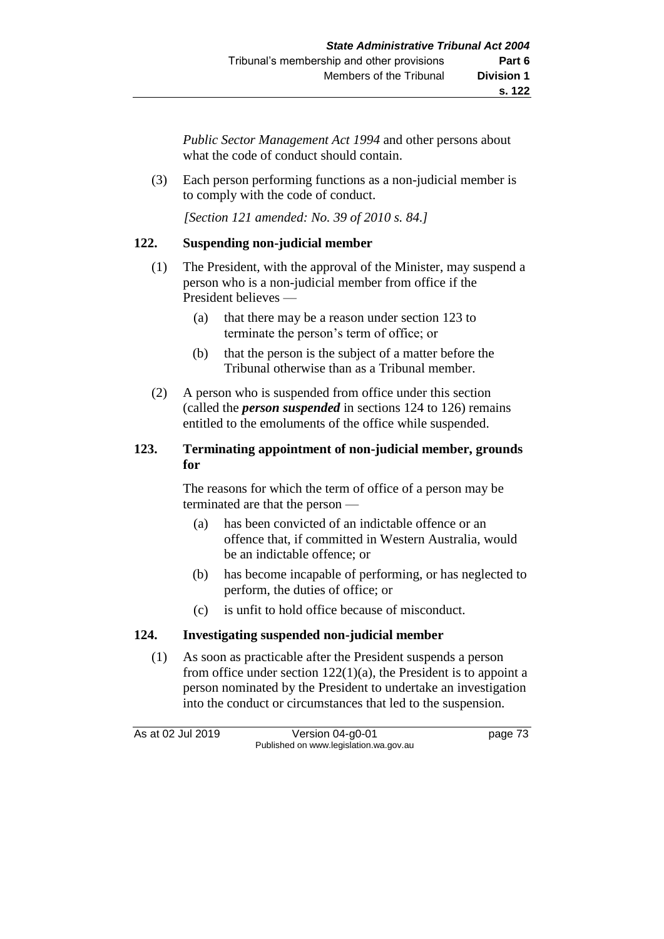*Public Sector Management Act 1994* and other persons about what the code of conduct should contain.

(3) Each person performing functions as a non-judicial member is to comply with the code of conduct.

*[Section 121 amended: No. 39 of 2010 s. 84.]*

#### **122. Suspending non-judicial member**

- (1) The President, with the approval of the Minister, may suspend a person who is a non-judicial member from office if the President believes —
	- (a) that there may be a reason under section 123 to terminate the person's term of office; or
	- (b) that the person is the subject of a matter before the Tribunal otherwise than as a Tribunal member.
- (2) A person who is suspended from office under this section (called the *person suspended* in sections 124 to 126) remains entitled to the emoluments of the office while suspended.

## **123. Terminating appointment of non-judicial member, grounds for**

The reasons for which the term of office of a person may be terminated are that the person —

- (a) has been convicted of an indictable offence or an offence that, if committed in Western Australia, would be an indictable offence; or
- (b) has become incapable of performing, or has neglected to perform, the duties of office; or
- (c) is unfit to hold office because of misconduct.

## **124. Investigating suspended non-judicial member**

(1) As soon as practicable after the President suspends a person from office under section  $122(1)(a)$ , the President is to appoint a person nominated by the President to undertake an investigation into the conduct or circumstances that led to the suspension.

As at 02 Jul 2019 Version 04-g0-01 page 73 Published on www.legislation.wa.gov.au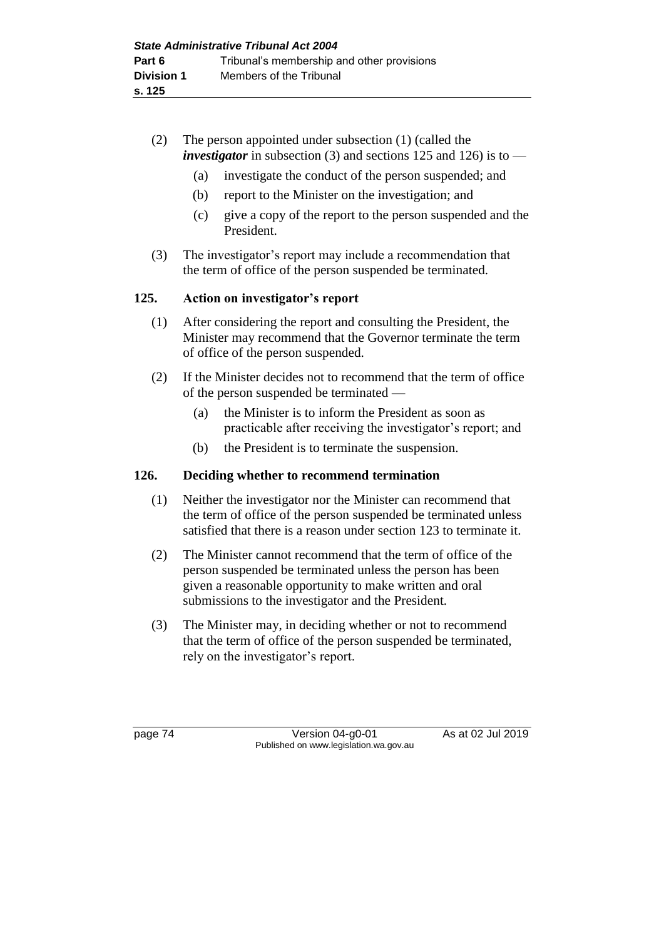- (2) The person appointed under subsection (1) (called the *investigator* in subsection (3) and sections 125 and 126) is to —
	- (a) investigate the conduct of the person suspended; and
	- (b) report to the Minister on the investigation; and
	- (c) give a copy of the report to the person suspended and the President.
- (3) The investigator's report may include a recommendation that the term of office of the person suspended be terminated.

#### **125. Action on investigator's report**

- (1) After considering the report and consulting the President, the Minister may recommend that the Governor terminate the term of office of the person suspended.
- (2) If the Minister decides not to recommend that the term of office of the person suspended be terminated —
	- (a) the Minister is to inform the President as soon as practicable after receiving the investigator's report; and
	- (b) the President is to terminate the suspension.

### **126. Deciding whether to recommend termination**

- (1) Neither the investigator nor the Minister can recommend that the term of office of the person suspended be terminated unless satisfied that there is a reason under section 123 to terminate it.
- (2) The Minister cannot recommend that the term of office of the person suspended be terminated unless the person has been given a reasonable opportunity to make written and oral submissions to the investigator and the President.
- (3) The Minister may, in deciding whether or not to recommend that the term of office of the person suspended be terminated, rely on the investigator's report.

page 74 Version 04-g0-01 As at 02 Jul 2019 Published on www.legislation.wa.gov.au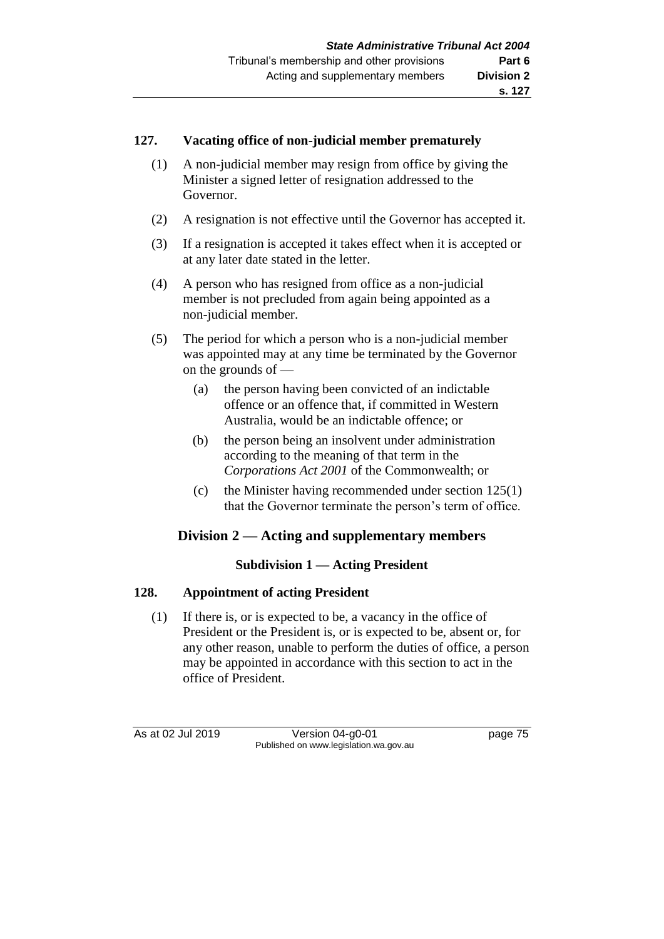#### **127. Vacating office of non-judicial member prematurely**

- (1) A non-judicial member may resign from office by giving the Minister a signed letter of resignation addressed to the Governor.
- (2) A resignation is not effective until the Governor has accepted it.
- (3) If a resignation is accepted it takes effect when it is accepted or at any later date stated in the letter.
- (4) A person who has resigned from office as a non-judicial member is not precluded from again being appointed as a non-judicial member.
- (5) The period for which a person who is a non-judicial member was appointed may at any time be terminated by the Governor on the grounds of —
	- (a) the person having been convicted of an indictable offence or an offence that, if committed in Western Australia, would be an indictable offence; or
	- (b) the person being an insolvent under administration according to the meaning of that term in the *Corporations Act 2001* of the Commonwealth; or
	- (c) the Minister having recommended under section 125(1) that the Governor terminate the person's term of office.

# **Division 2 — Acting and supplementary members**

## **Subdivision 1 — Acting President**

## **128. Appointment of acting President**

(1) If there is, or is expected to be, a vacancy in the office of President or the President is, or is expected to be, absent or, for any other reason, unable to perform the duties of office, a person may be appointed in accordance with this section to act in the office of President.

As at 02 Jul 2019 Version 04-g0-01 page 75 Published on www.legislation.wa.gov.au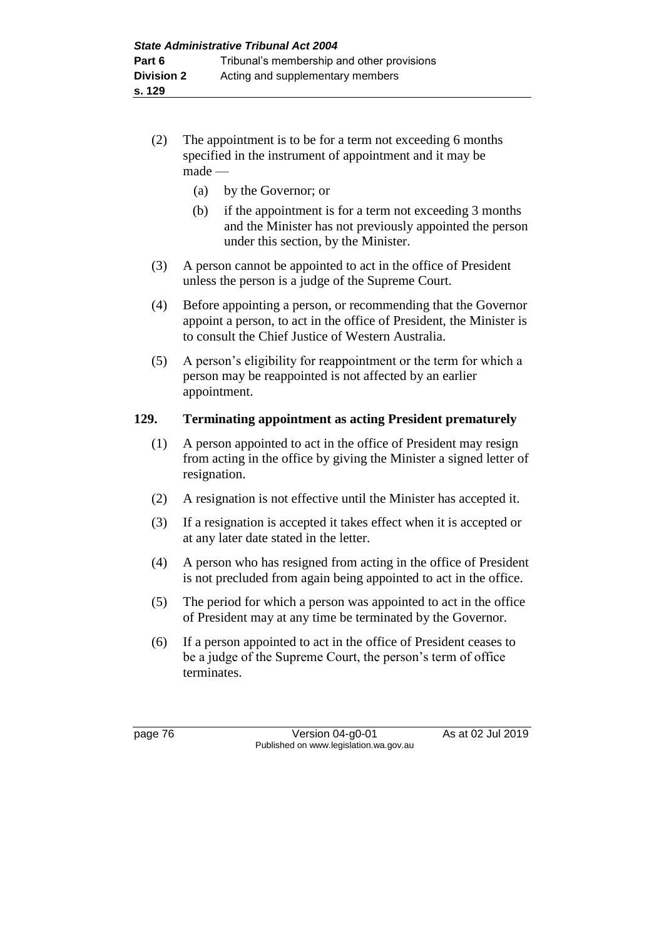- (2) The appointment is to be for a term not exceeding 6 months specified in the instrument of appointment and it may be made —
	- (a) by the Governor; or
	- (b) if the appointment is for a term not exceeding 3 months and the Minister has not previously appointed the person under this section, by the Minister.
- (3) A person cannot be appointed to act in the office of President unless the person is a judge of the Supreme Court.
- (4) Before appointing a person, or recommending that the Governor appoint a person, to act in the office of President, the Minister is to consult the Chief Justice of Western Australia.
- (5) A person's eligibility for reappointment or the term for which a person may be reappointed is not affected by an earlier appointment.

## **129. Terminating appointment as acting President prematurely**

- (1) A person appointed to act in the office of President may resign from acting in the office by giving the Minister a signed letter of resignation.
- (2) A resignation is not effective until the Minister has accepted it.
- (3) If a resignation is accepted it takes effect when it is accepted or at any later date stated in the letter.
- (4) A person who has resigned from acting in the office of President is not precluded from again being appointed to act in the office.
- (5) The period for which a person was appointed to act in the office of President may at any time be terminated by the Governor.
- (6) If a person appointed to act in the office of President ceases to be a judge of the Supreme Court, the person's term of office terminates.

page 76 Version 04-g0-01 As at 02 Jul 2019 Published on www.legislation.wa.gov.au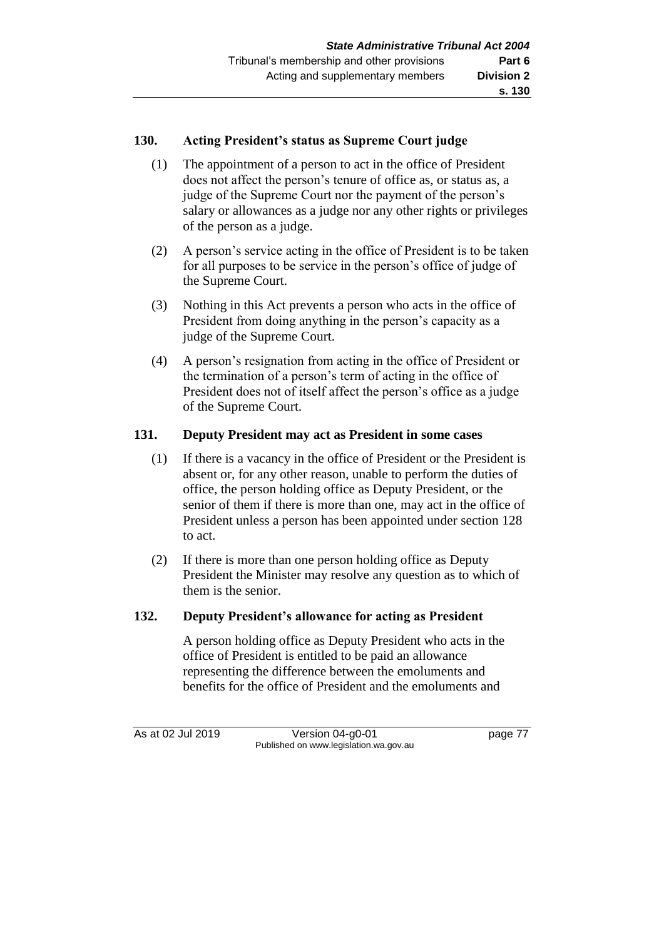#### **130. Acting President's status as Supreme Court judge**

- (1) The appointment of a person to act in the office of President does not affect the person's tenure of office as, or status as, a judge of the Supreme Court nor the payment of the person's salary or allowances as a judge nor any other rights or privileges of the person as a judge.
- (2) A person's service acting in the office of President is to be taken for all purposes to be service in the person's office of judge of the Supreme Court.
- (3) Nothing in this Act prevents a person who acts in the office of President from doing anything in the person's capacity as a judge of the Supreme Court.
- (4) A person's resignation from acting in the office of President or the termination of a person's term of acting in the office of President does not of itself affect the person's office as a judge of the Supreme Court.

#### **131. Deputy President may act as President in some cases**

- (1) If there is a vacancy in the office of President or the President is absent or, for any other reason, unable to perform the duties of office, the person holding office as Deputy President, or the senior of them if there is more than one, may act in the office of President unless a person has been appointed under section 128 to act.
- (2) If there is more than one person holding office as Deputy President the Minister may resolve any question as to which of them is the senior.

### **132. Deputy President's allowance for acting as President**

A person holding office as Deputy President who acts in the office of President is entitled to be paid an allowance representing the difference between the emoluments and benefits for the office of President and the emoluments and

As at 02 Jul 2019 Version 04-g0-01 page 77 Published on www.legislation.wa.gov.au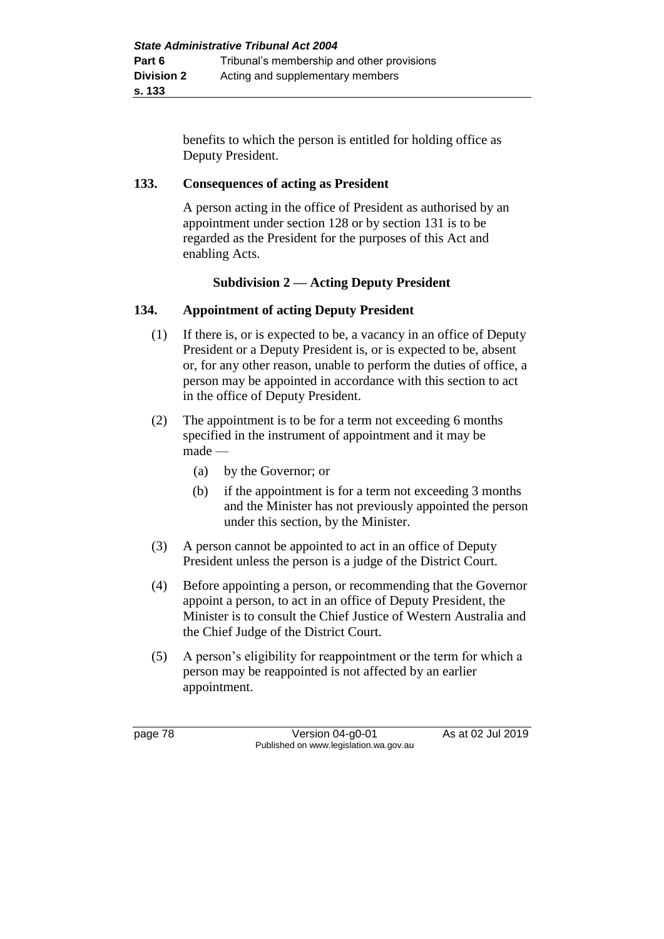benefits to which the person is entitled for holding office as Deputy President.

## **133. Consequences of acting as President**

A person acting in the office of President as authorised by an appointment under section 128 or by section 131 is to be regarded as the President for the purposes of this Act and enabling Acts.

# **Subdivision 2 — Acting Deputy President**

## **134. Appointment of acting Deputy President**

- (1) If there is, or is expected to be, a vacancy in an office of Deputy President or a Deputy President is, or is expected to be, absent or, for any other reason, unable to perform the duties of office, a person may be appointed in accordance with this section to act in the office of Deputy President.
- (2) The appointment is to be for a term not exceeding 6 months specified in the instrument of appointment and it may be made —
	- (a) by the Governor; or
	- (b) if the appointment is for a term not exceeding 3 months and the Minister has not previously appointed the person under this section, by the Minister.
- (3) A person cannot be appointed to act in an office of Deputy President unless the person is a judge of the District Court.
- (4) Before appointing a person, or recommending that the Governor appoint a person, to act in an office of Deputy President, the Minister is to consult the Chief Justice of Western Australia and the Chief Judge of the District Court.
- (5) A person's eligibility for reappointment or the term for which a person may be reappointed is not affected by an earlier appointment.

page 78 Version 04-g0-01 As at 02 Jul 2019 Published on www.legislation.wa.gov.au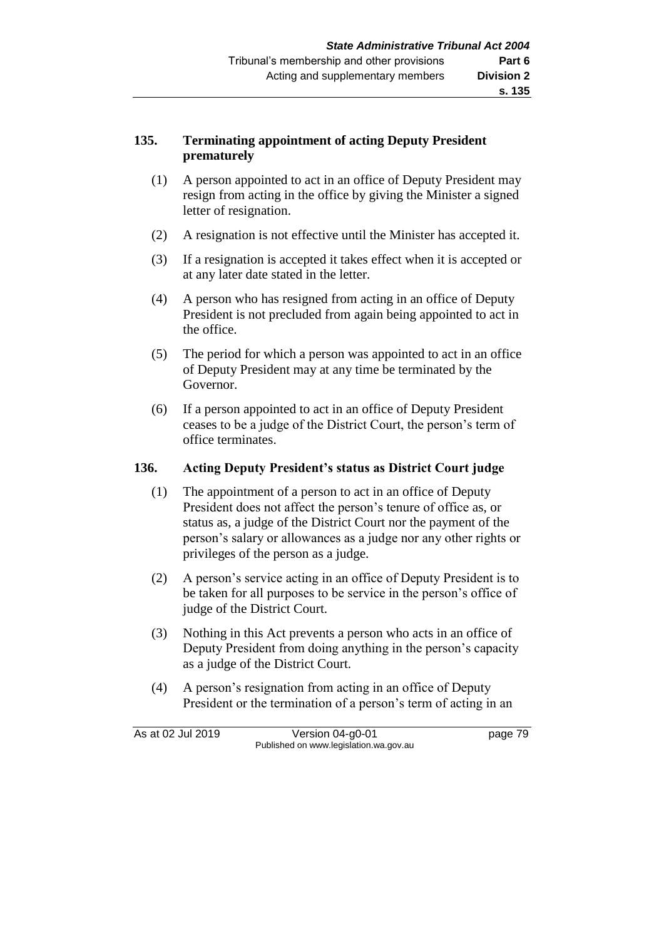## **135. Terminating appointment of acting Deputy President prematurely**

- (1) A person appointed to act in an office of Deputy President may resign from acting in the office by giving the Minister a signed letter of resignation.
- (2) A resignation is not effective until the Minister has accepted it.
- (3) If a resignation is accepted it takes effect when it is accepted or at any later date stated in the letter.
- (4) A person who has resigned from acting in an office of Deputy President is not precluded from again being appointed to act in the office.
- (5) The period for which a person was appointed to act in an office of Deputy President may at any time be terminated by the Governor.
- (6) If a person appointed to act in an office of Deputy President ceases to be a judge of the District Court, the person's term of office terminates.

## **136. Acting Deputy President's status as District Court judge**

- (1) The appointment of a person to act in an office of Deputy President does not affect the person's tenure of office as, or status as, a judge of the District Court nor the payment of the person's salary or allowances as a judge nor any other rights or privileges of the person as a judge.
- (2) A person's service acting in an office of Deputy President is to be taken for all purposes to be service in the person's office of judge of the District Court.
- (3) Nothing in this Act prevents a person who acts in an office of Deputy President from doing anything in the person's capacity as a judge of the District Court.
- (4) A person's resignation from acting in an office of Deputy President or the termination of a person's term of acting in an

As at 02 Jul 2019 Version 04-g0-01 page 79 Published on www.legislation.wa.gov.au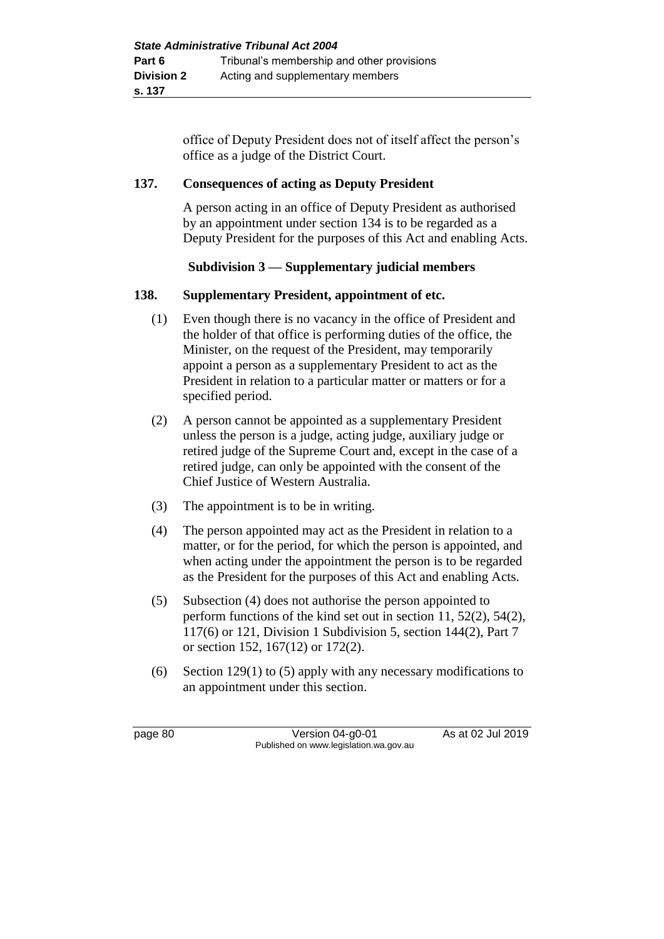office of Deputy President does not of itself affect the person's office as a judge of the District Court.

#### **137. Consequences of acting as Deputy President**

A person acting in an office of Deputy President as authorised by an appointment under section 134 is to be regarded as a Deputy President for the purposes of this Act and enabling Acts.

## **Subdivision 3 — Supplementary judicial members**

#### **138. Supplementary President, appointment of etc.**

- (1) Even though there is no vacancy in the office of President and the holder of that office is performing duties of the office, the Minister, on the request of the President, may temporarily appoint a person as a supplementary President to act as the President in relation to a particular matter or matters or for a specified period.
- (2) A person cannot be appointed as a supplementary President unless the person is a judge, acting judge, auxiliary judge or retired judge of the Supreme Court and, except in the case of a retired judge, can only be appointed with the consent of the Chief Justice of Western Australia.
- (3) The appointment is to be in writing.
- (4) The person appointed may act as the President in relation to a matter, or for the period, for which the person is appointed, and when acting under the appointment the person is to be regarded as the President for the purposes of this Act and enabling Acts.
- (5) Subsection (4) does not authorise the person appointed to perform functions of the kind set out in section 11, 52(2), 54(2), 117(6) or 121, Division 1 Subdivision 5, section 144(2), Part 7 or section 152, 167(12) or 172(2).
- (6) Section 129(1) to (5) apply with any necessary modifications to an appointment under this section.

page 80 Version 04-g0-01 As at 02 Jul 2019 Published on www.legislation.wa.gov.au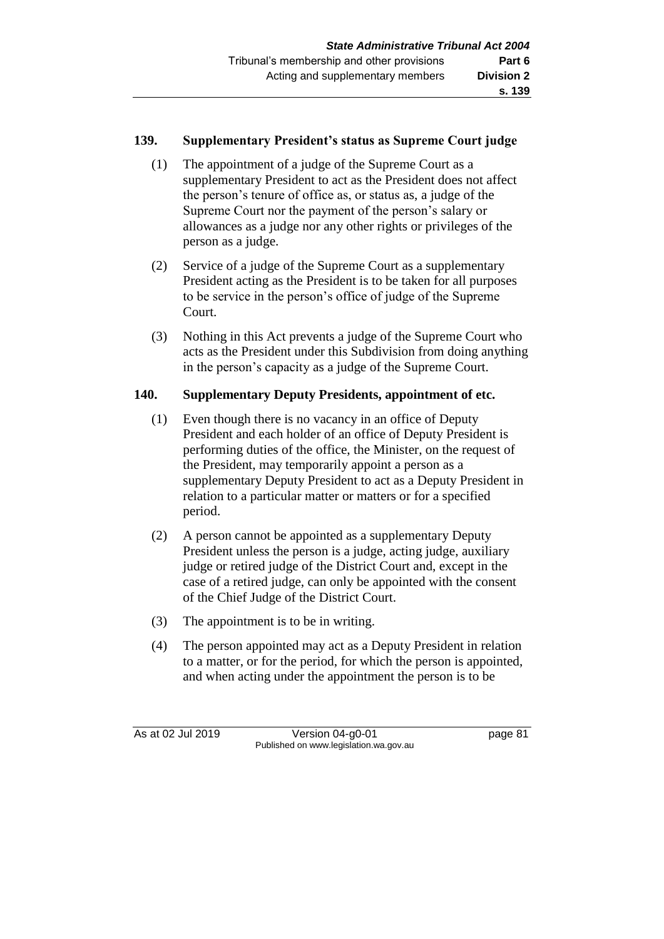#### **139. Supplementary President's status as Supreme Court judge**

- (1) The appointment of a judge of the Supreme Court as a supplementary President to act as the President does not affect the person's tenure of office as, or status as, a judge of the Supreme Court nor the payment of the person's salary or allowances as a judge nor any other rights or privileges of the person as a judge.
- (2) Service of a judge of the Supreme Court as a supplementary President acting as the President is to be taken for all purposes to be service in the person's office of judge of the Supreme Court.
- (3) Nothing in this Act prevents a judge of the Supreme Court who acts as the President under this Subdivision from doing anything in the person's capacity as a judge of the Supreme Court.

## **140. Supplementary Deputy Presidents, appointment of etc.**

- (1) Even though there is no vacancy in an office of Deputy President and each holder of an office of Deputy President is performing duties of the office, the Minister, on the request of the President, may temporarily appoint a person as a supplementary Deputy President to act as a Deputy President in relation to a particular matter or matters or for a specified period.
- (2) A person cannot be appointed as a supplementary Deputy President unless the person is a judge, acting judge, auxiliary judge or retired judge of the District Court and, except in the case of a retired judge, can only be appointed with the consent of the Chief Judge of the District Court.
- (3) The appointment is to be in writing.
- (4) The person appointed may act as a Deputy President in relation to a matter, or for the period, for which the person is appointed, and when acting under the appointment the person is to be

As at 02 Jul 2019 Version 04-g0-01 page 81 Published on www.legislation.wa.gov.au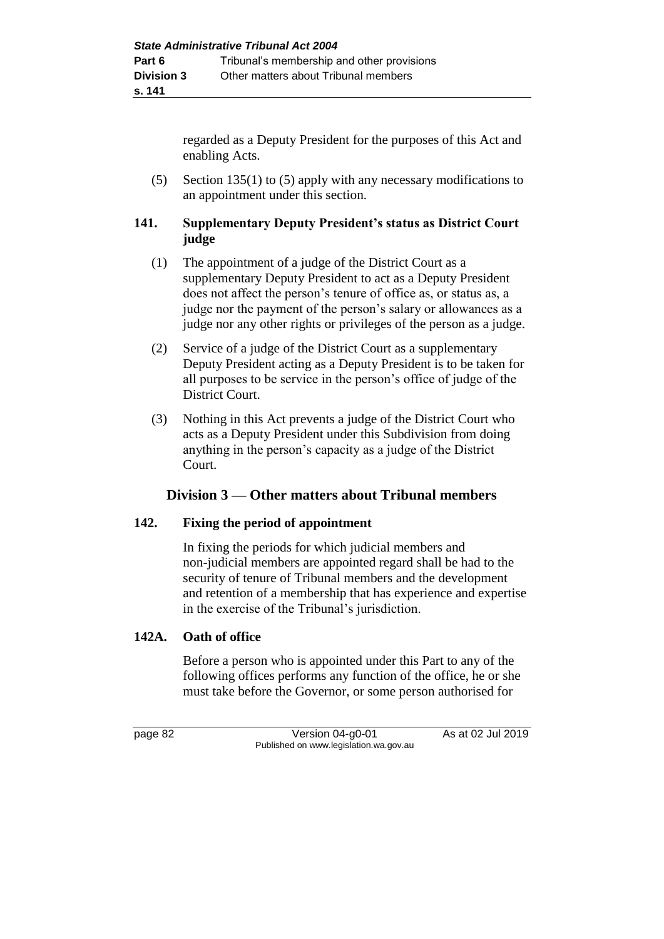regarded as a Deputy President for the purposes of this Act and enabling Acts.

(5) Section 135(1) to (5) apply with any necessary modifications to an appointment under this section.

## **141. Supplementary Deputy President's status as District Court judge**

- (1) The appointment of a judge of the District Court as a supplementary Deputy President to act as a Deputy President does not affect the person's tenure of office as, or status as, a judge nor the payment of the person's salary or allowances as a judge nor any other rights or privileges of the person as a judge.
- (2) Service of a judge of the District Court as a supplementary Deputy President acting as a Deputy President is to be taken for all purposes to be service in the person's office of judge of the District Court.
- (3) Nothing in this Act prevents a judge of the District Court who acts as a Deputy President under this Subdivision from doing anything in the person's capacity as a judge of the District Court.

# **Division 3 — Other matters about Tribunal members**

## **142. Fixing the period of appointment**

In fixing the periods for which judicial members and non-judicial members are appointed regard shall be had to the security of tenure of Tribunal members and the development and retention of a membership that has experience and expertise in the exercise of the Tribunal's jurisdiction.

# **142A. Oath of office**

Before a person who is appointed under this Part to any of the following offices performs any function of the office, he or she must take before the Governor, or some person authorised for

page 82 Version 04-g0-01 As at 02 Jul 2019 Published on www.legislation.wa.gov.au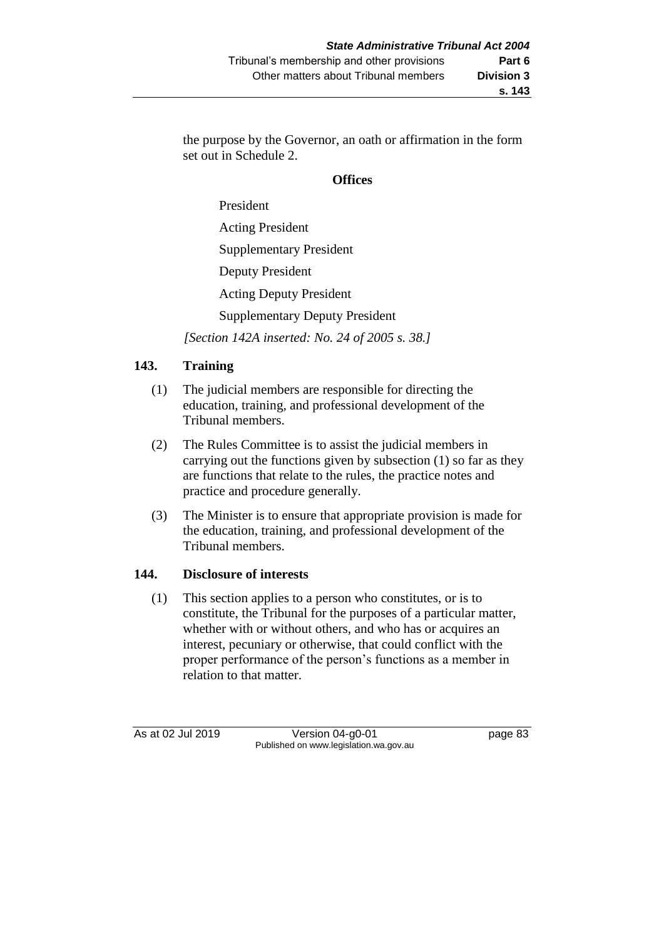the purpose by the Governor, an oath or affirmation in the form set out in Schedule 2.

#### **Offices**

President Acting President Supplementary President Deputy President Acting Deputy President Supplementary Deputy President

*[Section 142A inserted: No. 24 of 2005 s. 38.]*

## **143. Training**

- (1) The judicial members are responsible for directing the education, training, and professional development of the Tribunal members.
- (2) The Rules Committee is to assist the judicial members in carrying out the functions given by subsection (1) so far as they are functions that relate to the rules, the practice notes and practice and procedure generally.
- (3) The Minister is to ensure that appropriate provision is made for the education, training, and professional development of the Tribunal members.

## **144. Disclosure of interests**

(1) This section applies to a person who constitutes, or is to constitute, the Tribunal for the purposes of a particular matter, whether with or without others, and who has or acquires an interest, pecuniary or otherwise, that could conflict with the proper performance of the person's functions as a member in relation to that matter.

As at 02 Jul 2019 Version 04-g0-01 page 83 Published on www.legislation.wa.gov.au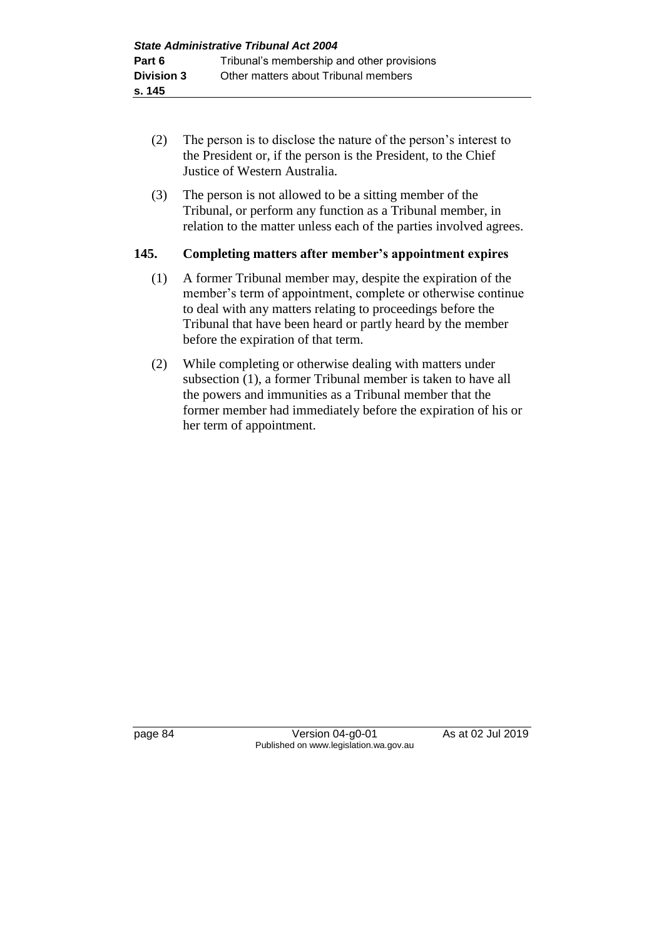- (2) The person is to disclose the nature of the person's interest to the President or, if the person is the President, to the Chief Justice of Western Australia.
- (3) The person is not allowed to be a sitting member of the Tribunal, or perform any function as a Tribunal member, in relation to the matter unless each of the parties involved agrees.

#### **145. Completing matters after member's appointment expires**

- (1) A former Tribunal member may, despite the expiration of the member's term of appointment, complete or otherwise continue to deal with any matters relating to proceedings before the Tribunal that have been heard or partly heard by the member before the expiration of that term.
- (2) While completing or otherwise dealing with matters under subsection (1), a former Tribunal member is taken to have all the powers and immunities as a Tribunal member that the former member had immediately before the expiration of his or her term of appointment.

page 84 Version 04-g0-01 As at 02 Jul 2019 Published on www.legislation.wa.gov.au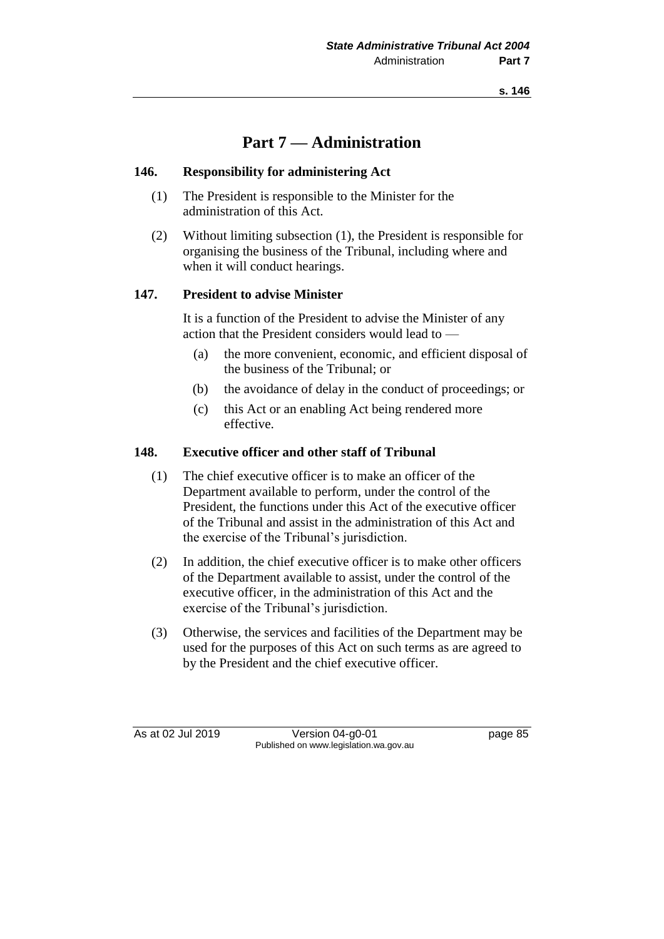**s. 146**

# **Part 7 — Administration**

#### **146. Responsibility for administering Act**

- (1) The President is responsible to the Minister for the administration of this Act.
- (2) Without limiting subsection (1), the President is responsible for organising the business of the Tribunal, including where and when it will conduct hearings.

#### **147. President to advise Minister**

It is a function of the President to advise the Minister of any action that the President considers would lead to —

- (a) the more convenient, economic, and efficient disposal of the business of the Tribunal; or
- (b) the avoidance of delay in the conduct of proceedings; or
- (c) this Act or an enabling Act being rendered more effective.

#### **148. Executive officer and other staff of Tribunal**

- (1) The chief executive officer is to make an officer of the Department available to perform, under the control of the President, the functions under this Act of the executive officer of the Tribunal and assist in the administration of this Act and the exercise of the Tribunal's jurisdiction.
- (2) In addition, the chief executive officer is to make other officers of the Department available to assist, under the control of the executive officer, in the administration of this Act and the exercise of the Tribunal's jurisdiction.
- (3) Otherwise, the services and facilities of the Department may be used for the purposes of this Act on such terms as are agreed to by the President and the chief executive officer.

As at 02 Jul 2019 Version 04-g0-01 page 85 Published on www.legislation.wa.gov.au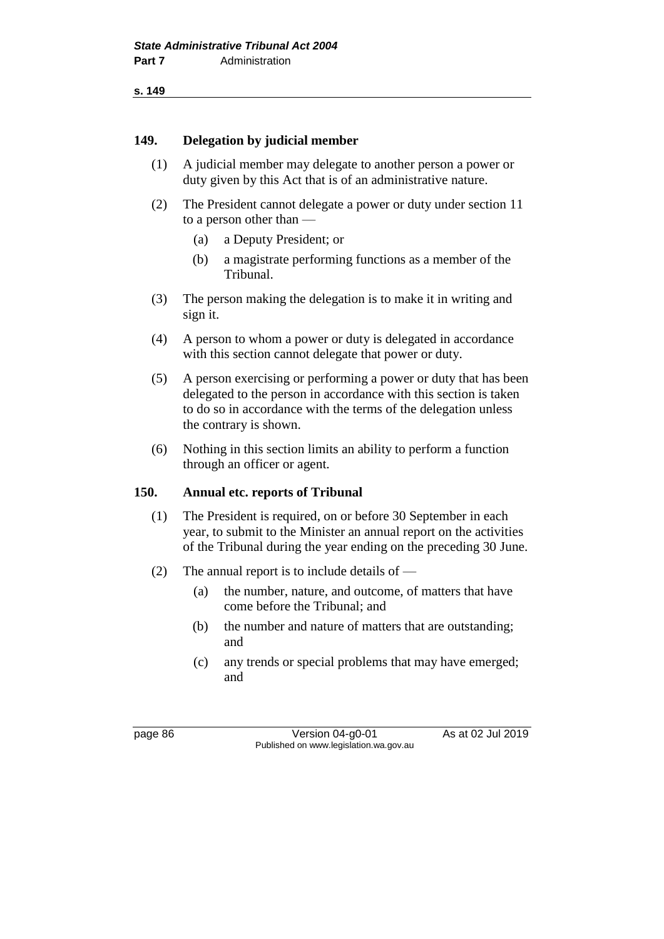**s. 149**

#### **149. Delegation by judicial member**

- (1) A judicial member may delegate to another person a power or duty given by this Act that is of an administrative nature.
- (2) The President cannot delegate a power or duty under section 11 to a person other than —
	- (a) a Deputy President; or
	- (b) a magistrate performing functions as a member of the Tribunal.
- (3) The person making the delegation is to make it in writing and sign it.
- (4) A person to whom a power or duty is delegated in accordance with this section cannot delegate that power or duty.
- (5) A person exercising or performing a power or duty that has been delegated to the person in accordance with this section is taken to do so in accordance with the terms of the delegation unless the contrary is shown.
- (6) Nothing in this section limits an ability to perform a function through an officer or agent.

#### **150. Annual etc. reports of Tribunal**

- (1) The President is required, on or before 30 September in each year, to submit to the Minister an annual report on the activities of the Tribunal during the year ending on the preceding 30 June.
- (2) The annual report is to include details of
	- (a) the number, nature, and outcome, of matters that have come before the Tribunal; and
	- (b) the number and nature of matters that are outstanding; and
	- (c) any trends or special problems that may have emerged; and

page 86 Version 04-g0-01 As at 02 Jul 2019 Published on www.legislation.wa.gov.au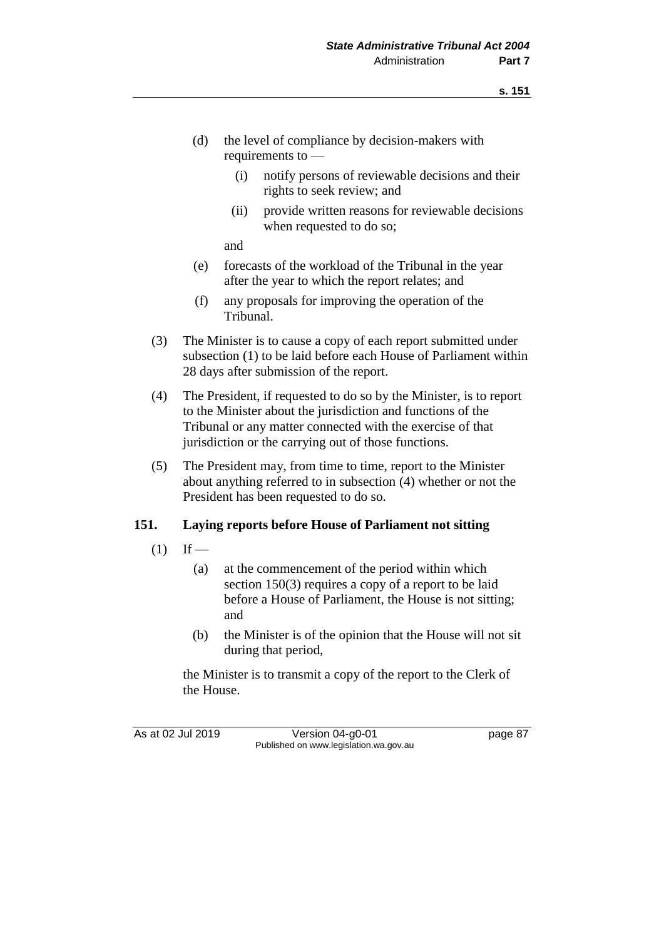- (d) the level of compliance by decision-makers with requirements to —
	- (i) notify persons of reviewable decisions and their rights to seek review; and
	- (ii) provide written reasons for reviewable decisions when requested to do so;

and

- (e) forecasts of the workload of the Tribunal in the year after the year to which the report relates; and
- (f) any proposals for improving the operation of the Tribunal.
- (3) The Minister is to cause a copy of each report submitted under subsection (1) to be laid before each House of Parliament within 28 days after submission of the report.
- (4) The President, if requested to do so by the Minister, is to report to the Minister about the jurisdiction and functions of the Tribunal or any matter connected with the exercise of that jurisdiction or the carrying out of those functions.
- (5) The President may, from time to time, report to the Minister about anything referred to in subsection (4) whether or not the President has been requested to do so.

## **151. Laying reports before House of Parliament not sitting**

- $(1)$  If
	- (a) at the commencement of the period within which section 150(3) requires a copy of a report to be laid before a House of Parliament, the House is not sitting; and
	- (b) the Minister is of the opinion that the House will not sit during that period,

the Minister is to transmit a copy of the report to the Clerk of the House.

As at 02 Jul 2019 Version 04-g0-01 page 87 Published on www.legislation.wa.gov.au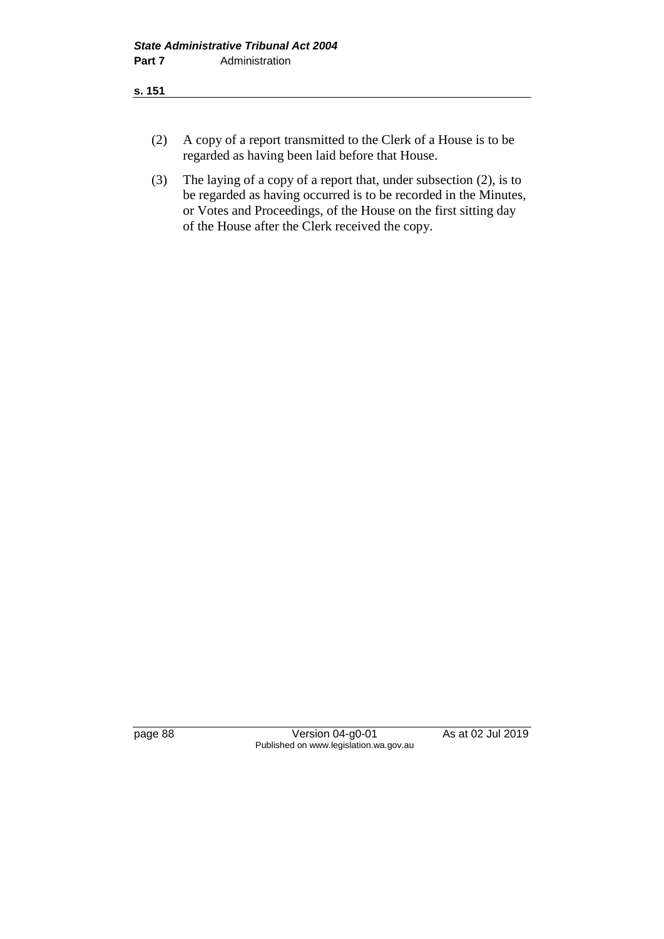- (2) A copy of a report transmitted to the Clerk of a House is to be regarded as having been laid before that House.
- (3) The laying of a copy of a report that, under subsection (2), is to be regarded as having occurred is to be recorded in the Minutes, or Votes and Proceedings, of the House on the first sitting day of the House after the Clerk received the copy.

page 88 Version 04-g0-01 As at 02 Jul 2019 Published on www.legislation.wa.gov.au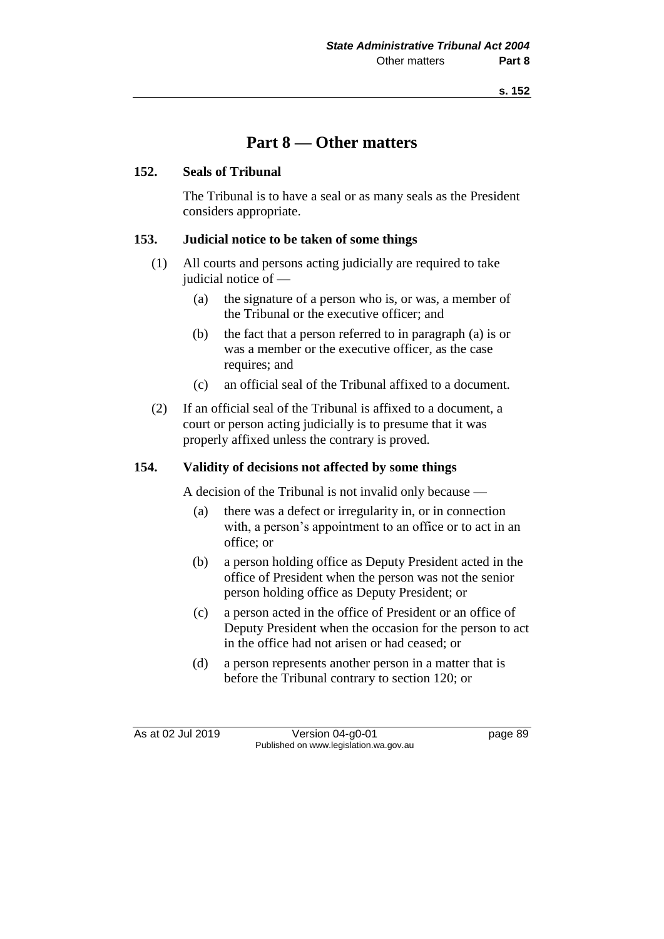# **Part 8 — Other matters**

#### **152. Seals of Tribunal**

The Tribunal is to have a seal or as many seals as the President considers appropriate.

#### **153. Judicial notice to be taken of some things**

- (1) All courts and persons acting judicially are required to take judicial notice of —
	- (a) the signature of a person who is, or was, a member of the Tribunal or the executive officer; and
	- (b) the fact that a person referred to in paragraph (a) is or was a member or the executive officer, as the case requires; and
	- (c) an official seal of the Tribunal affixed to a document.
- (2) If an official seal of the Tribunal is affixed to a document, a court or person acting judicially is to presume that it was properly affixed unless the contrary is proved.

### **154. Validity of decisions not affected by some things**

A decision of the Tribunal is not invalid only because —

- (a) there was a defect or irregularity in, or in connection with, a person's appointment to an office or to act in an office; or
- (b) a person holding office as Deputy President acted in the office of President when the person was not the senior person holding office as Deputy President; or
- (c) a person acted in the office of President or an office of Deputy President when the occasion for the person to act in the office had not arisen or had ceased; or
- (d) a person represents another person in a matter that is before the Tribunal contrary to section 120; or

As at 02 Jul 2019 Version 04-g0-01 page 89 Published on www.legislation.wa.gov.au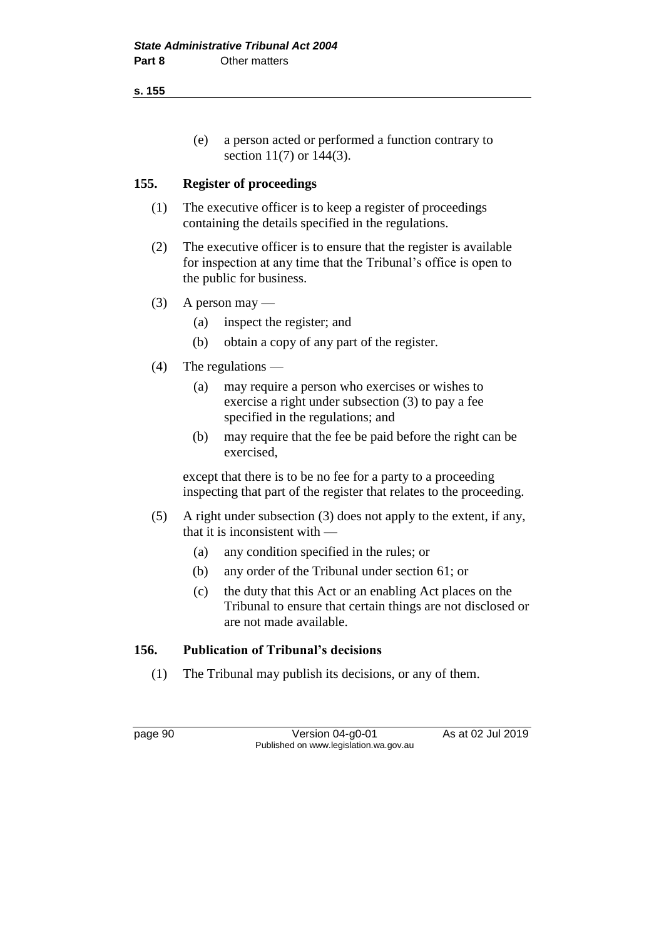**s. 155**

(e) a person acted or performed a function contrary to section 11(7) or 144(3).

## **155. Register of proceedings**

- (1) The executive officer is to keep a register of proceedings containing the details specified in the regulations.
- (2) The executive officer is to ensure that the register is available for inspection at any time that the Tribunal's office is open to the public for business.
- (3) A person may
	- (a) inspect the register; and
	- (b) obtain a copy of any part of the register.
- (4) The regulations
	- (a) may require a person who exercises or wishes to exercise a right under subsection (3) to pay a fee specified in the regulations; and
	- (b) may require that the fee be paid before the right can be exercised,

except that there is to be no fee for a party to a proceeding inspecting that part of the register that relates to the proceeding.

- (5) A right under subsection (3) does not apply to the extent, if any, that it is inconsistent with —
	- (a) any condition specified in the rules; or
	- (b) any order of the Tribunal under section 61; or
	- (c) the duty that this Act or an enabling Act places on the Tribunal to ensure that certain things are not disclosed or are not made available.

## **156. Publication of Tribunal's decisions**

(1) The Tribunal may publish its decisions, or any of them.

page 90 Version 04-g0-01 As at 02 Jul 2019 Published on www.legislation.wa.gov.au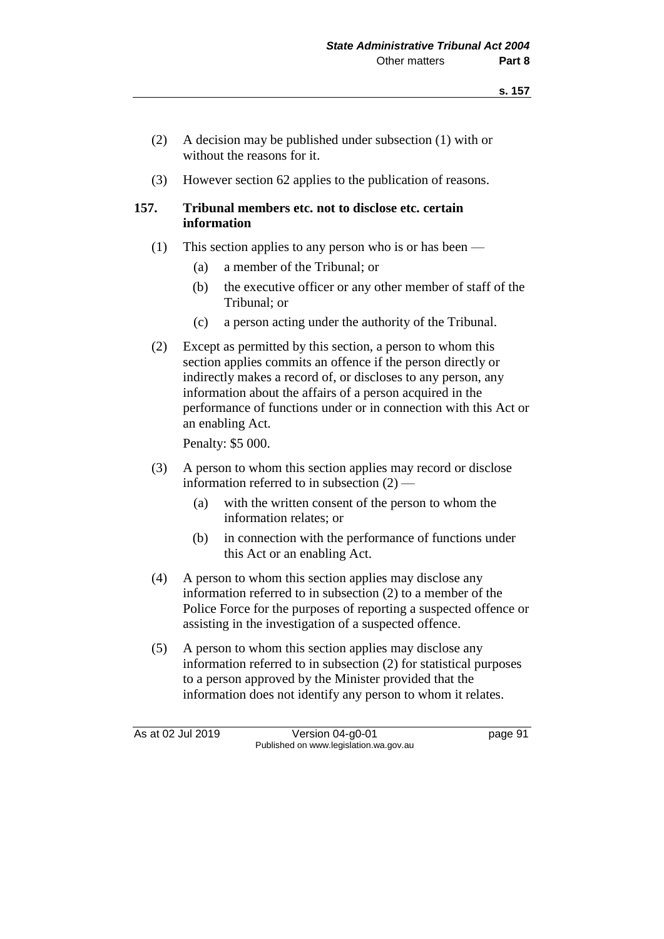- (2) A decision may be published under subsection (1) with or without the reasons for it.
- (3) However section 62 applies to the publication of reasons.

#### **157. Tribunal members etc. not to disclose etc. certain information**

- (1) This section applies to any person who is or has been
	- (a) a member of the Tribunal; or
	- (b) the executive officer or any other member of staff of the Tribunal; or
	- (c) a person acting under the authority of the Tribunal.
- (2) Except as permitted by this section, a person to whom this section applies commits an offence if the person directly or indirectly makes a record of, or discloses to any person, any information about the affairs of a person acquired in the performance of functions under or in connection with this Act or an enabling Act.

Penalty: \$5 000.

- (3) A person to whom this section applies may record or disclose information referred to in subsection (2) —
	- (a) with the written consent of the person to whom the information relates; or
	- (b) in connection with the performance of functions under this Act or an enabling Act.
- (4) A person to whom this section applies may disclose any information referred to in subsection (2) to a member of the Police Force for the purposes of reporting a suspected offence or assisting in the investigation of a suspected offence.
- (5) A person to whom this section applies may disclose any information referred to in subsection (2) for statistical purposes to a person approved by the Minister provided that the information does not identify any person to whom it relates.

As at 02 Jul 2019 Version 04-g0-01 page 91 Published on www.legislation.wa.gov.au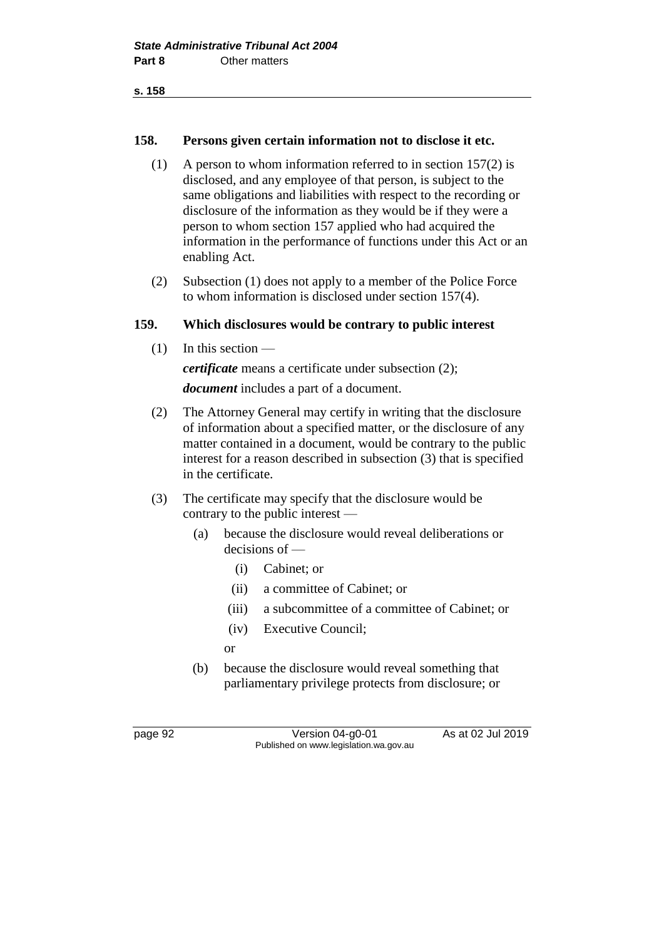#### **158. Persons given certain information not to disclose it etc.**

- (1) A person to whom information referred to in section 157(2) is disclosed, and any employee of that person, is subject to the same obligations and liabilities with respect to the recording or disclosure of the information as they would be if they were a person to whom section 157 applied who had acquired the information in the performance of functions under this Act or an enabling Act.
- (2) Subsection (1) does not apply to a member of the Police Force to whom information is disclosed under section 157(4).

#### **159. Which disclosures would be contrary to public interest**

(1) In this section —

*certificate* means a certificate under subsection (2);

*document* includes a part of a document.

- (2) The Attorney General may certify in writing that the disclosure of information about a specified matter, or the disclosure of any matter contained in a document, would be contrary to the public interest for a reason described in subsection (3) that is specified in the certificate.
- (3) The certificate may specify that the disclosure would be contrary to the public interest —
	- (a) because the disclosure would reveal deliberations or decisions of —
		- (i) Cabinet; or
		- (ii) a committee of Cabinet; or
		- (iii) a subcommittee of a committee of Cabinet; or
		- (iv) Executive Council;
		- or
	- (b) because the disclosure would reveal something that parliamentary privilege protects from disclosure; or

page 92 Version 04-g0-01 As at 02 Jul 2019 Published on www.legislation.wa.gov.au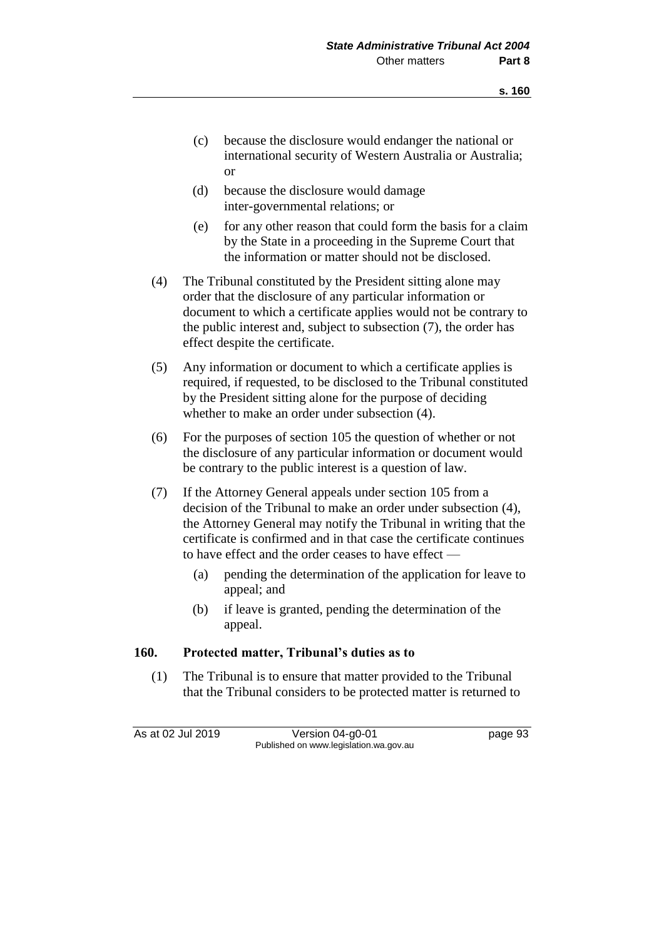- (c) because the disclosure would endanger the national or international security of Western Australia or Australia; or
- (d) because the disclosure would damage inter-governmental relations; or
- (e) for any other reason that could form the basis for a claim by the State in a proceeding in the Supreme Court that the information or matter should not be disclosed.
- (4) The Tribunal constituted by the President sitting alone may order that the disclosure of any particular information or document to which a certificate applies would not be contrary to the public interest and, subject to subsection (7), the order has effect despite the certificate.
- (5) Any information or document to which a certificate applies is required, if requested, to be disclosed to the Tribunal constituted by the President sitting alone for the purpose of deciding whether to make an order under subsection (4).
- (6) For the purposes of section 105 the question of whether or not the disclosure of any particular information or document would be contrary to the public interest is a question of law.
- (7) If the Attorney General appeals under section 105 from a decision of the Tribunal to make an order under subsection (4), the Attorney General may notify the Tribunal in writing that the certificate is confirmed and in that case the certificate continues to have effect and the order ceases to have effect —
	- (a) pending the determination of the application for leave to appeal; and
	- (b) if leave is granted, pending the determination of the appeal.

#### **160. Protected matter, Tribunal's duties as to**

(1) The Tribunal is to ensure that matter provided to the Tribunal that the Tribunal considers to be protected matter is returned to

As at 02 Jul 2019 Version 04-g0-01 page 93 Published on www.legislation.wa.gov.au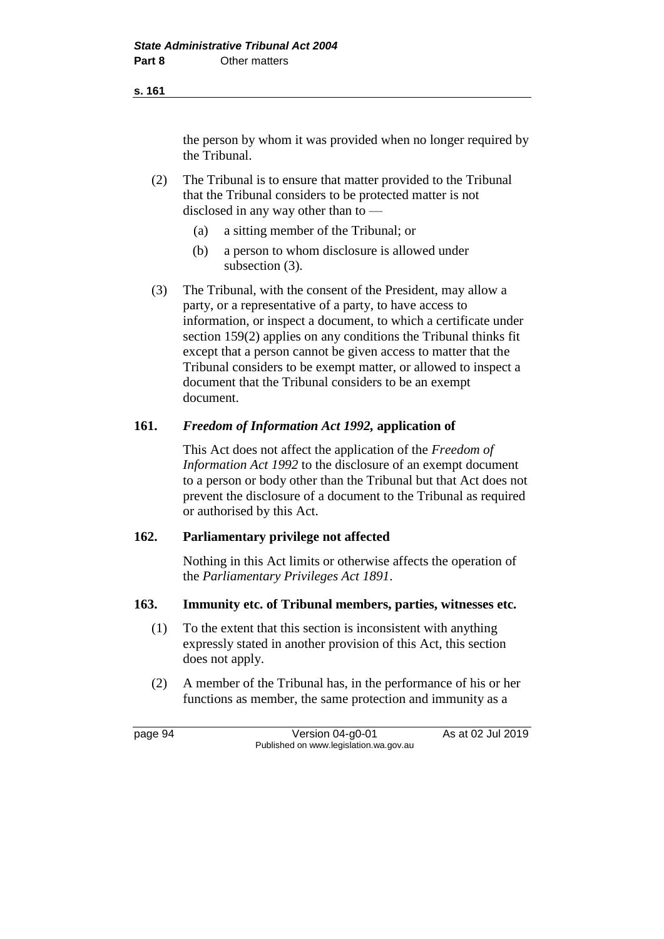the person by whom it was provided when no longer required by the Tribunal.

(2) The Tribunal is to ensure that matter provided to the Tribunal that the Tribunal considers to be protected matter is not disclosed in any way other than to —

- (a) a sitting member of the Tribunal; or
- (b) a person to whom disclosure is allowed under subsection (3).
- (3) The Tribunal, with the consent of the President, may allow a party, or a representative of a party, to have access to information, or inspect a document, to which a certificate under section 159(2) applies on any conditions the Tribunal thinks fit except that a person cannot be given access to matter that the Tribunal considers to be exempt matter, or allowed to inspect a document that the Tribunal considers to be an exempt document.

#### **161.** *Freedom of Information Act 1992,* **application of**

This Act does not affect the application of the *Freedom of Information Act 1992* to the disclosure of an exempt document to a person or body other than the Tribunal but that Act does not prevent the disclosure of a document to the Tribunal as required or authorised by this Act.

#### **162. Parliamentary privilege not affected**

Nothing in this Act limits or otherwise affects the operation of the *Parliamentary Privileges Act 1891*.

#### **163. Immunity etc. of Tribunal members, parties, witnesses etc.**

- (1) To the extent that this section is inconsistent with anything expressly stated in another provision of this Act, this section does not apply.
- (2) A member of the Tribunal has, in the performance of his or her functions as member, the same protection and immunity as a

page 94 Version 04-g0-01 As at 02 Jul 2019 Published on www.legislation.wa.gov.au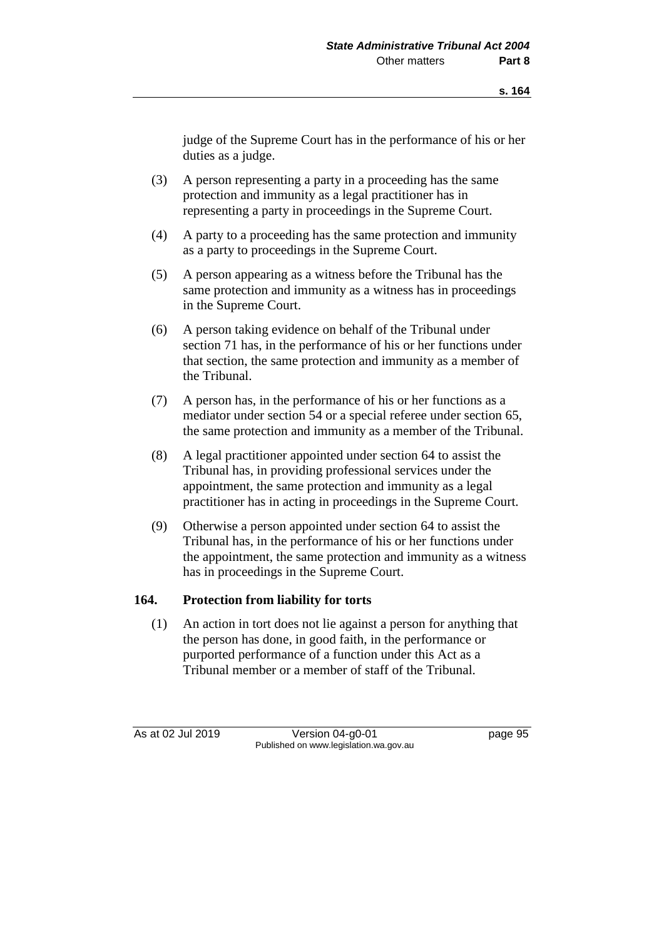judge of the Supreme Court has in the performance of his or her duties as a judge.

- (3) A person representing a party in a proceeding has the same protection and immunity as a legal practitioner has in representing a party in proceedings in the Supreme Court.
- (4) A party to a proceeding has the same protection and immunity as a party to proceedings in the Supreme Court.
- (5) A person appearing as a witness before the Tribunal has the same protection and immunity as a witness has in proceedings in the Supreme Court.
- (6) A person taking evidence on behalf of the Tribunal under section 71 has, in the performance of his or her functions under that section, the same protection and immunity as a member of the Tribunal.
- (7) A person has, in the performance of his or her functions as a mediator under section 54 or a special referee under section 65, the same protection and immunity as a member of the Tribunal.
- (8) A legal practitioner appointed under section 64 to assist the Tribunal has, in providing professional services under the appointment, the same protection and immunity as a legal practitioner has in acting in proceedings in the Supreme Court.
- (9) Otherwise a person appointed under section 64 to assist the Tribunal has, in the performance of his or her functions under the appointment, the same protection and immunity as a witness has in proceedings in the Supreme Court.

#### **164. Protection from liability for torts**

(1) An action in tort does not lie against a person for anything that the person has done, in good faith, in the performance or purported performance of a function under this Act as a Tribunal member or a member of staff of the Tribunal.

As at 02 Jul 2019 Version 04-g0-01 page 95 Published on www.legislation.wa.gov.au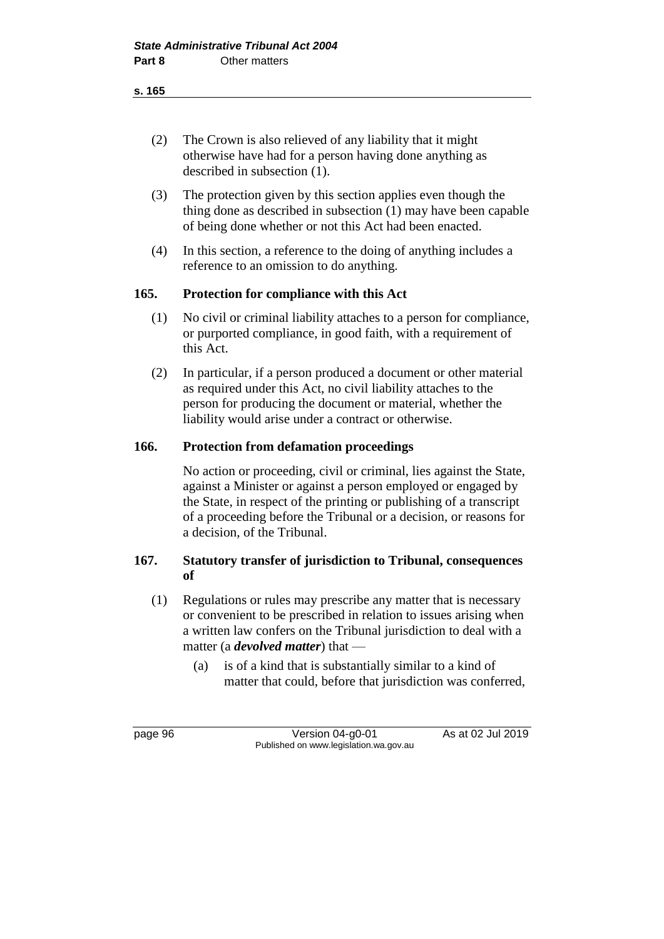**s. 165**

- (2) The Crown is also relieved of any liability that it might otherwise have had for a person having done anything as described in subsection (1).
- (3) The protection given by this section applies even though the thing done as described in subsection (1) may have been capable of being done whether or not this Act had been enacted.
- (4) In this section, a reference to the doing of anything includes a reference to an omission to do anything.

## **165. Protection for compliance with this Act**

- (1) No civil or criminal liability attaches to a person for compliance, or purported compliance, in good faith, with a requirement of this Act.
- (2) In particular, if a person produced a document or other material as required under this Act, no civil liability attaches to the person for producing the document or material, whether the liability would arise under a contract or otherwise.

#### **166. Protection from defamation proceedings**

No action or proceeding, civil or criminal, lies against the State, against a Minister or against a person employed or engaged by the State, in respect of the printing or publishing of a transcript of a proceeding before the Tribunal or a decision, or reasons for a decision, of the Tribunal.

## **167. Statutory transfer of jurisdiction to Tribunal, consequences of**

- (1) Regulations or rules may prescribe any matter that is necessary or convenient to be prescribed in relation to issues arising when a written law confers on the Tribunal jurisdiction to deal with a matter (a *devolved matter*) that —
	- (a) is of a kind that is substantially similar to a kind of matter that could, before that jurisdiction was conferred,

page 96 Version 04-g0-01 As at 02 Jul 2019 Published on www.legislation.wa.gov.au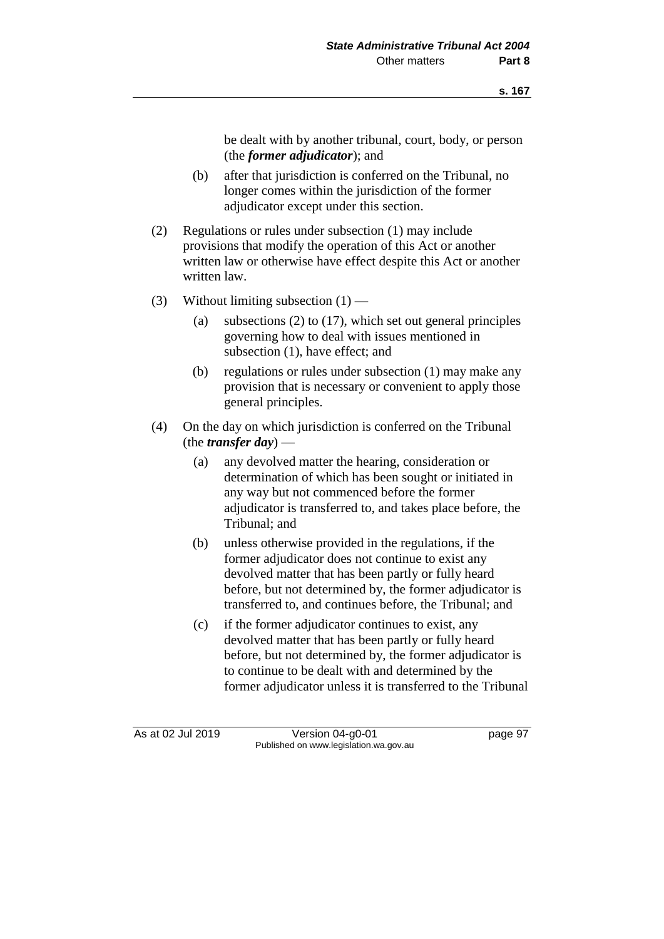be dealt with by another tribunal, court, body, or person (the *former adjudicator*); and

- (b) after that jurisdiction is conferred on the Tribunal, no longer comes within the jurisdiction of the former adjudicator except under this section.
- (2) Regulations or rules under subsection (1) may include provisions that modify the operation of this Act or another written law or otherwise have effect despite this Act or another written law.
- (3) Without limiting subsection  $(1)$ 
	- (a) subsections (2) to (17), which set out general principles governing how to deal with issues mentioned in subsection (1), have effect; and
	- (b) regulations or rules under subsection (1) may make any provision that is necessary or convenient to apply those general principles.
- (4) On the day on which jurisdiction is conferred on the Tribunal (the *transfer day*) —
	- (a) any devolved matter the hearing, consideration or determination of which has been sought or initiated in any way but not commenced before the former adjudicator is transferred to, and takes place before, the Tribunal; and
	- (b) unless otherwise provided in the regulations, if the former adjudicator does not continue to exist any devolved matter that has been partly or fully heard before, but not determined by, the former adjudicator is transferred to, and continues before, the Tribunal; and
	- (c) if the former adjudicator continues to exist, any devolved matter that has been partly or fully heard before, but not determined by, the former adjudicator is to continue to be dealt with and determined by the former adjudicator unless it is transferred to the Tribunal

As at 02 Jul 2019 Version 04-g0-01 page 97 Published on www.legislation.wa.gov.au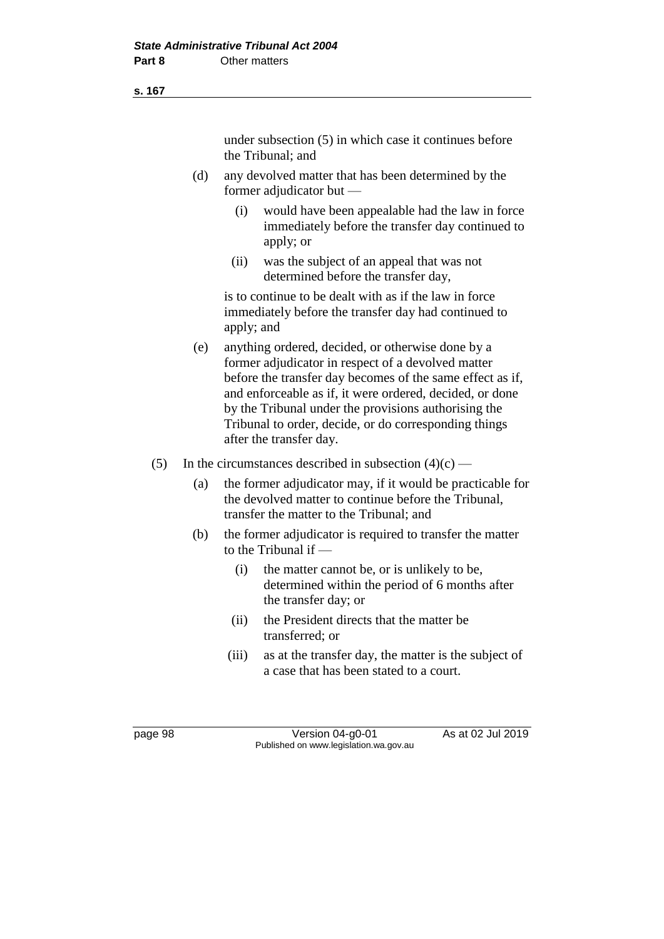#### **s. 167**

under subsection (5) in which case it continues before the Tribunal; and

- (d) any devolved matter that has been determined by the former adjudicator but —
	- (i) would have been appealable had the law in force immediately before the transfer day continued to apply; or
	- (ii) was the subject of an appeal that was not determined before the transfer day,

is to continue to be dealt with as if the law in force immediately before the transfer day had continued to apply; and

- (e) anything ordered, decided, or otherwise done by a former adjudicator in respect of a devolved matter before the transfer day becomes of the same effect as if, and enforceable as if, it were ordered, decided, or done by the Tribunal under the provisions authorising the Tribunal to order, decide, or do corresponding things after the transfer day.
- (5) In the circumstances described in subsection  $(4)(c)$ 
	- (a) the former adjudicator may, if it would be practicable for the devolved matter to continue before the Tribunal, transfer the matter to the Tribunal; and
	- (b) the former adjudicator is required to transfer the matter to the Tribunal if —
		- (i) the matter cannot be, or is unlikely to be, determined within the period of 6 months after the transfer day; or
		- (ii) the President directs that the matter be transferred; or
		- (iii) as at the transfer day, the matter is the subject of a case that has been stated to a court.

page 98 Version 04-g0-01 As at 02 Jul 2019 Published on www.legislation.wa.gov.au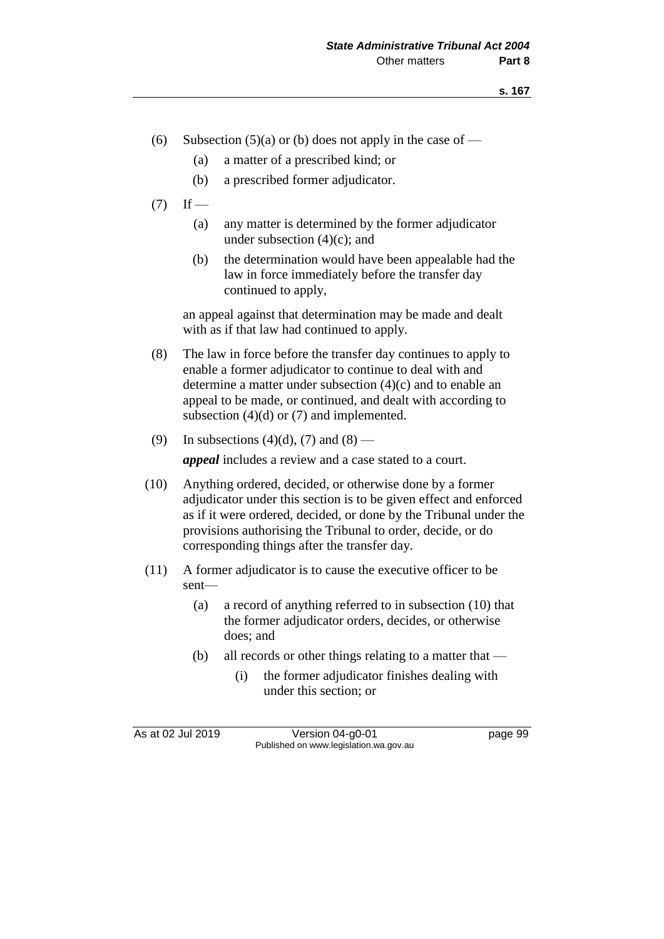- (6) Subsection (5)(a) or (b) does not apply in the case of
	- (a) a matter of a prescribed kind; or
	- (b) a prescribed former adjudicator.
- $(7)$  If
	- (a) any matter is determined by the former adjudicator under subsection  $(4)(c)$ ; and
	- (b) the determination would have been appealable had the law in force immediately before the transfer day continued to apply,

an appeal against that determination may be made and dealt with as if that law had continued to apply.

- (8) The law in force before the transfer day continues to apply to enable a former adjudicator to continue to deal with and determine a matter under subsection (4)(c) and to enable an appeal to be made, or continued, and dealt with according to subsection  $(4)(d)$  or  $(7)$  and implemented.
- (9) In subsections  $(4)(d)$ ,  $(7)$  and  $(8)$  —

*appeal* includes a review and a case stated to a court.

- (10) Anything ordered, decided, or otherwise done by a former adjudicator under this section is to be given effect and enforced as if it were ordered, decided, or done by the Tribunal under the provisions authorising the Tribunal to order, decide, or do corresponding things after the transfer day.
- (11) A former adjudicator is to cause the executive officer to be sent—
	- (a) a record of anything referred to in subsection (10) that the former adjudicator orders, decides, or otherwise does; and
	- (b) all records or other things relating to a matter that
		- (i) the former adjudicator finishes dealing with under this section; or

As at 02 Jul 2019 Version 04-g0-01 page 99 Published on www.legislation.wa.gov.au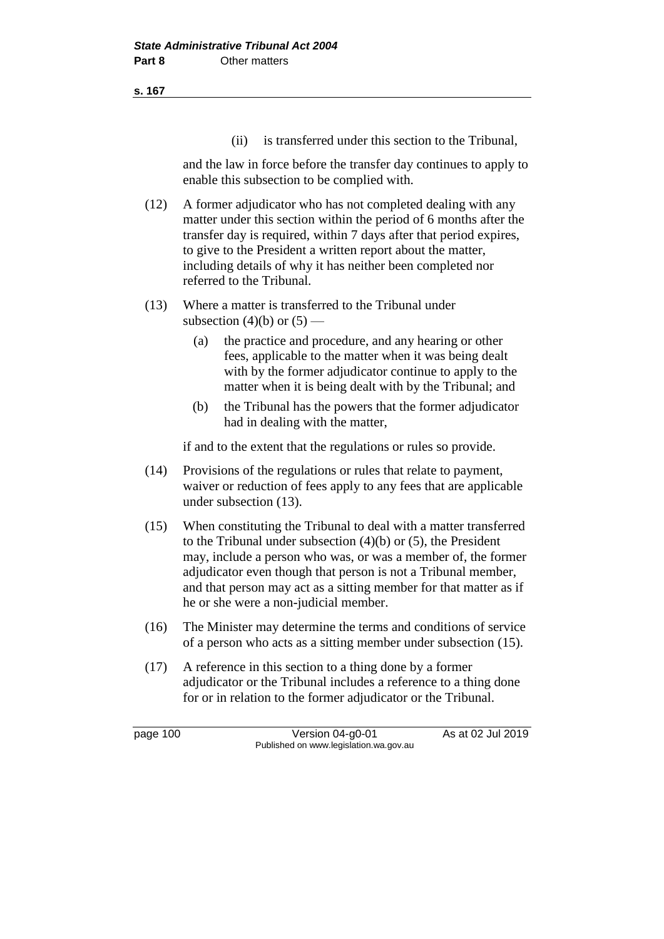**s. 167**

(ii) is transferred under this section to the Tribunal,

and the law in force before the transfer day continues to apply to enable this subsection to be complied with.

- (12) A former adjudicator who has not completed dealing with any matter under this section within the period of 6 months after the transfer day is required, within 7 days after that period expires, to give to the President a written report about the matter, including details of why it has neither been completed nor referred to the Tribunal.
- (13) Where a matter is transferred to the Tribunal under subsection (4)(b) or  $(5)$  —
	- (a) the practice and procedure, and any hearing or other fees, applicable to the matter when it was being dealt with by the former adjudicator continue to apply to the matter when it is being dealt with by the Tribunal; and
	- (b) the Tribunal has the powers that the former adjudicator had in dealing with the matter,

if and to the extent that the regulations or rules so provide.

- (14) Provisions of the regulations or rules that relate to payment, waiver or reduction of fees apply to any fees that are applicable under subsection (13).
- (15) When constituting the Tribunal to deal with a matter transferred to the Tribunal under subsection (4)(b) or (5), the President may, include a person who was, or was a member of, the former adjudicator even though that person is not a Tribunal member, and that person may act as a sitting member for that matter as if he or she were a non-judicial member.
- (16) The Minister may determine the terms and conditions of service of a person who acts as a sitting member under subsection (15).
- (17) A reference in this section to a thing done by a former adjudicator or the Tribunal includes a reference to a thing done for or in relation to the former adjudicator or the Tribunal.

page 100 Version 04-g0-01 As at 02 Jul 2019 Published on www.legislation.wa.gov.au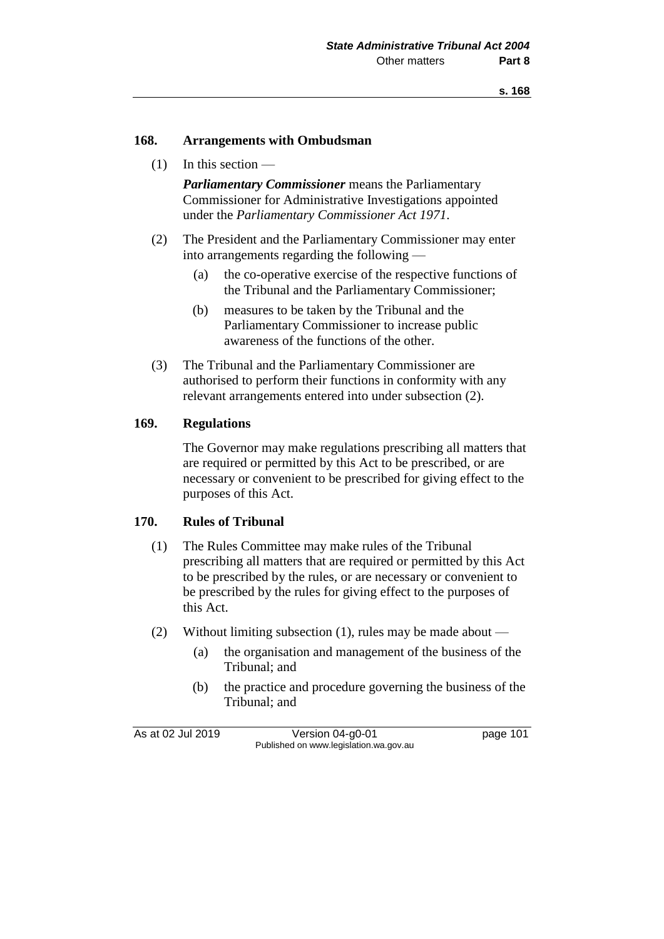### **168. Arrangements with Ombudsman**

 $(1)$  In this section —

*Parliamentary Commissioner* means the Parliamentary Commissioner for Administrative Investigations appointed under the *Parliamentary Commissioner Act 1971*.

- (2) The President and the Parliamentary Commissioner may enter into arrangements regarding the following —
	- (a) the co-operative exercise of the respective functions of the Tribunal and the Parliamentary Commissioner;
	- (b) measures to be taken by the Tribunal and the Parliamentary Commissioner to increase public awareness of the functions of the other.
- (3) The Tribunal and the Parliamentary Commissioner are authorised to perform their functions in conformity with any relevant arrangements entered into under subsection (2).

### **169. Regulations**

The Governor may make regulations prescribing all matters that are required or permitted by this Act to be prescribed, or are necessary or convenient to be prescribed for giving effect to the purposes of this Act.

### **170. Rules of Tribunal**

- (1) The Rules Committee may make rules of the Tribunal prescribing all matters that are required or permitted by this Act to be prescribed by the rules, or are necessary or convenient to be prescribed by the rules for giving effect to the purposes of this Act.
- (2) Without limiting subsection (1), rules may be made about
	- (a) the organisation and management of the business of the Tribunal; and
	- (b) the practice and procedure governing the business of the Tribunal; and

As at 02 Jul 2019 Version 04-g0-01 page 101 Published on www.legislation.wa.gov.au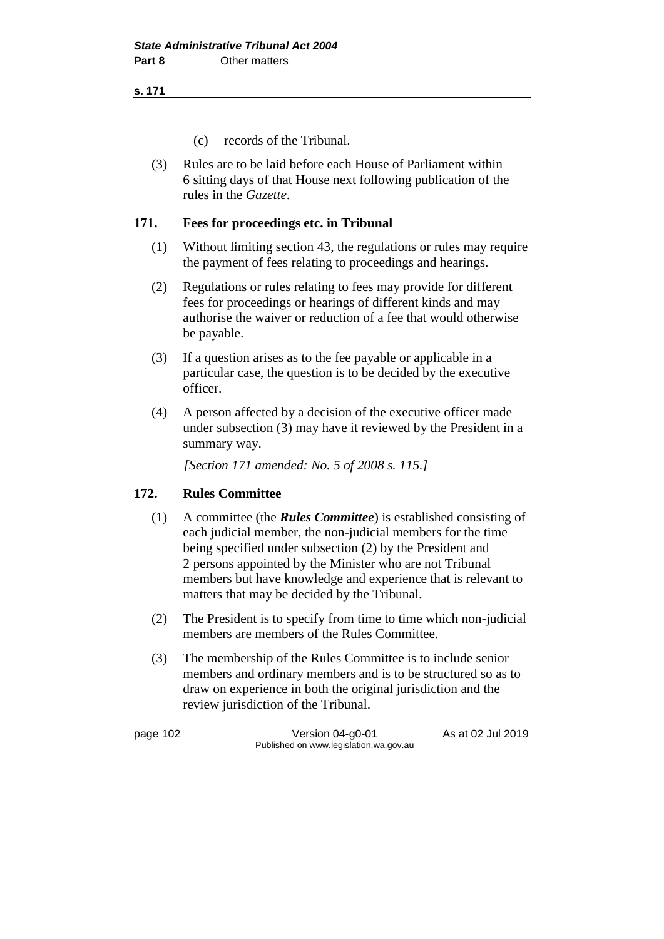**s. 171**

- (c) records of the Tribunal.
- (3) Rules are to be laid before each House of Parliament within 6 sitting days of that House next following publication of the rules in the *Gazette*.

### **171. Fees for proceedings etc. in Tribunal**

- (1) Without limiting section 43, the regulations or rules may require the payment of fees relating to proceedings and hearings.
- (2) Regulations or rules relating to fees may provide for different fees for proceedings or hearings of different kinds and may authorise the waiver or reduction of a fee that would otherwise be payable.
- (3) If a question arises as to the fee payable or applicable in a particular case, the question is to be decided by the executive officer.
- (4) A person affected by a decision of the executive officer made under subsection (3) may have it reviewed by the President in a summary way.

*[Section 171 amended: No. 5 of 2008 s. 115.]*

# **172. Rules Committee**

- (1) A committee (the *Rules Committee*) is established consisting of each judicial member, the non-judicial members for the time being specified under subsection (2) by the President and 2 persons appointed by the Minister who are not Tribunal members but have knowledge and experience that is relevant to matters that may be decided by the Tribunal.
- (2) The President is to specify from time to time which non-judicial members are members of the Rules Committee.
- (3) The membership of the Rules Committee is to include senior members and ordinary members and is to be structured so as to draw on experience in both the original jurisdiction and the review jurisdiction of the Tribunal.

page 102 Version 04-g0-01 As at 02 Jul 2019 Published on www.legislation.wa.gov.au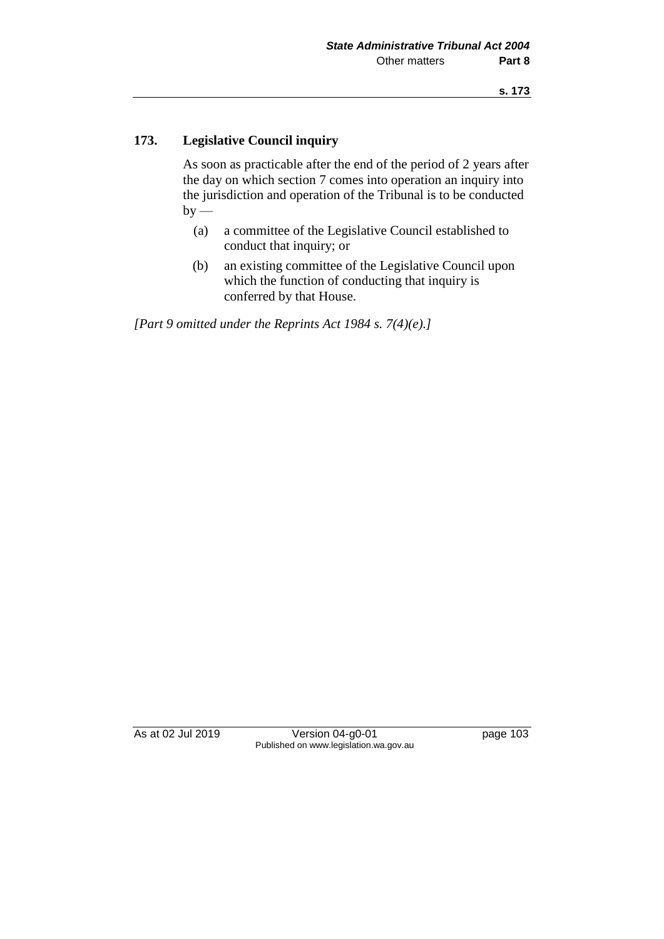### **173. Legislative Council inquiry**

As soon as practicable after the end of the period of 2 years after the day on which section 7 comes into operation an inquiry into the jurisdiction and operation of the Tribunal is to be conducted  $by -$ 

- (a) a committee of the Legislative Council established to conduct that inquiry; or
- (b) an existing committee of the Legislative Council upon which the function of conducting that inquiry is conferred by that House.

*[Part 9 omitted under the Reprints Act 1984 s. 7(4)(e).]*

As at 02 Jul 2019 Version 04-g0-01 page 103 Published on www.legislation.wa.gov.au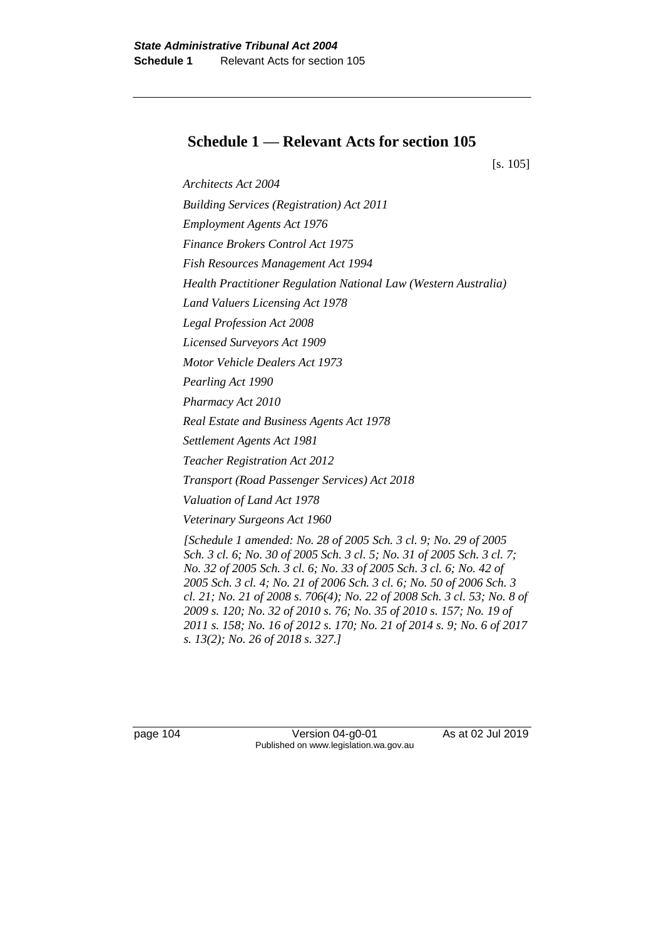# **Schedule 1 — Relevant Acts for section 105**

[s. 105]

*Architects Act 2004 Building Services (Registration) Act 2011 Employment Agents Act 1976 Finance Brokers Control Act 1975 Fish Resources Management Act 1994 Health Practitioner Regulation National Law (Western Australia) Land Valuers Licensing Act 1978 Legal Profession Act 2008 Licensed Surveyors Act 1909 Motor Vehicle Dealers Act 1973 Pearling Act 1990 Pharmacy Act 2010 Real Estate and Business Agents Act 1978 Settlement Agents Act 1981 Teacher Registration Act 2012 Transport (Road Passenger Services) Act 2018 Valuation of Land Act 1978 Veterinary Surgeons Act 1960 [Schedule 1 amended: No. 28 of 2005 Sch. 3 cl. 9; No. 29 of 2005 Sch. 3 cl. 6; No. 30 of 2005 Sch. 3 cl. 5; No. 31 of 2005 Sch. 3 cl. 7; No. 32 of 2005 Sch. 3 cl. 6; No. 33 of 2005 Sch. 3 cl. 6; No. 42 of 2005 Sch. 3 cl. 4; No. 21 of 2006 Sch. 3 cl. 6; No. 50 of 2006 Sch. 3 cl. 21; No. 21 of 2008 s. 706(4); No. 22 of 2008 Sch. 3 cl. 53; No. 8 of 2009 s. 120; No. 32 of 2010 s. 76; No. 35 of 2010 s. 157; No. 19 of 2011 s. 158; No. 16 of 2012 s. 170; No. 21 of 2014 s. 9; No. 6 of 2017 s. 13(2); No. 26 of 2018 s. 327.]*

page 104 Version 04-g0-01 As at 02 Jul 2019 Published on www.legislation.wa.gov.au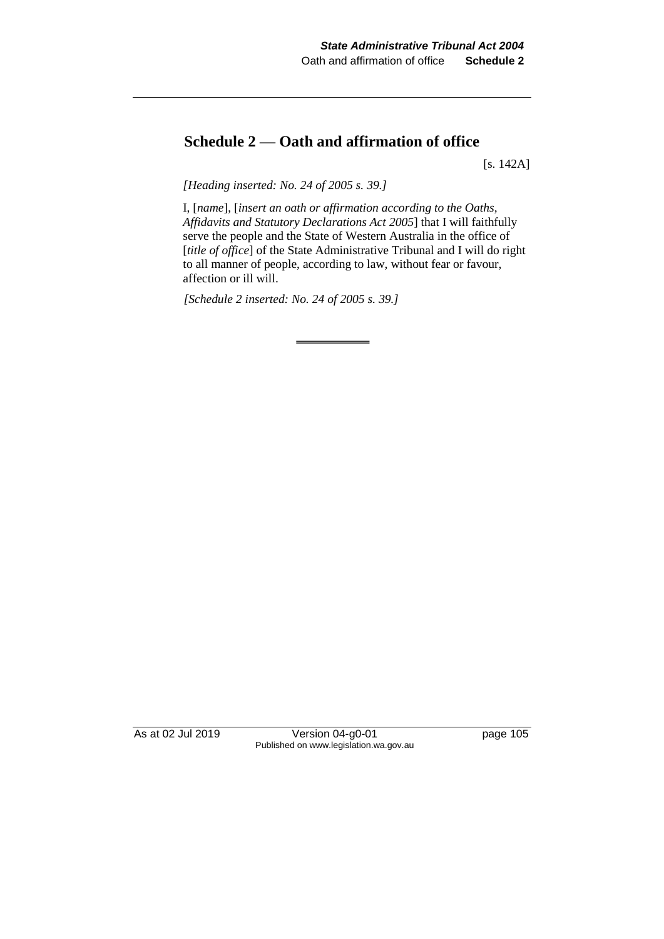# **Schedule 2 — Oath and affirmation of office**

[s. 142A]

*[Heading inserted: No. 24 of 2005 s. 39.]*

I, [*name*], [*insert an oath or affirmation according to the Oaths, Affidavits and Statutory Declarations Act 2005*] that I will faithfully serve the people and the State of Western Australia in the office of [*title of office*] of the State Administrative Tribunal and I will do right to all manner of people, according to law, without fear or favour, affection or ill will.

*[Schedule 2 inserted: No. 24 of 2005 s. 39.]*

As at 02 Jul 2019 Version 04-g0-01 page 105 Published on www.legislation.wa.gov.au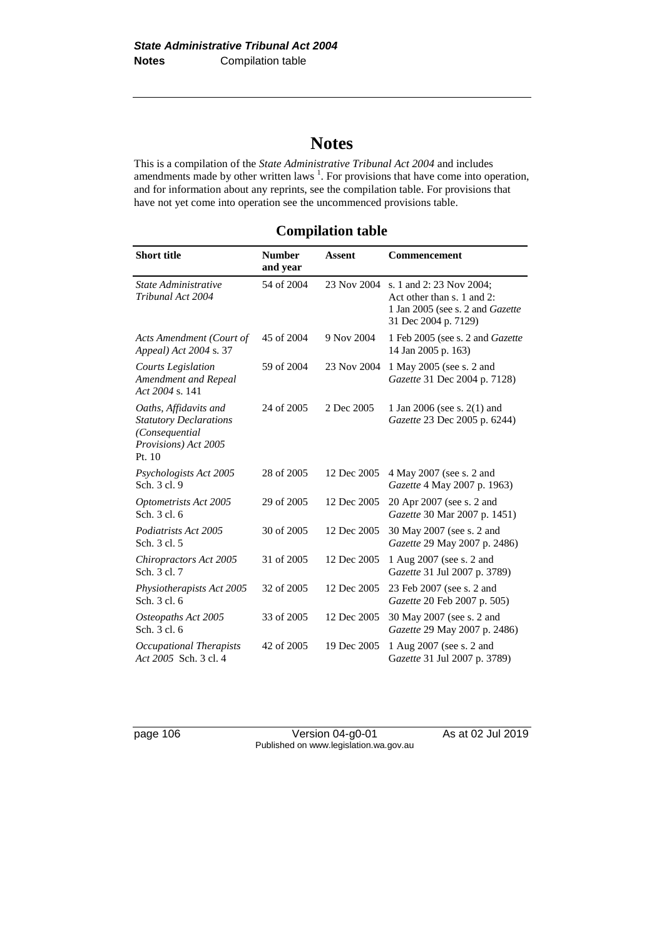# **Notes**

This is a compilation of the *State Administrative Tribunal Act 2004* and includes amendments made by other written laws  $<sup>1</sup>$ . For provisions that have come into operation,</sup> and for information about any reprints, see the compilation table. For provisions that have not yet come into operation see the uncommenced provisions table.

# **Compilation table**

| <b>Short title</b>                                                                                         | <b>Number</b><br>and year | <b>Assent</b> | <b>Commencement</b>                                                                                                       |
|------------------------------------------------------------------------------------------------------------|---------------------------|---------------|---------------------------------------------------------------------------------------------------------------------------|
| State Administrative<br>Tribunal Act 2004                                                                  | 54 of 2004                | 23 Nov 2004   | s. 1 and 2: 23 Nov 2004;<br>Act other than s. 1 and 2:<br>1 Jan 2005 (see s. 2 and <i>Gazette</i><br>31 Dec 2004 p. 7129) |
| Acts Amendment (Court of<br>Appeal) Act 2004 s. 37                                                         | 45 of 2004                | 9 Nov 2004    | 1 Feb 2005 (see s. 2 and <i>Gazette</i><br>14 Jan 2005 p. 163)                                                            |
| <b>Courts Legislation</b><br>Amendment and Repeal<br>Act 2004 s. 141                                       | 59 of 2004                | 23 Nov 2004   | 1 May 2005 (see s. 2 and<br>Gazette 31 Dec 2004 p. 7128)                                                                  |
| Oaths, Affidavits and<br><b>Statutory Declarations</b><br>(Consequential<br>Provisions) Act 2005<br>Pt. 10 | 24 of 2005                | 2 Dec 2005    | 1 Jan 2006 (see s. 2(1) and<br>Gazette 23 Dec 2005 p. 6244)                                                               |
| Psychologists Act 2005<br>Sch. 3 cl. 9                                                                     | 28 of 2005                | 12 Dec 2005   | 4 May 2007 (see s. 2 and<br>Gazette 4 May 2007 p. 1963)                                                                   |
| Optometrists Act 2005<br>Sch. 3 cl. 6                                                                      | 29 of 2005                | 12 Dec 2005   | 20 Apr 2007 (see s. 2 and<br>Gazette 30 Mar 2007 p. 1451)                                                                 |
| Podiatrists Act 2005<br>Sch. 3 cl. 5                                                                       | 30 of 2005                | 12 Dec 2005   | 30 May 2007 (see s. 2 and<br>Gazette 29 May 2007 p. 2486)                                                                 |
| Chiropractors Act 2005<br>Sch. 3 cl. 7                                                                     | 31 of 2005                | 12 Dec 2005   | 1 Aug 2007 (see s. 2 and<br>Gazette 31 Jul 2007 p. 3789)                                                                  |
| Physiotherapists Act 2005<br>Sch. 3 cl. 6                                                                  | 32 of 2005                | 12 Dec 2005   | 23 Feb 2007 (see s. 2 and<br>Gazette 20 Feb 2007 p. 505)                                                                  |
| Osteopaths Act 2005<br>Sch. 3 cl. 6                                                                        | 33 of 2005                | 12 Dec 2005   | 30 May 2007 (see s. 2 and<br>Gazette 29 May 2007 p. 2486)                                                                 |
| Occupational Therapists<br>Act 2005 Sch. 3 cl. 4                                                           | 42 of 2005                | 19 Dec 2005   | 1 Aug 2007 (see s. 2 and<br>Gazette 31 Jul 2007 p. 3789)                                                                  |

page 106 Version 04-g0-01 As at 02 Jul 2019 Published on www.legislation.wa.gov.au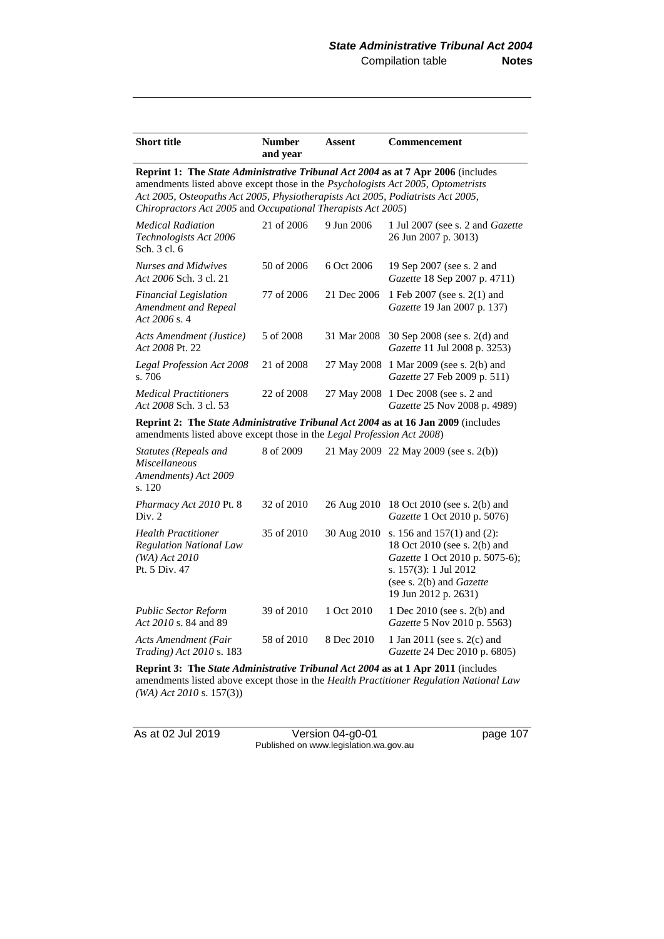| <b>Short title</b>                                                                                                                                                                                                                                                                                                      | <b>Number</b><br>and year | Assent      | <b>Commencement</b>                                                                                                                                                         |
|-------------------------------------------------------------------------------------------------------------------------------------------------------------------------------------------------------------------------------------------------------------------------------------------------------------------------|---------------------------|-------------|-----------------------------------------------------------------------------------------------------------------------------------------------------------------------------|
| Reprint 1: The State Administrative Tribunal Act 2004 as at 7 Apr 2006 (includes<br>amendments listed above except those in the Psychologists Act 2005, Optometrists<br>Act 2005, Osteopaths Act 2005, Physiotherapists Act 2005, Podiatrists Act 2005,<br>Chiropractors Act 2005 and Occupational Therapists Act 2005) |                           |             |                                                                                                                                                                             |
| <b>Medical Radiation</b><br>Technologists Act 2006<br>Sch. 3 cl. 6                                                                                                                                                                                                                                                      | 21 of 2006                | 9 Jun 2006  | 1 Jul 2007 (see s. 2 and Gazette<br>26 Jun 2007 p. 3013)                                                                                                                    |
| <b>Nurses and Midwives</b><br>Act 2006 Sch. 3 cl. 21                                                                                                                                                                                                                                                                    | 50 of 2006                | 6 Oct 2006  | 19 Sep 2007 (see s. 2 and<br>Gazette 18 Sep 2007 p. 4711)                                                                                                                   |
| <b>Financial Legislation</b><br>Amendment and Repeal<br>Act 2006 s.4                                                                                                                                                                                                                                                    | 77 of 2006                | 21 Dec 2006 | 1 Feb 2007 (see s. 2(1) and<br>Gazette 19 Jan 2007 p. 137)                                                                                                                  |
| Acts Amendment (Justice)<br>Act 2008 Pt. 22                                                                                                                                                                                                                                                                             | 5 of 2008                 | 31 Mar 2008 | 30 Sep 2008 (see s. 2(d) and<br>Gazette 11 Jul 2008 p. 3253)                                                                                                                |
| Legal Profession Act 2008<br>s. 706                                                                                                                                                                                                                                                                                     | 21 of 2008                | 27 May 2008 | 1 Mar 2009 (see s. 2(b) and<br>Gazette 27 Feb 2009 p. 511)                                                                                                                  |
| <b>Medical Practitioners</b><br>Act 2008 Sch. 3 cl. 53                                                                                                                                                                                                                                                                  | 22 of 2008                | 27 May 2008 | 1 Dec 2008 (see s. 2 and<br>Gazette 25 Nov 2008 p. 4989)                                                                                                                    |
| Reprint 2: The State Administrative Tribunal Act 2004 as at 16 Jan 2009 (includes<br>amendments listed above except those in the Legal Profession Act 2008)                                                                                                                                                             |                           |             |                                                                                                                                                                             |
| Statutes (Repeals and<br><i>Miscellaneous</i><br>Amendments) Act 2009<br>s. 120                                                                                                                                                                                                                                         | 8 of 2009                 |             | 21 May 2009 22 May 2009 (see s. 2(b))                                                                                                                                       |
| Pharmacy Act 2010 Pt. 8<br>Div. 2                                                                                                                                                                                                                                                                                       | 32 of 2010                | 26 Aug 2010 | 18 Oct 2010 (see s. 2(b) and<br>Gazette 1 Oct 2010 p. 5076)                                                                                                                 |
| <b>Health Practitioner</b><br><b>Regulation National Law</b><br>$(WA)$ Act 2010<br>Pt. 5 Div. 47                                                                                                                                                                                                                        | 35 of 2010                | 30 Aug 2010 | s. 156 and $157(1)$ and (2):<br>18 Oct 2010 (see s. 2(b) and<br>Gazette 1 Oct 2010 p. 5075-6);<br>s. 157(3): 1 Jul 2012<br>(see s. 2(b) and Gazette<br>19 Jun 2012 p. 2631) |
| <b>Public Sector Reform</b><br>Act 2010 s. 84 and 89                                                                                                                                                                                                                                                                    | 39 of 2010                | 1 Oct 2010  | 1 Dec 2010 (see s. 2(b) and<br>Gazette 5 Nov 2010 p. 5563)                                                                                                                  |
| Acts Amendment (Fair<br><i>Trading</i> ) Act 2010 s. 183                                                                                                                                                                                                                                                                | 58 of 2010                | 8 Dec 2010  | 1 Jan 2011 (see s. 2(c) and<br>Gazette 24 Dec 2010 p. 6805)                                                                                                                 |

**Reprint 3: The** *State Administrative Tribunal Act 2004* **as at 1 Apr 2011** (includes amendments listed above except those in the *Health Practitioner Regulation National Law (WA) Act 2010* s. 157(3))

As at 02 Jul 2019 Version 04-g0-01 page 107 Published on www.legislation.wa.gov.au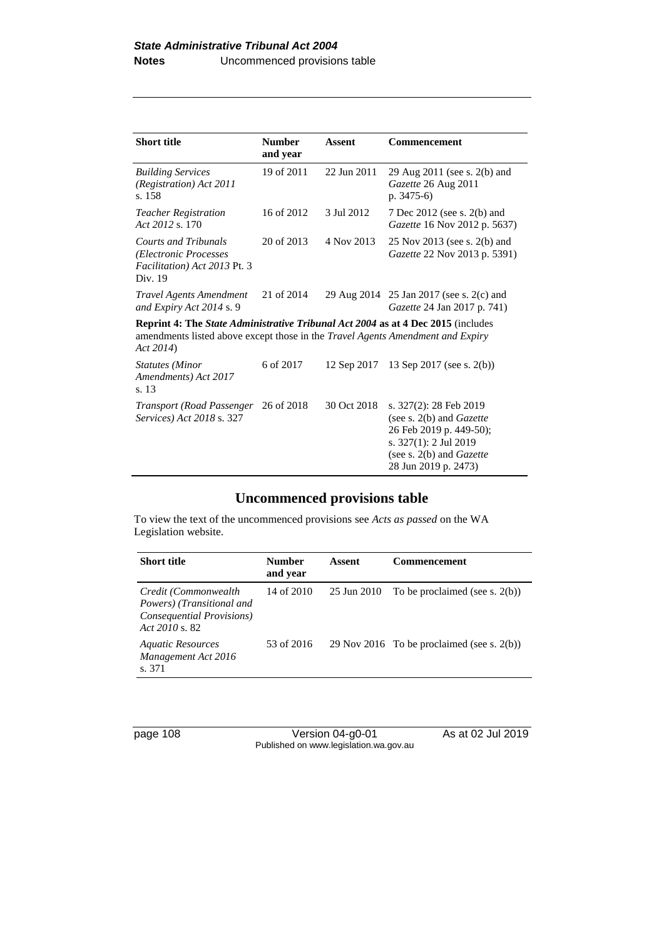| <b>Short title</b>                                                                                                                                                                    | <b>Number</b><br>and year | <b>Assent</b> | <b>Commencement</b>                                                                                                                                                 |
|---------------------------------------------------------------------------------------------------------------------------------------------------------------------------------------|---------------------------|---------------|---------------------------------------------------------------------------------------------------------------------------------------------------------------------|
| <b>Building Services</b><br>(Registration) Act 2011<br>s. 158                                                                                                                         | 19 of 2011                | 22 Jun 2011   | 29 Aug 2011 (see s. 2(b) and<br>Gazette 26 Aug 2011<br>$p. 3475-6$                                                                                                  |
| <b>Teacher Registration</b><br>Act 2012 s. 170                                                                                                                                        | 16 of 2012                | 3 Jul 2012    | 7 Dec 2012 (see s. 2(b) and<br><i>Gazette</i> 16 Nov 2012 p. 5637)                                                                                                  |
| <b>Courts and Tribunals</b><br>(Electronic Processes<br>Facilitation) Act 2013 Pt. 3<br>Div. 19                                                                                       | 20 of 2013                | 4 Nov 2013    | 25 Nov 2013 (see s. 2(b) and<br><i>Gazette</i> 22 Nov 2013 p. 5391)                                                                                                 |
| Travel Agents Amendment<br>and Expiry Act 2014 s. 9                                                                                                                                   | 21 of 2014                |               | 29 Aug 2014 25 Jan 2017 (see s. 2(c) and<br>Gazette 24 Jan 2017 p. 741)                                                                                             |
| <b>Reprint 4: The State Administrative Tribunal Act 2004 as at 4 Dec 2015</b> (includes<br>amendments listed above except those in the Travel Agents Amendment and Expiry<br>Act 2014 |                           |               |                                                                                                                                                                     |
| <b>Statutes</b> (Minor<br>Amendments) Act 2017<br>s. 13                                                                                                                               | 6 of 2017                 | 12 Sep 2017   | 13 Sep 2017 (see s. 2(b))                                                                                                                                           |
| <i>Transport (Road Passenger 26 of 2018)</i><br><i>Services</i> ) Act 2018 s. 327                                                                                                     |                           | 30 Oct 2018   | s. 327(2): 28 Feb 2019<br>(see s. $2(b)$ and <i>Gazette</i><br>26 Feb 2019 p. 449-50);<br>s. 327(1): 2 Jul 2019<br>(see s. 2(b) and Gazette<br>28 Jun 2019 p. 2473) |

### **Uncommenced provisions table**

To view the text of the uncommenced provisions see *Acts as passed* on the WA Legislation website.

| <b>Short title</b>                                                                                  | <b>Number</b><br>and year | Assent      | Commencement                                  |
|-----------------------------------------------------------------------------------------------------|---------------------------|-------------|-----------------------------------------------|
| Credit (Commonwealth<br>Powers) (Transitional and<br>Consequential Provisions)<br>Act $2010 s$ , 82 | 14 of 2010                | 25 Jun 2010 | To be proclaimed (see s. $2(b)$ )             |
| <b>Aquatic Resources</b><br>Management Act 2016<br>s. 371                                           | 53 of 2016                |             | 29 Nov 2016 To be proclaimed (see s. $2(b)$ ) |

page 108 Version 04-g0-01 As at 02 Jul 2019 Published on www.legislation.wa.gov.au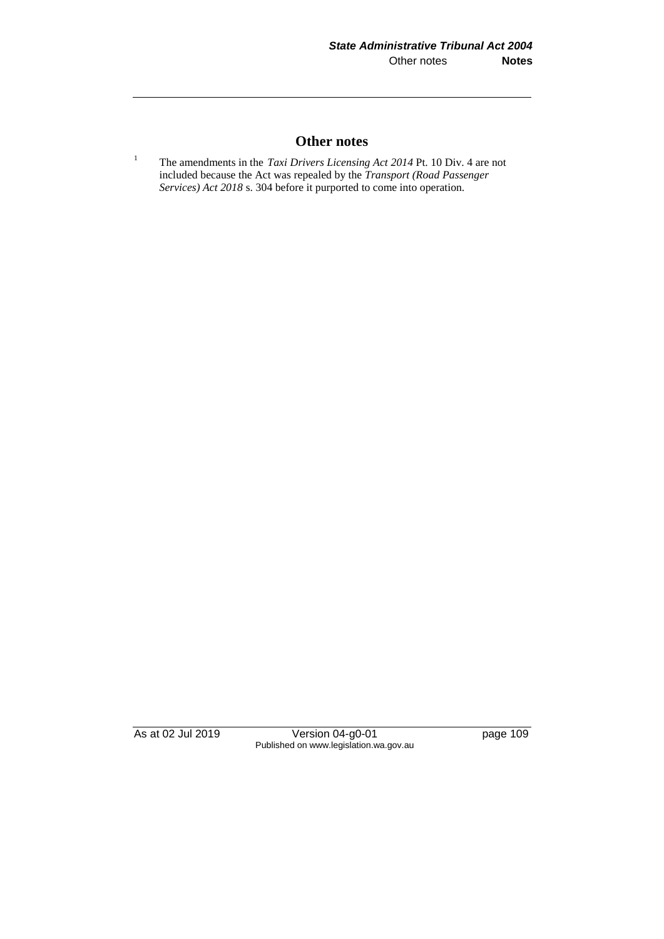### **Other notes**

<sup>1</sup> The amendments in the *Taxi Drivers Licensing Act* 2014 Pt. 10 Div. 4 are not included because the Act was repealed by the *Transport (Road Passenger Services) Act 2018* s. 304 before it purported to come into operation.

As at 02 Jul 2019 Version 04-g0-01 page 109 Published on www.legislation.wa.gov.au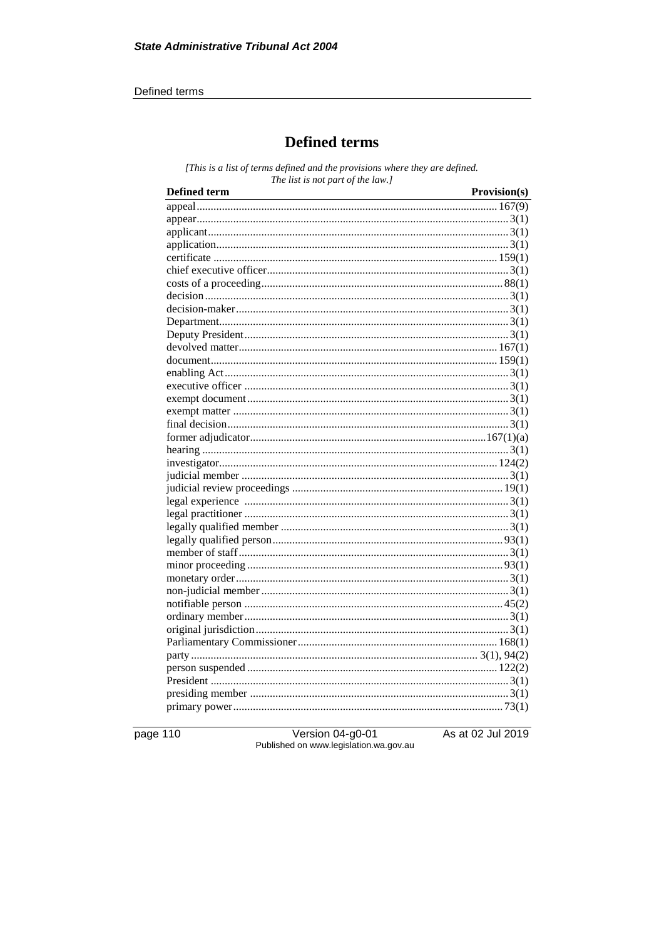#### Defined terms

# **Defined terms**

[This is a list of terms defined and the provisions where they are defined. The list is not part of the law.]

| <b>Defined term</b> | Provision(s) |
|---------------------|--------------|
|                     |              |
|                     |              |
|                     |              |
|                     |              |
|                     |              |
|                     |              |
|                     |              |
|                     |              |
|                     |              |
|                     |              |
|                     |              |
|                     |              |
|                     |              |
|                     |              |
|                     |              |
|                     |              |
|                     |              |
|                     |              |
|                     |              |
|                     |              |
|                     |              |
|                     |              |
|                     |              |
|                     |              |
|                     |              |
|                     |              |
|                     |              |
|                     |              |
|                     |              |
|                     |              |
|                     |              |
|                     |              |
|                     |              |
|                     |              |
|                     |              |
|                     |              |
|                     |              |
|                     |              |
|                     |              |
|                     |              |
|                     |              |

page 110

Version 04-g0-01 Published on www.legislation.wa.gov.au As at 02 Jul 2019